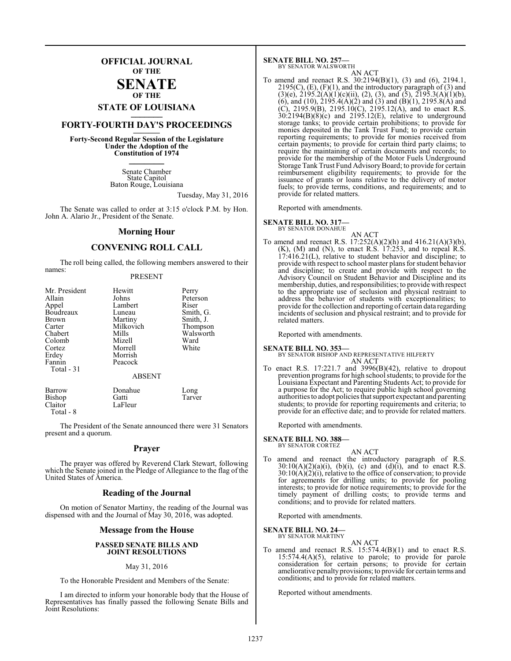## **OFFICIAL JOURNAL OF THE**

#### **SENATE OF THE**

# **STATE OF LOUISIANA \_\_\_\_\_\_\_**

## **FORTY-FOURTH DAY'S PROCEEDINGS \_\_\_\_\_\_\_**

**Forty-Second Regular Session of the Legislature Under the Adoption of the Constitution of 1974 \_\_\_\_\_\_\_**

> Senate Chamber State Capitol Baton Rouge, Louisiana

> > Tuesday, May 31, 2016

The Senate was called to order at 3:15 o'clock P.M. by Hon. John A. Alario Jr., President of the Senate.

#### **Morning Hour**

### **CONVENING ROLL CALL**

The roll being called, the following members answered to their names:

#### PRESENT

| Mr. President | Hewitt        | Perry     |
|---------------|---------------|-----------|
| Allain        | Johns         | Peterson  |
| Appel         | Lambert       | Riser     |
| Boudreaux     | Luneau        | Smith, G. |
| Brown         | Martiny       | Smith, J. |
| Carter        | Milkovich     | Thompson  |
| Chabert       | Mills         | Walsworth |
| Colomb        | Mizell        | Ward      |
| Cortez        | Morrell       | White     |
| Erdey         | Morrish       |           |
| Fannin        | Peacock       |           |
| Total - 31    |               |           |
|               | <b>ABSENT</b> |           |
| <b>Barrow</b> | Donahue       | Long      |
| Bishop        | Gatti         | Tarver    |
| Claitor       | LaFleur       |           |

Total - 8

The President of the Senate announced there were 31 Senators present and a quorum.

#### **Prayer**

The prayer was offered by Reverend Clark Stewart, following which the Senate joined in the Pledge of Allegiance to the flag of the United States of America.

#### **Reading of the Journal**

On motion of Senator Martiny, the reading of the Journal was dispensed with and the Journal of May 30, 2016, was adopted.

#### **Message from the House**

#### **PASSED SENATE BILLS AND JOINT RESOLUTIONS**

#### May 31, 2016

To the Honorable President and Members of the Senate:

I am directed to inform your honorable body that the House of Representatives has finally passed the following Senate Bills and Joint Resolutions:

#### **SENATE BILL NO. 257—**

BY SENATOR WALSWORTH

AN ACT To amend and reenact R.S. 30:2194(B)(1), (3) and (6), 2194.1,  $2195(C)$ , (E), (F)(1), and the introductory paragraph of (3) and  $(3)(e)$ ,  $2195.2(A)(1)(c)(ii)$ ,  $(2)$ ,  $(3)$ , and  $(5)$ ,  $2195.3(A)(1)(b)$ , (6), and (10),  $2195.4(A)(2)$  and (3) and (B)(1),  $2195.8(A)$  and (C), 2195.9(B), 2195.10(C), 2195.12(A), and to enact R.S.  $30:2194(B)(8)(c)$  and  $2195.12(E)$ , relative to underground storage tanks; to provide certain prohibitions; to provide for monies deposited in the Tank Trust Fund; to provide certain reporting requirements; to provide for monies received from certain payments; to provide for certain third party claims; to require the maintaining of certain documents and records; to provide for the membership of the Motor Fuels Underground Storage Tank Trust Fund Advisory Board; to provide for certain reimbursement eligibility requirements; to provide for the issuance of grants or loans relative to the delivery of motor fuels; to provide terms, conditions, and requirements; and to provide for related matters.

Reported with amendments.

**SENATE BILL NO. 317—**

BY SENATOR DONAHUE

AN ACT To amend and reenact R.S. 17:252(A)(2)(h) and 416.21(A)(3)(b),  $(K)$ ,  $(M)$  and  $(N)$ , to enact R.S. 17:253, and to repeal R.S. 17:416.21(L), relative to student behavior and discipline; to provide with respect to school master plans for student behavior and discipline; to create and provide with respect to the Advisory Council on Student Behavior and Discipline and its membership, duties, and responsibilities; to provide with respect to the appropriate use of seclusion and physical restraint to address the behavior of students with exceptionalities; to provide for the collection and reporting of certain data regarding incidents of seclusion and physical restraint; and to provide for related matters.

Reported with amendments.

**SENATE BILL NO. 353—** BY SENATOR BISHOP AND REPRESENTATIVE HILFERTY AN ACT

To enact R.S. 17:221.7 and 3996(B)(42), relative to dropout prevention programs for high school students; to provide for the Louisiana Expectant and Parenting Students Act; to provide for a purpose for the Act; to require public high school governing authorities to adopt policies thatsupport expectant and parenting students; to provide for reporting requirements and criteria; to provide for an effective date; and to provide for related matters.

Reported with amendments.

#### **SENATE BILL NO. 388—**

BY SENATOR CORTEZ

AN ACT To amend and reenact the introductory paragraph of R.S.  $30:10(A)(2)(a)(i)$ , (b)(i), (c) and (d)(i), and to enact R.S.  $30:10(A)(2)(i)$ , relative to the office of conservation; to provide for agreements for drilling units; to provide for pooling interests; to provide for notice requirements; to provide for the timely payment of drilling costs; to provide terms and conditions; and to provide for related matters.

Reported with amendments.

#### **SENATE BILL NO. 24—** BY SENATOR MARTINY

AN ACT To amend and reenact R.S. 15:574.4(B)(1) and to enact R.S. 15:574.4(A)(5), relative to parole; to provide for parole consideration for certain persons; to provide for certain ameliorative penalty provisions; to provide for certain terms and conditions; and to provide for related matters.

Reported without amendments.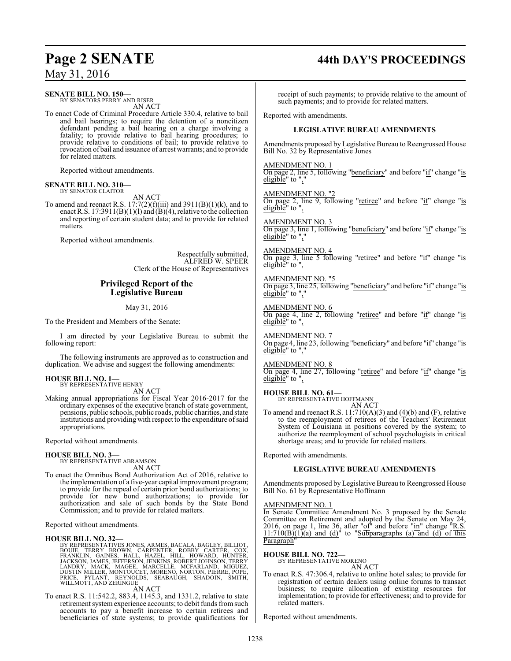# **Page 2 SENATE 44th DAY'S PROCEEDINGS**

**SENATE BILL NO. 150—**

BY SENATORS PERRY AND RISER AN ACT

To enact Code of Criminal Procedure Article 330.4, relative to bail and bail hearings; to require the detention of a noncitizen defendant pending a bail hearing on a charge involving a fatality; to provide relative to bail hearing procedures; to provide relative to conditions of bail; to provide relative to revocation of bail and issuance of arrest warrants; and to provide for related matters.

Reported without amendments.

#### **SENATE BILL NO. 310—** BY SENATOR CLAITOR

AN ACT

To amend and reenact R.S.  $17:7(2)(f)(iii)$  and  $3911(B)(1)(k)$ , and to enact R.S.  $17:3911(B)(1)(l)$  and  $(B)(4)$ , relative to the collection and reporting of certain student data; and to provide for related matters.

Reported without amendments.

Respectfully submitted, ALFRED W. SPEER Clerk of the House of Representatives

### **Privileged Report of the Legislative Bureau**

May 31, 2016

To the President and Members of the Senate:

I am directed by your Legislative Bureau to submit the following report:

The following instruments are approved as to construction and duplication. We advise and suggest the following amendments:

#### **HOUSE BILL NO. 1—** BY REPRESENTATIVE HENRY

AN ACT

Making annual appropriations for Fiscal Year 2016-2017 for the ordinary expenses of the executive branch of state government, pensions, public schools, public roads, public charities, and state institutions and providing with respect to the expenditure of said appropriations.

Reported without amendments.

#### **HOUSE BILL NO. 3—**

BY REPRESENTATIVE ABRAMSON AN ACT

To enact the Omnibus Bond Authorization Act of 2016, relative to the implementation of a five-year capital improvement program; to provide for the repeal of certain prior bond authorizations; to provide for new bond authorizations; to provide for authorization and sale of such bonds by the State Bond Commission; and to provide for related matters.

Reported without amendments.

#### **HOUSE BILL NO. 32—**

BY REPRESENTATIVES JONES, ARMES, BACALA, BAGILEY, BILLIOT, TERRY BROWN, CARPENTER, ROBBY CARTÉR, IOX,<br>FRANKLIN, GAINES, HALL, HAZEL, HILL, HOWARD, HUNTER,<br>JACKSON, JAMES, JEFEERSON, JENKINS, ROBERT JOHNSON, TERRY<br>LANDRY, M

## AN ACT

To enact R.S. 11:542.2, 883.4, 1145.3, and 1331.2, relative to state retirement system experience accounts; to debit funds from such accounts to pay a benefit increase to certain retirees and beneficiaries of state systems; to provide qualifications for

receipt of such payments; to provide relative to the amount of such payments; and to provide for related matters.

Reported with amendments.

#### **LEGISLATIVE BUREAU AMENDMENTS**

Amendments proposed by Legislative Bureau to Reengrossed House Bill No. 32 by Representative Jones

AMENDMENT NO. 1 On page 2, line 5, following "beneficiary" and before "if" change "is eligible" to ",

AMENDMENT NO. "2 On page 2, line 9, following "retiree" and before "if" change "is eligible" to ",

AMENDMENT NO. 3 On page 3, line 1, following "beneficiary" and before "if" change "is eligible" to  $"$ ,

AMENDMENT NO. 4 On page 3, line 5 following "retiree" and before "if" change "is eligible" to ",

AMENDMENT NO. "5 On page 3, line 25, following "beneficiary" and before "if" change "is eligible" to ","

AMENDMENT NO. 6 On page 4, line 2, following "retiree" and before "if" change "is eligible" to ",

AMENDMENT NO. 7 On page 4, line 23, following "beneficiary" and before "if" change "is eligible" to  $"$ .

AMENDMENT NO. 8 On page 4, line 27, following "retiree" and before "if" change "is eligible" to ",

**HOUSE BILL NO. 61—** BY REPRESENTATIVE HOFFMANN

AN ACT

To amend and reenact R.S.  $11:710(A)(3)$  and  $(4)(b)$  and  $(F)$ , relative to the reemployment of retirees of the Teachers' Retirement System of Louisiana in positions covered by the system; to authorize the reemployment of school psychologists in critical shortage areas; and to provide for related matters.

Reported with amendments.

#### **LEGISLATIVE BUREAU AMENDMENTS**

Amendments proposed by Legislative Bureau to Reengrossed House Bill No. 61 by Representative Hoffmann

#### AMENDMENT NO. 1

In Senate Committee Amendment No. 3 proposed by the Senate Committee on Retirement and adopted by the Senate on May 24, 2016, on page 1, line 36, after " $of$ " and before " $in$ " change "R.S.  $11:710(B)(1)(a)$  and (d)" to "Subparagraphs (a) and (d) of this Paragraph"

**HOUSE BILL NO. 722—** BY REPRESENTATIVE MORENO

AN ACT

To enact R.S. 47:306.4, relative to online hotel sales; to provide for registration of certain dealers using online forums to transact business; to require allocation of existing resources for implementation; to provide for effectiveness; and to provide for related matters.

Reported without amendments.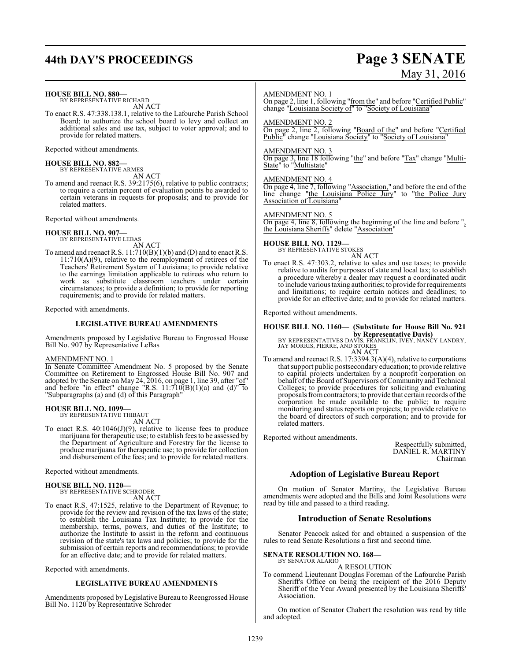# **44th DAY'S PROCEEDINGS Page 3 SENATE**

# May 31, 2016

**HOUSE BILL NO. 880—**

BY REPRESENTATIVE RICHARD AN ACT

To enact R.S. 47:338.138.1, relative to the Lafourche Parish School Board; to authorize the school board to levy and collect an additional sales and use tax, subject to voter approval; and to provide for related matters.

Reported without amendments.

**HOUSE BILL NO. 882—** BY REPRESENTATIVE ARMES AN ACT

To amend and reenact R.S. 39:2175(6), relative to public contracts; to require a certain percent of evaluation points be awarded to certain veterans in requests for proposals; and to provide for related matters.

Reported without amendments.

**HOUSE BILL NO. 907—** BY REPRESENTATIVE LEBAS

AN ACT

To amend and reenact R.S. 11:710(B)(1)(b) and (D) and to enact R.S. 11:710(A)(9), relative to the reemployment of retirees of the Teachers' Retirement System of Louisiana; to provide relative to the earnings limitation applicable to retirees who return to work as substitute classroom teachers under certain circumstances; to provide a definition; to provide for reporting requirements; and to provide for related matters.

Reported with amendments.

#### **LEGISLATIVE BUREAU AMENDMENTS**

Amendments proposed by Legislative Bureau to Engrossed House Bill No. 907 by Representative LeBas

#### AMENDMENT NO. 1

In Senate Committee Amendment No. 5 proposed by the Senate Committee on Retirement to Engrossed House Bill No. 907 and adopted by the Senate on May 24, 2016, on page 1, line 39, after "of" and before "in effect" change "R.S.  $11:710(B)(1)(a)$  and  $(d)$ " to "Subparagraphs (a) and (d) of this Paragraph"

#### **HOUSE BILL NO. 1099—**

BY REPRESENTATIVE THIBAUT AN ACT

To enact R.S. 40:1046(J)(9), relative to license fees to produce marijuana for therapeutic use; to establish fees to be assessed by the Department of Agriculture and Forestry for the license to produce marijuana for therapeutic use; to provide for collection and disbursement of the fees; and to provide for related matters.

#### Reported without amendments.

# **HOUSE BILL NO. 1120—** BY REPRESENTATIVE SCHRODER

AN ACT

To enact R.S. 47:1525, relative to the Department of Revenue; to provide for the review and revision of the tax laws of the state; to establish the Louisiana Tax Institute; to provide for the membership, terms, powers, and duties of the Institute; to authorize the Institute to assist in the reform and continuous revision of the state's tax laws and policies; to provide for the submission of certain reports and recommendations; to provide for an effective date; and to provide for related matters.

Reported with amendments.

#### **LEGISLATIVE BUREAU AMENDMENTS**

Amendments proposed by Legislative Bureau to Reengrossed House Bill No. 1120 by Representative Schroder

#### AMENDMENT NO. 1

On page 2, line 1, following "from the" and before "Certified Public" change "Louisiana Society of to "Society of Louisiana"

AMENDMENT NO. 2

On page 2, line 2, following "Board of the" and before "Certified Public" change "Louisiana Society" to "Society of Louisiana"

#### AMENDMENT NO. 3

On page 3, line 18 following "the" and before "Tax" change "Multi-State" to "Multistate"

#### AMENDMENT NO. 4

On page 4, line 7, following "Association," and before the end of the line change "the Louisiana Police Jury" to "the Police Jury Association of Louisiana"

#### AMENDMENT NO. 5

On page 4, line 8, following the beginning of the line and before ", the Louisiana Sheriffs" delete "Association"

## **HOUSE BILL NO. 1129—** BY REPRESENTATIVE STOKES

AN ACT

To enact R.S. 47:303.2, relative to sales and use taxes; to provide relative to audits for purposes of state and local tax; to establish a procedure whereby a dealer may request a coordinated audit to include various taxing authorities;to provide for requirements and limitations; to require certain notices and deadlines; to provide for an effective date; and to provide for related matters.

Reported without amendments.

# **HOUSE BILL NO. 1160— (Substitute for House Bill No. 921**

**by Representative Davis)<br>BY REPRESENTATIVES DAVIS, FRANKLIN, IVEY, NANCY LANDRY,<br>JAY MORRIS, PIERRE, AND STOKES** AN ACT

To amend and reenact R.S. 17:3394.3(A)(4), relative to corporations that support public postsecondary education; to provide relative to capital projects undertaken by a nonprofit corporation on behalf of the Board of Supervisors of Community and Technical Colleges; to provide procedures for soliciting and evaluating proposals fromcontractors; to provide that certain records ofthe corporation be made available to the public; to require monitoring and status reports on projects; to provide relative to the board of directors of such corporation; and to provide for related matters.

Reported without amendments.

Respectfully submitted, DANIEL R. MARTINY Chairman

#### **Adoption of Legislative Bureau Report**

On motion of Senator Martiny, the Legislative Bureau amendments were adopted and the Bills and Joint Resolutions were read by title and passed to a third reading.

#### **Introduction of Senate Resolutions**

Senator Peacock asked for and obtained a suspension of the rules to read Senate Resolutions a first and second time.

#### **SENATE RESOLUTION NO. 168—** BY SENATOR ALARIO

#### A RESOLUTION

To commend Lieutenant Douglas Foreman of the Lafourche Parish Sheriff's Office on being the recipient of the 2016 Deputy Sheriff of the Year Award presented by the Louisiana Sheriffs' Association.

On motion of Senator Chabert the resolution was read by title and adopted.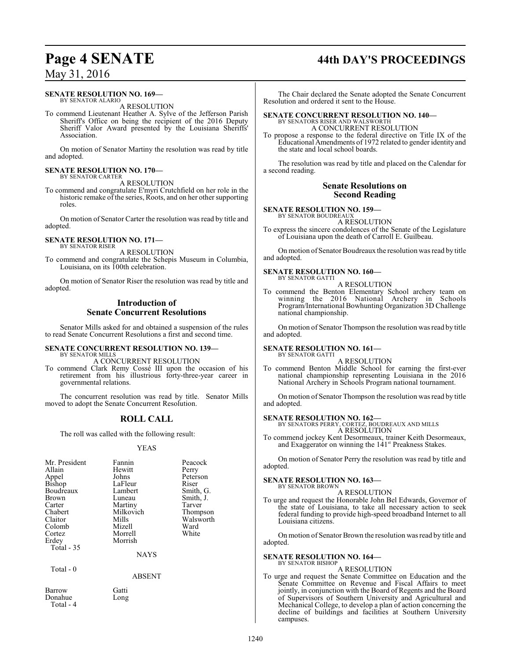#### **SENATE RESOLUTION NO. 169—**

BY SENATOR ALARIO A RESOLUTION

To commend Lieutenant Heather A. Sylve of the Jefferson Parish Sheriff's Office on being the recipient of the 2016 Deputy Sheriff Valor Award presented by the Louisiana Sheriffs' Association.

On motion of Senator Martiny the resolution was read by title and adopted.

#### **SENATE RESOLUTION NO. 170—** BY SENATOR CARTER

A RESOLUTION

To commend and congratulate E'myri Crutchfield on her role in the historic remake of the series, Roots, and on her other supporting roles.

On motion of Senator Carter the resolution was read by title and adopted.

#### **SENATE RESOLUTION NO. 171—** BY SENATOR RISER

A RESOLUTION

To commend and congratulate the Schepis Museum in Columbia, Louisiana, on its 100th celebration.

On motion of Senator Riser the resolution was read by title and adopted.

### **Introduction of Senate Concurrent Resolutions**

Senator Mills asked for and obtained a suspension of the rules to read Senate Concurrent Resolutions a first and second time.

#### **SENATE CONCURRENT RESOLUTION NO. 139—** BY SENATOR MILLS

A CONCURRENT RESOLUTION

To commend Clark Remy Cossé III upon the occasion of his retirement from his illustrious forty-three-year career in governmental relations.

The concurrent resolution was read by title. Senator Mills moved to adopt the Senate Concurrent Resolution.

### **ROLL CALL**

The roll was called with the following result:

#### YEAS

| Mr. President | Fannin      | Peacock   |
|---------------|-------------|-----------|
| Allain        | Hewitt      | Perry     |
| Appel         | Johns       | Peterson  |
| <b>Bishop</b> | LaFleur     | Riser     |
| Boudreaux     | Lambert     | Smith, G. |
| <b>Brown</b>  | Luneau      | Smith, J. |
| Carter        | Martiny     | Tarver    |
| Chabert       | Milkovich   | Thompson  |
| Claitor       | Mills       | Walsworth |
| Colomb        | Mizell      | Ward      |
| Cortez        | Morrell     | White     |
| Erdey         | Morrish     |           |
| Total - 35    |             |           |
|               | <b>NAYS</b> |           |
| Total - 0     |             |           |

ABSENT

Barrow Gatti Donahue Long Total - 4

# **Page 4 SENATE 44th DAY'S PROCEEDINGS**

The Chair declared the Senate adopted the Senate Concurrent Resolution and ordered it sent to the House.

#### **SENATE CONCURRENT RESOLUTION NO. 140—** BY SENATORS RISER AND WALSWORTH

A CONCURRENT RESOLUTION

To propose a response to the federal directive on Title IX of the Educational Amendments of 1972 related to gender identity and the state and local school boards.

The resolution was read by title and placed on the Calendar for a second reading.

#### **Senate Resolutions on Second Reading**

**SENATE RESOLUTION NO. 159—** BY SENATOR BOUDREAUX

A RESOLUTION

To express the sincere condolences of the Senate of the Legislature of Louisiana upon the death of Carroll E. Guilbeau.

On motion of Senator Boudreaux the resolution was read by title and adopted.

#### **SENATE RESOLUTION NO. 160—** BY SENATOR GATTI

A RESOLUTION

To commend the Benton Elementary School archery team on winning the 2016 National Archery in Schools Program/International Bowhunting Organization 3D Challenge national championship.

On motion of Senator Thompson the resolution was read by title and adopted.

#### **SENATE RESOLUTION NO. 161—** BY SENATOR GATTI

A RESOLUTION

To commend Benton Middle School for earning the first-ever national championship representing Louisiana in the 2016 National Archery in Schools Program national tournament.

On motion of Senator Thompson the resolution was read by title and adopted.

**SENATE RESOLUTION NO. 162—** BY SENATORS PERRY, CORTEZ, BOUDREAUX AND MILLS A RESOLUTION

To commend jockey Kent Desormeaux, trainer Keith Desormeaux, and Exaggerator on winning the 141<sup>st</sup> Preakness Stakes.

On motion of Senator Perry the resolution was read by title and adopted.

#### **SENATE RESOLUTION NO. 163—** BY SENATOR BROWN

A RESOLUTION

To urge and request the Honorable John Bel Edwards, Governor of the state of Louisiana, to take all necessary action to seek federal funding to provide high-speed broadband Internet to all Louisiana citizens.

On motion of Senator Brown the resolution was read by title and adopted.

#### **SENATE RESOLUTION NO. 164—** BY SENATOR BISHOP

A RESOLUTION

To urge and request the Senate Committee on Education and the Senate Committee on Revenue and Fiscal Affairs to meet jointly, in conjunction with the Board of Regents and the Board of Supervisors of Southern University and Agricultural and Mechanical College, to develop a plan of action concerning the decline of buildings and facilities at Southern University campuses.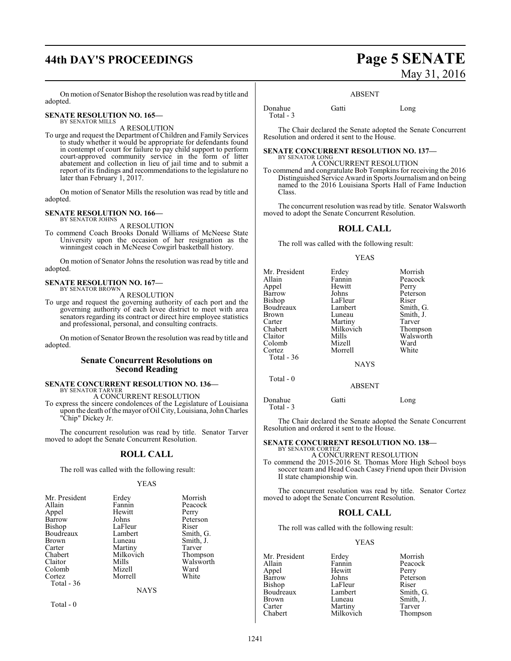# **44th DAY'S PROCEEDINGS Page 5 SENATE**

On motion of Senator Bishop the resolution was read by title and adopted.

#### **SENATE RESOLUTION NO. 165—** BY SENATOR MILLS

A RESOLUTION

To urge and request the Department of Children and Family Services to study whether it would be appropriate for defendants found in contempt of court for failure to pay child support to perform court-approved community service in the form of litter abatement and collection in lieu of jail time and to submit a report of its findings and recommendations to the legislature no later than February 1, 2017.

On motion of Senator Mills the resolution was read by title and adopted.

#### **SENATE RESOLUTION NO. 166—** BY SENATOR JOHNS

A RESOLUTION

To commend Coach Brooks Donald Williams of McNeese State University upon the occasion of her resignation as the winningest coach in McNeese Cowgirl basketball history.

On motion of Senator Johns the resolution was read by title and adopted.

#### **SENATE RESOLUTION NO. 167—** BY SENATOR BROWN

A RESOLUTION

To urge and request the governing authority of each port and the governing authority of each levee district to meet with area senators regarding its contract or direct hire employee statistics and professional, personal, and consulting contracts.

On motion of Senator Brown the resolution was read by title and adopted.

#### **Senate Concurrent Resolutions on Second Reading**

# **SENATE CONCURRENT RESOLUTION NO. 136—** BY SENATOR TARVER

A CONCURRENT RESOLUTION

To express the sincere condolences of the Legislature of Louisiana upon the death ofthe mayor of Oil City, Louisiana, JohnCharles "Chip" Dickey Jr.

The concurrent resolution was read by title. Senator Tarver moved to adopt the Senate Concurrent Resolution.

#### **ROLL CALL**

The roll was called with the following result:

#### YEAS

| Mr. President | Erdey       | Morrish   |
|---------------|-------------|-----------|
| Allain        | Fannin      | Peacock   |
| Appel         | Hewitt      | Perry     |
| Barrow        | Johns       | Peterson  |
| Bishop        | LaFleur     | Riser     |
| Boudreaux     | Lambert     | Smith, G. |
| <b>Brown</b>  | Luneau      | Smith, J. |
| Carter        | Martiny     | Tarver    |
| Chabert       | Milkovich   | Thompson  |
| Claitor       | Mills       | Walsworth |
| Colomb        | Mizell      | Ward      |
| Cortez        | Morrell     | White     |
| Total - 36    |             |           |
|               | <b>NAYS</b> |           |
|               |             |           |

Total - 0

# May 31, 2016

#### ABSENT

Donahue Gatti Long Total - 3

The Chair declared the Senate adopted the Senate Concurrent Resolution and ordered it sent to the House.

#### **SENATE CONCURRENT RESOLUTION NO. 137—** BY SENATOR LONG

#### A CONCURRENT RESOLUTION

To commend and congratulate Bob Tompkins for receiving the 2016 Distinguished Service Award in Sports Journalismand on being named to the 2016 Louisiana Sports Hall of Fame Induction Class.

The concurrent resolution was read by title. Senator Walsworth moved to adopt the Senate Concurrent Resolution.

#### **ROLL CALL**

The roll was called with the following result:

#### YEAS

| Fannin<br>Hewitt<br>Johns<br>LaFleur<br>Lambert<br>Luneau<br>Martiny<br>Milkovich<br>Mills<br>Mizell<br>Morrell<br><b>NAYS</b> | Morrish<br>Peacock<br>Perry<br>Peterson<br>Riser<br>Smith, G.<br>Smith, J.<br>Tarver<br>Thompson<br>Walsworth<br>Ward<br>White |
|--------------------------------------------------------------------------------------------------------------------------------|--------------------------------------------------------------------------------------------------------------------------------|
| <b>ABSENT</b>                                                                                                                  |                                                                                                                                |
|                                                                                                                                | Erdey                                                                                                                          |

Donahue Gatti Long Total - 3

The Chair declared the Senate adopted the Senate Concurrent Resolution and ordered it sent to the House.

#### **SENATE CONCURRENT RESOLUTION NO. 138—** BY SENATOR CORTEZ

#### A CONCURRENT RESOLUTION

To commend the 2015-2016 St. Thomas More High School boys soccer team and Head Coach Casey Friend upon their Division II state championship win.

The concurrent resolution was read by title. Senator Cortez moved to adopt the Senate Concurrent Resolution.

#### **ROLL CALL**

The roll was called with the following result:

#### YEAS

Mr. President Erdey Morrish<br>Allain Fannin Peacock Fannin Peacock<br>Hewitt Perry Appel Hewit<br>Barrow Johns Bishop LaFleur Riser<br>Boudreaux Lambert Smith, G. Boudreaux Lambert<br>Brown Luneau Brown Luneau Smith, J.<br>
Carter Martiny Tarver Carter Martiny<br>
Chabert Milkovich

Peterson Thompson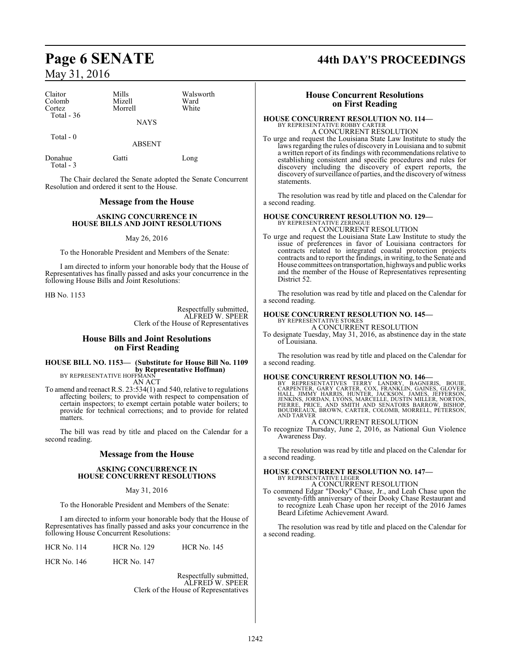| Claitor<br>Colomb<br>Cortez<br>Total $-36$ | Mills<br>Mizell<br>Morrell<br><b>NAYS</b> | Walsworth<br>Ward<br>White |  |
|--------------------------------------------|-------------------------------------------|----------------------------|--|
| Total $-0$                                 | <b>ABSENT</b>                             |                            |  |
| Donahue<br>Total - 3                       | Gatti                                     | Long                       |  |

The Chair declared the Senate adopted the Senate Concurrent Resolution and ordered it sent to the House.

#### **Message from the House**

#### **ASKING CONCURRENCE IN HOUSE BILLS AND JOINT RESOLUTIONS**

#### May 26, 2016

To the Honorable President and Members of the Senate:

I am directed to inform your honorable body that the House of Representatives has finally passed and asks your concurrence in the following House Bills and Joint Resolutions:

HB No. 1153

Respectfully submitted, ALFRED W. SPEER Clerk of the House of Representatives

#### **House Bills and Joint Resolutions on First Reading**

**HOUSE BILL NO. 1153— (Substitute for House Bill No. 1109 by Representative Hoffman)** BY REPRESENTATIVE HOFFMANN

AN ACT

To amend and reenact R.S. 23:534(1) and 540, relative to regulations affecting boilers; to provide with respect to compensation of certain inspectors; to exempt certain potable water boilers; to provide for technical corrections; and to provide for related matters.

The bill was read by title and placed on the Calendar for a second reading.

#### **Message from the House**

#### **ASKING CONCURRENCE IN HOUSE CONCURRENT RESOLUTIONS**

#### May 31, 2016

To the Honorable President and Members of the Senate:

I am directed to inform your honorable body that the House of Representatives has finally passed and asks your concurrence in the following House Concurrent Resolutions:

| <b>HCR No. 114</b> | <b>HCR No. 129</b> | <b>HCR No. 145</b> |
|--------------------|--------------------|--------------------|
| <b>HCR No. 146</b> | <b>HCR No. 147</b> |                    |

Respectfully submitted, ALFRED W. SPEER Clerk of the House of Representatives

# **Page 6 SENATE 44th DAY'S PROCEEDINGS**

#### **House Concurrent Resolutions on First Reading**

#### **HOUSE CONCURRENT RESOLUTION NO. 114—** BY REPRESENTATIVE ROBBY CARTER

A CONCURRENT RESOLUTION

To urge and request the Louisiana State Law Institute to study the laws regarding the rules of discovery in Louisiana and to submit a written report of its findings with recommendations relative to establishing consistent and specific procedures and rules for discovery including the discovery of expert reports, the discovery of surveillance of parties, and the discovery of witness statements.

The resolution was read by title and placed on the Calendar for a second reading.

#### **HOUSE CONCURRENT RESOLUTION NO. 129—** BY REPRESENTATIVE ZERINGUI

A CONCURRENT RESOLUTION

To urge and request the Louisiana State Law Institute to study the issue of preferences in favor of Louisiana contractors for contracts related to integrated coastal protection projects contracts and to report the findings, in writing, to the Senate and House committees on transportation, highways and public works and the member of the House of Representatives representing District 52.

The resolution was read by title and placed on the Calendar for a second reading.

## **HOUSE CONCURRENT RESOLUTION NO. 145—**

BY REPRESENTATIVE STOKES A CONCURRENT RESOLUTION

To designate Tuesday, May 31, 2016, as abstinence day in the state of Louisiana.

The resolution was read by title and placed on the Calendar for a second reading.

**HOUSE CONCURRENT RESOLUTION NO. 146**<br>BY REPRESENTATIVES TERRY LANDRY, BAGNERIS, BOUIE,<br>CARPENTER, GARY CARTER, COX, FRANKLIN, GAINES, GLOVER,<br>HALL, JIMMY HARRIS, HUNTER, JACKSON, JAMES, JEFFERSON,<br>JENKINS, JORDAN, LYONS,

#### A CONCURRENT RESOLUTION

To recognize Thursday, June 2, 2016, as National Gun Violence Awareness Day.

The resolution was read by title and placed on the Calendar for a second reading.

### **HOUSE CONCURRENT RESOLUTION NO. 147—** BY REPRESENTATIVE LEGER A CONCURRENT RESOLUTION

To commend Edgar "Dooky" Chase, Jr., and Leah Chase upon the seventy-fifth anniversary of their Dooky Chase Restaurant and to recognize Leah Chase upon her receipt of the 2016 James Beard Lifetime Achievement Award.

The resolution was read by title and placed on the Calendar for a second reading.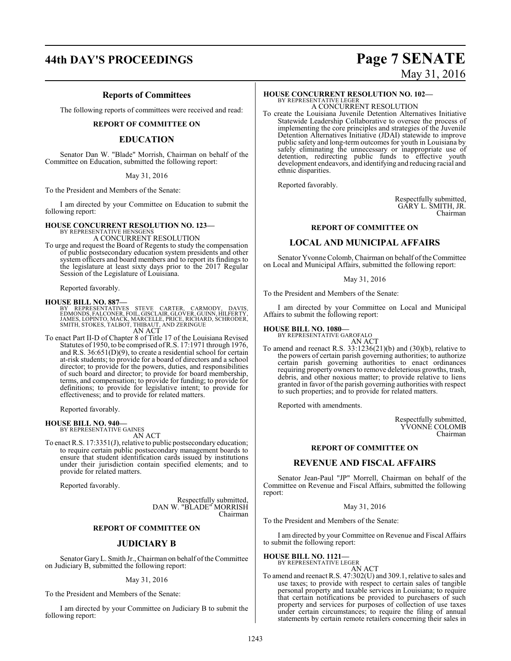# **44th DAY'S PROCEEDINGS Page 7 SENATE**

#### **Reports of Committees**

The following reports of committees were received and read:

#### **REPORT OF COMMITTEE ON**

#### **EDUCATION**

Senator Dan W. "Blade" Morrish, Chairman on behalf of the Committee on Education, submitted the following report:

#### May 31, 2016

To the President and Members of the Senate:

I am directed by your Committee on Education to submit the following report:

#### **HOUSE CONCURRENT RESOLUTION NO. 123—** BY REPRESENTATIVE HENSGEN A CONCURRENT RESOLUTION

To urge and request the Board of Regents to study the compensation of public postsecondary education system presidents and other system officers and board members and to report its findings to the legislature at least sixty days prior to the 2017 Regular Session of the Legislature of Louisiana.

Reported favorably.

**HOUSE BILL NO. 887—**<br>BY REPRESENTATIVES STEVE CARTER, CARMODY, DAVIS,<br>EDMONDS, FALCONER, FOIL, GISCLAIR, GLOVER, GUINN, HILFERTY,<br>JAMES, LOPINTO, MACK, MARCELLE, PRICE, RICHARD, SCHRODER,<br>SMITH, STOKES, TALBOT, THIBAUT, A AN ACT

To enact Part II-D of Chapter 8 of Title 17 of the Louisiana Revised Statutes of 1950, to be comprised ofR.S. 17:1971 through 1976, and R.S.  $36:651(D)(9)$ , to create a residential school for certain at-risk students; to provide for a board of directors and a school director; to provide for the powers, duties, and responsibilities of such board and director; to provide for board membership, terms, and compensation; to provide for funding; to provide for definitions; to provide for legislative intent; to provide for effectiveness; and to provide for related matters.

Reported favorably.

#### **HOUSE BILL NO. 940—** BY REPRESENTATIVE GAINES

AN ACT

To enact R.S. 17:3351(J), relative to public postsecondary education; to require certain public postsecondary management boards to ensure that student identification cards issued by institutions under their jurisdiction contain specified elements; and to provide for related matters.

Reported favorably.

Respectfully submitted, DAN W. "BLADE" MORRISH Chairman

#### **REPORT OF COMMITTEE ON**

#### **JUDICIARY B**

Senator Gary L. Smith Jr., Chairman on behalf of the Committee on Judiciary B, submitted the following report:

May 31, 2016

To the President and Members of the Senate:

I am directed by your Committee on Judiciary B to submit the following report:

# May 31, 2016

#### **HOUSE CONCURRENT RESOLUTION NO. 102—**

BY REPRESENTATIVE LEGER A CONCURRENT RESOLUTION

To create the Louisiana Juvenile Detention Alternatives Initiative Statewide Leadership Collaborative to oversee the process of implementing the core principles and strategies of the Juvenile Detention Alternatives Initiative (JDAI) statewide to improve public safety and long-term outcomes for youth in Louisiana by safely eliminating the unnecessary or inappropriate use of detention, redirecting public funds to effective youth development endeavors, and identifying and reducing racial and ethnic disparities.

Reported favorably.

Respectfully submitted, GARY L. SMITH, JR. Chairman

#### **REPORT OF COMMITTEE ON**

#### **LOCAL AND MUNICIPAL AFFAIRS**

Senator Yvonne Colomb, Chairman on behalf of the Committee on Local and Municipal Affairs, submitted the following report:

May 31, 2016

To the President and Members of the Senate:

I am directed by your Committee on Local and Municipal Affairs to submit the following report:

#### **HOUSE BILL NO. 1080—**

BY REPRESENTATIVE GAROFALO AN ACT

To amend and reenact R.S. 33:1236(21)(b) and (30)(b), relative to the powers of certain parish governing authorities; to authorize certain parish governing authorities to enact ordinances requiring property owners to remove deleterious growths, trash, debris, and other noxious matter; to provide relative to liens granted in favor of the parish governing authorities with respect to such properties; and to provide for related matters.

Reported with amendments.

Respectfully submitted, YVONNE COLOMB Chairman

#### **REPORT OF COMMITTEE ON**

#### **REVENUE AND FISCAL AFFAIRS**

Senator Jean-Paul "JP" Morrell, Chairman on behalf of the Committee on Revenue and Fiscal Affairs, submitted the following report:

#### May 31, 2016

To the President and Members of the Senate:

I am directed by your Committee on Revenue and Fiscal Affairs to submit the following report:

**HOUSE BILL NO. 1121—** BY REPRESENTATIVE LEGER

AN ACT To amend and reenact R.S. 47:302(U) and 309.1, relative to sales and use taxes; to provide with respect to certain sales of tangible personal property and taxable services in Louisiana; to require that certain notifications be provided to purchasers of such property and services for purposes of collection of use taxes under certain circumstances; to require the filing of annual statements by certain remote retailers concerning their sales in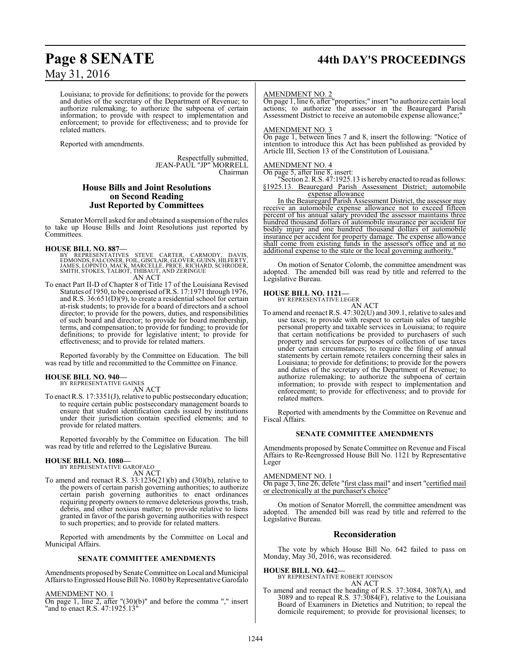Louisiana; to provide for definitions; to provide for the powers and duties of the secretary of the Department of Revenue; to authorize rulemaking; to authorize the subpoena of certain information; to provide with respect to implementation and enforcement; to provide for effectiveness; and to provide for related matters.

Reported with amendments.

Respectfully submitted, JEAN-PAUL "JP" MORRELL Chairman

#### **House Bills and Joint Resolutions on Second Reading Just Reported by Committees**

Senator Morrell asked for and obtained a suspension of the rules to take up House Bills and Joint Resolutions just reported by Committees.

#### **HOUSE BILL NO. 887—**

BY REPRESENTATIVES STEVE CARTER, CARMODY, DAVIS,<br>EDMONDS,FALCONER,FOIL,GISCLAIR,GLOVER,GUINN,HILFERTY,<br>JAMES,LOPINTO,MACK,MARCELLE,PRICE,RICHARD,SCHRODER,<br>SMITH,STOKES,TALBOT,THIBAUT,ANDZERINGUE AN ACT

To enact Part II-D of Chapter 8 of Title 17 of the Louisiana Revised Statutes of 1950, to be comprised ofR.S. 17:1971 through 1976, and R.S. 36:651(D)(9), to create a residential school for certain at-risk students; to provide for a board of directors and a school director; to provide for the powers, duties, and responsibilities of such board and director; to provide for board membership, terms, and compensation; to provide for funding; to provide for definitions; to provide for legislative intent; to provide for effectiveness; and to provide for related matters.

Reported favorably by the Committee on Education. The bill was read by title and recommitted to the Committee on Finance.

#### **HOUSE BILL NO. 940—**

BY REPRESENTATIVE GAINES AN ACT

To enact R.S. 17:3351(J), relative to public postsecondary education; to require certain public postsecondary management boards to ensure that student identification cards issued by institutions under their jurisdiction contain specified elements; and to provide for related matters.

Reported favorably by the Committee on Education. The bill was read by title and referred to the Legislative Bureau.

#### **HOUSE BILL NO. 1080—** BY REPRESENTATIVE GAROFALO

AN ACT

To amend and reenact R.S. 33:1236(21)(b) and (30)(b), relative to the powers of certain parish governing authorities; to authorize certain parish governing authorities to enact ordinances requiring property owners to remove deleterious growths, trash, debris, and other noxious matter; to provide relative to liens granted in favor of the parish governing authorities with respect to such properties; and to provide for related matters.

Reported with amendments by the Committee on Local and Municipal Affairs.

#### **SENATE COMMITTEE AMENDMENTS**

Amendments proposed by Senate Committee on Local and Municipal Affairs to Engrossed House Bill No. 1080 by Representative Garofalo

#### AMENDMENT NO. 1

 $\overline{On}$  page 1, line 2, after "(30)(b)" and before the comma "," insert "and to enact R.S. 47:1925.13"

#### AMENDMENT NO. 2

On page 1, line 6, after "properties;" insert "to authorize certain local actions; to authorize the assessor in the Beauregard Parish Assessment District to receive an automobile expense allowance;"

#### AMENDMENT NO. 3

On page 1, between lines 7 and 8, insert the following: "Notice of intention to introduce this Act has been published as provided by Article III, Section 13 of the Constitution of Louisiana."

#### AMENDMENT NO. 4

On page 5, after line 8, insert:

"Section 2. R.S. 47:1925.13 is hereby enacted to read as follows: §1925.13. Beauregard Parish Assessment District; automobile expense allowance

In the Beauregard Parish Assessment District, the assessor may receive an automobile expense allowance not to exceed fifteen percent of his annual salary provided the assessor maintains three hundred thousand dollars of automobile insurance per accident for bodily injury and one hundred thousand dollars of automobile insurance per accident for property damage. The expense allowance shall come from existing funds in the assessor's office and at no additional expense to the state or the local governing authority.

On motion of Senator Colomb, the committee amendment was adopted. The amended bill was read by title and referred to the Legislative Bureau.

#### **HOUSE BILL NO. 1121—**

BY REPRESENTATIVE LEGER

AN ACT To amend and reenact R.S. 47:302(U) and 309.1, relative to sales and use taxes; to provide with respect to certain sales of tangible personal property and taxable services in Louisiana; to require that certain notifications be provided to purchasers of such property and services for purposes of collection of use taxes under certain circumstances; to require the filing of annual statements by certain remote retailers concerning their sales in Louisiana; to provide for definitions; to provide for the powers and duties of the secretary of the Department of Revenue; to authorize rulemaking; to authorize the subpoena of certain information; to provide with respect to implementation and enforcement; to provide for effectiveness; and to provide for related matters.

Reported with amendments by the Committee on Revenue and Fiscal Affairs.

#### **SENATE COMMITTEE AMENDMENTS**

Amendments proposed by Senate Committee on Revenue and Fiscal Affairs to Re-Reengrossed House Bill No. 1121 by Representative Leger

#### AMENDMENT NO. 1

On page 3, line 26, delete "first class mail" and insert "certified mail or electronically at the purchaser's choice"

On motion of Senator Morrell, the committee amendment was adopted. The amended bill was read by title and referred to the Legislative Bureau.

#### **Reconsideration**

The vote by which House Bill No. 642 failed to pass on Monday, May 30, 2016, was reconsidered.

#### **HOUSE BILL NO. 642—**

BY REPRESENTATIVE ROBERT JOHNSON AN ACT

To amend and reenact the heading of R.S. 37:3084, 3087(A), and 3089 and to repeal R.S. 37:3084(F), relative to the Louisiana Board of Examiners in Dietetics and Nutrition; to repeal the domicile requirement; to provide for provisional licenses; to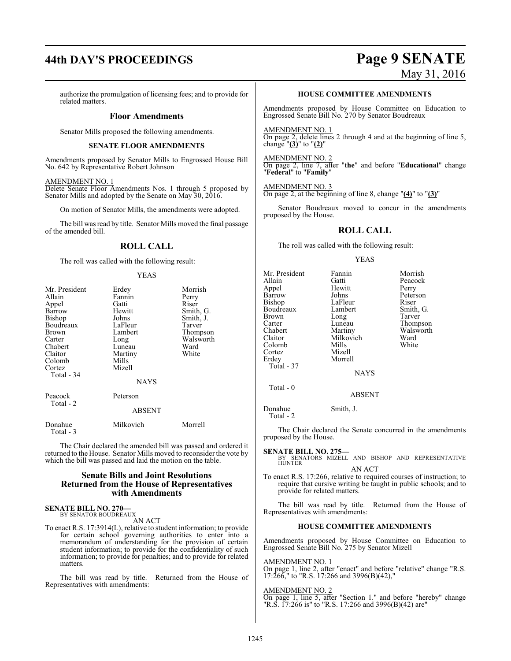# **44th DAY'S PROCEEDINGS Page 9 SENATE**

# May 31, 2016

authorize the promulgation of licensing fees; and to provide for related matters.

#### **Floor Amendments**

Senator Mills proposed the following amendments.

#### **SENATE FLOOR AMENDMENTS**

Amendments proposed by Senator Mills to Engrossed House Bill No. 642 by Representative Robert Johnson

#### AMENDMENT NO. 1

Delete Senate Floor Amendments Nos. 1 through 5 proposed by Senator Mills and adopted by the Senate on May 30, 2016.

On motion of Senator Mills, the amendments were adopted.

The bill was read by title. Senator Mills moved the final passage of the amended bill.

#### **ROLL CALL**

The roll was called with the following result:

#### YEAS

| Mr. President<br>Allain | Erdey<br>Fannin | Morrish<br>Perry |
|-------------------------|-----------------|------------------|
| Appel                   | Gatti           | Riser            |
| Barrow                  | Hewitt          | Smith, G.        |
| Bishop                  | Johns           | Smith, J.        |
| Boudreaux               | LaFleur         | Tarver           |
| Brown                   | Lambert         | Thompson         |
| Carter                  | Long            | Walsworth        |
| Chabert                 | Luneau          | Ward             |
| Claitor                 | Martiny         | White            |
| Colomb                  | Mills           |                  |
| Cortez                  | Mizell          |                  |
| Total - 34              |                 |                  |
|                         | <b>NAYS</b>     |                  |
| Peacock                 | Peterson        |                  |
| Total - 2               | <b>ABSENT</b>   |                  |
| Donahue<br>Total - 3    | Milkovich       | Morrell          |

The Chair declared the amended bill was passed and ordered it returned to the House. Senator Mills moved to reconsider the vote by which the bill was passed and laid the motion on the table.

#### **Senate Bills and Joint Resolutions Returned from the House of Representatives with Amendments**

#### **SENATE BILL NO. 270—** BY SENATOR BOUDREAUX

AN ACT

To enact R.S. 17:3914(L), relative to student information; to provide for certain school governing authorities to enter into a memorandum of understanding for the provision of certain student information; to provide for the confidentiality of such information; to provide for penalties; and to provide for related matters.

The bill was read by title. Returned from the House of Representatives with amendments:

#### **HOUSE COMMITTEE AMENDMENTS**

Amendments proposed by House Committee on Education to Engrossed Senate Bill No. 270 by Senator Boudreaux

AMENDMENT NO. 1 On page 2, delete lines 2 through 4 and at the beginning of line 5, change "**(3)**" to "**(2)**"

AMENDMENT NO. 2 On page 2, line 7, after "**the**" and before "**Educational**" change "**Federal**" to "**Family**"

AMENDMENT NO. 3 On page 2, at the beginning of line 8, change "**(4)**" to "**(3)**"

Senator Boudreaux moved to concur in the amendments proposed by the House.

#### **ROLL CALL**

The roll was called with the following result:

#### YEAS

| Mr. President<br>Allain<br>Appel<br>Barrow<br>Bishop<br>Boudreaux<br>Brown<br>Carter<br>Chabert | Fannin<br>Gatti<br>Hewitt<br>Johns<br>LaFleur<br>Lambert<br>Long<br>Luneau<br>Martiny<br>Milkovich | Morrish<br>Peacock<br>Perry<br>Peterson<br>Riser<br>Smith, G.<br>Tarver<br>Thompson<br>Walsworth |
|-------------------------------------------------------------------------------------------------|----------------------------------------------------------------------------------------------------|--------------------------------------------------------------------------------------------------|
| Claitor<br>Colomb                                                                               | Mills                                                                                              | Ward<br>White                                                                                    |
| Cortez<br>Erdey                                                                                 | Mizell<br>Morrell                                                                                  |                                                                                                  |
| Total - 37                                                                                      |                                                                                                    |                                                                                                  |
|                                                                                                 | <b>NAYS</b>                                                                                        |                                                                                                  |
| Total - 0                                                                                       | <b>ABSENT</b>                                                                                      |                                                                                                  |
| Donahue<br>Total - 2                                                                            | Smith, J.                                                                                          |                                                                                                  |

**BSENT** 

The Chair declared the Senate concurred in the amendments proposed by the House.

#### **SENATE BILL NO. 275—**

BY SENATORS MIZELL AND BISHOP AND REPRESENTATIVE HUNTER<sup>1</sup> AN ACT

To enact R.S. 17:266, relative to required courses of instruction; to require that cursive writing be taught in public schools; and to provide for related matters.

The bill was read by title. Returned from the House of Representatives with amendments:

#### **HOUSE COMMITTEE AMENDMENTS**

Amendments proposed by House Committee on Education to Engrossed Senate Bill No. 275 by Senator Mizell

AMENDMENT NO. 1 On page 1, line 2, after "enact" and before "relative" change "R.S. 17:266," to "R.S. 17:266 and 3996(B)(42),"

#### AMENDMENT NO. 2

On page 1, line 5, after "Section 1." and before "hereby" change "R.S. 17:266 is" to "R.S. 17:266 and 3996(B)(42) are"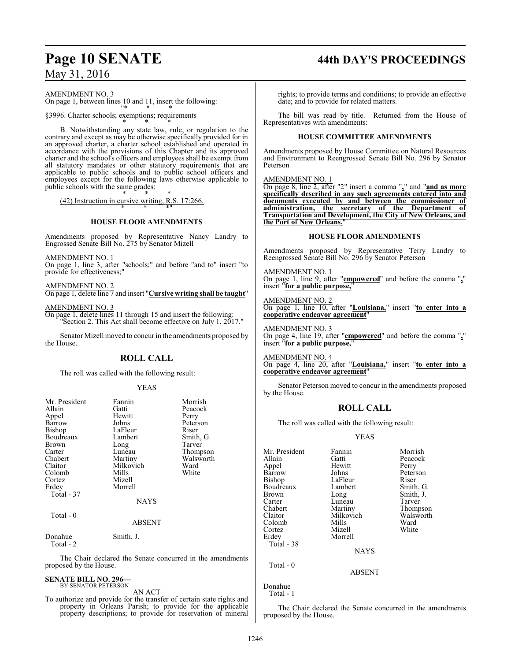# AMENDMENT NO. 3

On page 1, between lines 10 and 11, insert the following:

"\* \* \* §3996. Charter schools; exemptions; requirements

\* \* \* B. Notwithstanding any state law, rule, or regulation to the contrary and except as may be otherwise specifically provided for in an approved charter, a charter school established and operated in accordance with the provisions of this Chapter and its approved charter and the school's officers and employees shall be exempt from all statutory mandates or other statutory requirements that are applicable to public schools and to public school officers and employees except for the following laws otherwise applicable to public schools with the same grades:

\* \* \* (42) Instruction in cursive writing, R.S. 17:266.

## \* \* \*" **HOUSE FLOOR AMENDMENTS**

Amendments proposed by Representative Nancy Landry to Engrossed Senate Bill No. 275 by Senator Mizell

AMENDMENT NO. 1

On page 1, line 3, after "schools;" and before "and to" insert "to provide for effectiveness;"

AMENDMENT NO. 2

On page 1, delete line 7 and insert "**Cursive writing shall be taught**"

AMENDMENT NO. 3

On page 1, delete lines 11 through 15 and insert the following: "Section 2. This Act shall become effective on July 1, 2017."

Senator Mizell moved to concur in the amendments proposed by the House.

## **ROLL CALL**

The roll was called with the following result:

#### YEAS

| Mr. President<br>Allain<br>Appel<br>Barrow<br>Bishop<br>Boudreaux<br>Brown<br>Carter<br>Chabert<br>Claitor<br>Colomb<br>Cortez<br>Erdey<br>Total - 37 | Fannin<br>Gatti<br>Hewitt<br>Johns<br>LaFleur<br>Lambert<br>Long<br>Luneau<br>Martiny<br>Milkovich<br>Mills<br>Mizell<br>Morrell | Morrish<br>Peacock<br>Perry<br>Peterson<br>Riser<br>Smith, G.<br>Tarver<br>Thompson<br>Walsworth<br>Ward<br>White |
|-------------------------------------------------------------------------------------------------------------------------------------------------------|----------------------------------------------------------------------------------------------------------------------------------|-------------------------------------------------------------------------------------------------------------------|
| Total - 0                                                                                                                                             | <b>NAYS</b>                                                                                                                      |                                                                                                                   |
|                                                                                                                                                       | <b>ABSENT</b>                                                                                                                    |                                                                                                                   |
| Donahue<br>Total - 2                                                                                                                                  | Smith, J.                                                                                                                        |                                                                                                                   |

The Chair declared the Senate concurred in the amendments proposed by the House.

#### **SENATE BILL NO. 296—** BY SENATOR PETERSON

AN ACT

To authorize and provide for the transfer of certain state rights and property in Orleans Parish; to provide for the applicable property descriptions; to provide for reservation of mineral

# **Page 10 SENATE 44th DAY'S PROCEEDINGS**

rights; to provide terms and conditions; to provide an effective date; and to provide for related matters.

The bill was read by title. Returned from the House of Representatives with amendments:

#### **HOUSE COMMITTEE AMENDMENTS**

Amendments proposed by House Committee on Natural Resources and Environment to Reengrossed Senate Bill No. 296 by Senator Peterson

AMENDMENT NO. 1

On page 8, line 2, after "2" insert a comma "**,**" and "**and as more specifically described in any such agreements entered into and documents executed by and between the commissioner of administration, the secretary of the Department of Transportation and Development, the City of New Orleans, and the Port of New Orleans,**"

#### **HOUSE FLOOR AMENDMENTS**

Amendments proposed by Representative Terry Landry to Reengrossed Senate Bill No. 296 by Senator Peterson

AMENDMENT NO. 1 On page 1, line 9, after "**empowered**" and before the comma "**,**" insert "**for a public purpose**,

AMENDMENT NO. 2 On page 1, line 10, after "**Louisiana,**" insert "**to enter into a cooperative endeavor agreement**"

AMENDMENT NO. 3 On page 4, line 19, after "**empowered**" and before the comma "**,**" insert "**for a public purpose,**"

AMENDMENT NO. 4 On page 4, line 20, after "**Louisiana,**" insert "**to enter into a cooperative endeavor agreement**"

Senator Peterson moved to concur in the amendments proposed by the House.

#### **ROLL CALL**

The roll was called with the following result:

#### YEAS

| Mr. President | Fannin    | Morrish   |
|---------------|-----------|-----------|
| Allain        | Gatti     | Peacock   |
| Appel         | Hewitt    | Perry     |
| Barrow        | Johns     | Peterson  |
| <b>Bishop</b> | LaFleur   | Riser     |
| Boudreaux     | Lambert   | Smith, G. |
| <b>Brown</b>  | Long      | Smith, J. |
| Carter        | Luneau    | Tarver    |
| Chabert       | Martiny   | Thompson  |
| Claitor       | Milkovich | Walsworth |
| Colomb        | Mills     | Ward      |
| Cortez        | Mizell    | White     |
| Erdey         | Morrell   |           |
| Total - 38    |           |           |
|               | NAYS      |           |

ABSENT

Total - 0

Donahue Total - 1

The Chair declared the Senate concurred in the amendments proposed by the House.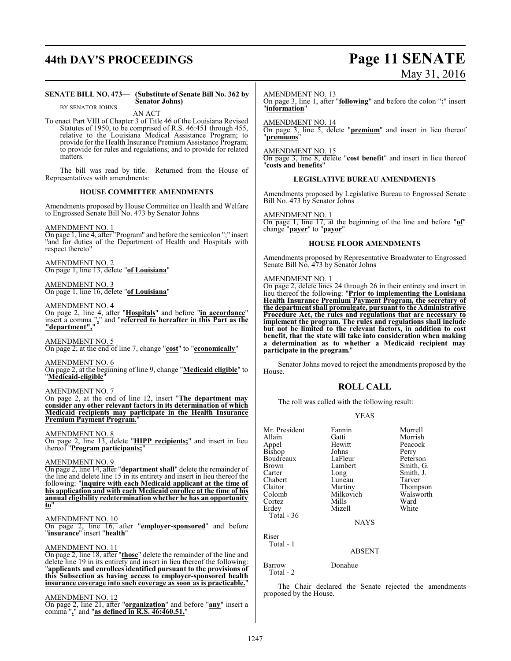# **44th DAY'S PROCEEDINGS Page 11 SENATE**

**SENATE BILL NO. 473— (Substitute of Senate Bill No. 362 by Senator Johns)**

# May 31, 2016

### BY SENATOR JOHNS AN ACT To enact Part VIII of Chapter 3 of Title 46 of the Louisiana Revised Statutes of 1950, to be comprised of R.S. 46:451 through 455, relative to the Louisiana Medical Assistance Program; to provide for the Health Insurance Premium Assistance Program; to provide for rules and regulations; and to provide for related matters. The bill was read by title. Returned from the House of Representatives with amendments: **HOUSE COMMITTEE AMENDMENTS** Amendments proposed by House Committee on Health and Welfare to Engrossed Senate Bill No. 473 by Senator Johns AMENDMENT NO. 1 On page 1, line 4, after "Program" and before the semicolon ";" insert "and for duties of the Department of Health and Hospitals with respect thereto" AMENDMENT NO. 2 On page 1, line 13, delete "**of Louisiana**" AMENDMENT NO. 3 On page 1, line 16, delete "**of Louisiana**" AMENDMENT NO. 4 On page 2, line 4, after "**Hospitals**" and before "**in accordance**" insert a comma "**,**" and "**referred to hereafter in this Part as the "department",**" AMENDMENT NO. 5 On page 2, at the end of line 7, change "**cost**" to "**economically**" AMENDMENT NO. 6

On page 2, at the beginning of line 9, change "**Medicaid eligible**" to "**Medicaid-eligible**"

#### AMENDMENT NO. 7

On page 2, at the end of line 12, insert "**The department may consider any other relevant factors in its determination of which Medicaid recipients may participate in the Health Insurance Premium Payment Program.**"

#### AMENDMENT NO. 8

On page 2, line 13, delete "**HIPP recipients;**" and insert in lieu thereof "**Program participants;**"

#### AMENDMENT NO. 9

On page 2, line 14, after "**department shall**" delete the remainder of the line and delete line 15 in its entirety and insert in lieu thereof the following: "**inquire with each Medicaid applicant at the time of his application and with each Medicaid enrollee at the time of his annual eligibility redetermination whether he has an opportunity to**"

#### AMENDMENT NO. 10

On page 2, line 16, after "**employer-sponsored**" and before "**insurance**" insert "**health**"

#### AMENDMENT NO. 11

On page 2, line 18, after "**those**" delete the remainder of the line and delete line 19 in its entirety and insert in lieu thereof the following: "**applicants and enrollees identified pursuant to the provisions of this Subsection as having access to employer-sponsored health insurance coverage into such coverage as soon as is practicable.**"

#### AMENDMENT NO. 12

On page 2, line 21, after "**organization**" and before "**any**" insert a comma "**,**" and "**as defined in R.S. 46:460.51,**"

AMENDMENT NO. 13

On page 3, line 1, after "**following**" and before the colon "**:**" insert "**information**"

#### AMENDMENT NO. 14

On page 3, line 5, delete "**premium**" and insert in lieu thereof "**premiums**"

#### AMENDMENT NO. 15

On page 3, line 8, delete "**cost benefit**" and insert in lieu thereof "**costs and benefits**"

#### **LEGISLATIVE BUREAU AMENDMENTS**

Amendments proposed by Legislative Bureau to Engrossed Senate Bill No. 473 by Senator Johns

#### AMENDMENT NO. 1

On page 1, line 17, at the beginning of the line and before "**of**" change "**payer**" to "**payor**"

#### **HOUSE FLOOR AMENDMENTS**

Amendments proposed by Representative Broadwater to Engrossed Senate Bill No. 473 by Senator Johns

#### AMENDMENT NO. 1

On page 2, delete lines 24 through 26 in their entirety and insert in lieu thereof the following: "**Prior to implementing the Louisiana Health Insurance Premium Payment Program, the secretary of the department shall promulgate, pursuant to the Administrative Procedure Act, the rules and regulations that are necessary to implement the program. The rules and regulations shall include but not be limited to the relevant factors, in addition to cost benefit, that the state will take into consideration when making a determination as to whether a Medicaid recipient may participate in the program.**"

Senator Johns moved to reject the amendments proposed by the House.

### **ROLL CALL**

The roll was called with the following result:

#### YEAS

| Mr. President   | Fannin      | Morrell   |
|-----------------|-------------|-----------|
| Allain          | Gatti       | Morrish   |
|                 | Hewitt      | Peacock   |
| Appel<br>Bishop | Johns       | Perry     |
| Boudreaux       | LaFleur     | Peterson  |
| Brown           | Lambert     | Smith, G. |
| Carter          | Long        | Smith, J. |
| Chabert         | Luneau      | Tarver    |
| Claitor         | Martiny     | Thompson  |
| Colomb          | Milkovich   | Walsworth |
| Cortez          | Mills       | Ward      |
| Erdev           | Mizell      | White     |
| Total - 36      |             |           |
|                 | <b>NAYS</b> |           |
| Riser           |             |           |
| Total - 1       |             |           |
|                 |             |           |

#### ABSENT

Barrow Donahue Total - 2

The Chair declared the Senate rejected the amendments proposed by the House.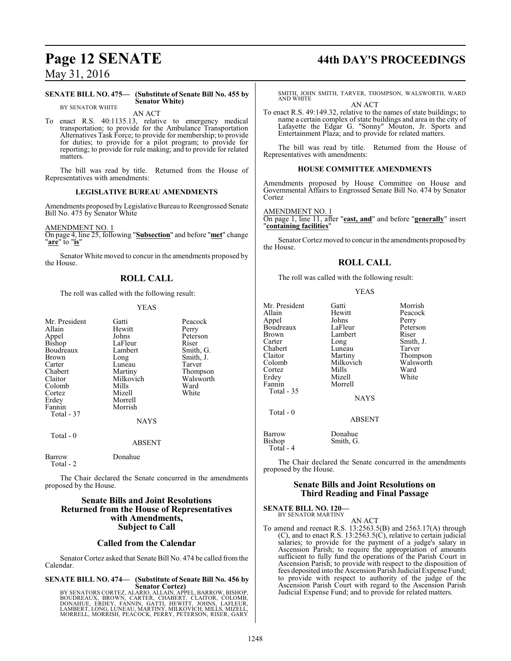#### **SENATE BILL NO. 475— (Substitute of Senate Bill No. 455 by Senator White)**

BY SENATOR WHITE

AN ACT To enact R.S. 40:1135.13, relative to emergency medical transportation; to provide for the Ambulance Transportation Alternatives Task Force; to provide for membership; to provide for duties; to provide for a pilot program; to provide for reporting; to provide for rule making; and to provide for related matters.

The bill was read by title. Returned from the House of Representatives with amendments:

#### **LEGISLATIVE BUREAU AMENDMENTS**

Amendments proposed by Legislative Bureau to Reengrossed Senate Bill No. 475 by Senator White

AMENDMENT NO. 1

On page 4, line 25, following "**Subsection**" and before "**met**" change "**are**" to "**is**"

Senator White moved to concur in the amendments proposed by the House.

### **ROLL CALL**

The roll was called with the following result:

#### YEAS

| Mr. President<br>Allain<br>Appel<br>Bishop<br>Boudreaux<br><b>Brown</b><br>Carter<br>Chabert<br>Claitor<br>Colomb<br>Cortez<br>Erdey<br>Fannin<br>Total - 37 | Gatti<br>Hewitt<br>Johns<br>LaFleur<br>Lambert<br>Long<br>Luneau<br>Martiny<br>Milkovich<br>Mills<br>Mizell<br>Morrell<br>Morrish<br><b>NAYS</b> | Peacock<br>Perry<br>Peterson<br>Riser<br>Smith, G.<br>Smith, J.<br>Tarver<br>Thompson<br>Walsworth<br>Ward<br>White |
|--------------------------------------------------------------------------------------------------------------------------------------------------------------|--------------------------------------------------------------------------------------------------------------------------------------------------|---------------------------------------------------------------------------------------------------------------------|
| Total $-0$                                                                                                                                                   | ABSENT                                                                                                                                           |                                                                                                                     |
| <b>Barrow</b><br>Total - 2                                                                                                                                   | Donahue                                                                                                                                          |                                                                                                                     |

The Chair declared the Senate concurred in the amendments proposed by the House.

#### **Senate Bills and Joint Resolutions Returned from the House of Representatives with Amendments, Subject to Call**

#### **Called from the Calendar**

Senator Cortez asked that Senate Bill No. 474 be called fromthe Calendar.

**SENATE BILL NO. 474— (Substitute of Senate Bill No. 456 by**

**Senator Cortez)**<br>BY SENATORS CORTEZ, ALARIO, ALLAIN, APPEL, BARROW, BISHOP,<br>BOUDREAUX, BROWN, CARTER, CHABERT, CLAITOR, COLOMB,<br>DONAHUE, ERDEY, FANNIN, GATTI, HEWITT, JOHNS, LAFLEUR,<br>LAMBERT, LONG, LUNEAU, MARTINY, MILKOV MORRELL, MORRISH, PEACOCK, PERRY, PETERSON, RISER, GARY

# **Page 12 SENATE 44th DAY'S PROCEEDINGS**

SMITH, JOHN SMITH, TARVER, THOMPSON, WALSWORTH, WARD AND WHITE AN ACT

To enact R.S. 49:149.32, relative to the names of state buildings; to name a certain complex of state buildings and area in the city of Lafayette the Edgar G. "Sonny" Mouton, Jr. Sports and Entertainment Plaza; and to provide for related matters.

The bill was read by title. Returned from the House of Representatives with amendments:

#### **HOUSE COMMITTEE AMENDMENTS**

Amendments proposed by House Committee on House and Governmental Affairs to Engrossed Senate Bill No. 474 by Senator Cortez

#### AMENDMENT NO. 1

On page 1, line 11, after "**east, and**" and before "**generally**" insert "**containing facilities**"

Senator Cortez moved to concur in the amendments proposed by the House.

#### **ROLL CALL**

The roll was called with the following result:

#### YEAS

| Mr. President | Gatti       | Morrish       |
|---------------|-------------|---------------|
| Allain        | Hewitt      | Peacock       |
| Appel         | Johns       | Perry         |
| Boudreaux     | LaFleur     | Peterson      |
| <b>Brown</b>  | Lambert     | Riser         |
| Carter        | Long        | Smith, J.     |
| Chabert       | Luneau      | Tarver        |
| Claitor       | Martiny     | <b>Thomps</b> |
| Colomb        | Milkovich   | Walswor       |
| Cortez        | Mills       | Ward          |
| Erdey         | Mizell      | White         |
| Fannin        | Morrell     |               |
| Total - 35    |             |               |
|               | <b>NAYS</b> |               |
| Total - 0     |             |               |

Johns Perry<br>LaFleur Peters Peterson<br>Riser Smith, J.<br>Tarver Martiny Thompson<br>Milkovich Walsworth Walsworth<br>Ward Mills Ward<br>
Mizell White

ABSENT

Barrow Donahue<br>Bishop Smith, G. Smith, G. Total - 4

The Chair declared the Senate concurred in the amendments proposed by the House.

#### **Senate Bills and Joint Resolutions on Third Reading and Final Passage**

**SENATE BILL NO. 120—** BY SENATOR MARTINY

AN ACT

To amend and reenact R.S. 13:2563.5(B) and 2563.17(A) through (C), and to enact R.S. 13:2563.5(C), relative to certain judicial salaries; to provide for the payment of a judge's salary in Ascension Parish; to require the appropriation of amounts sufficient to fully fund the operations of the Parish Court in Ascension Parish; to provide with respect to the disposition of fees deposited into the Ascension Parish Judicial Expense Fund; to provide with respect to authority of the judge of the Ascension Parish Court with regard to the Ascension Parish Judicial Expense Fund; and to provide for related matters.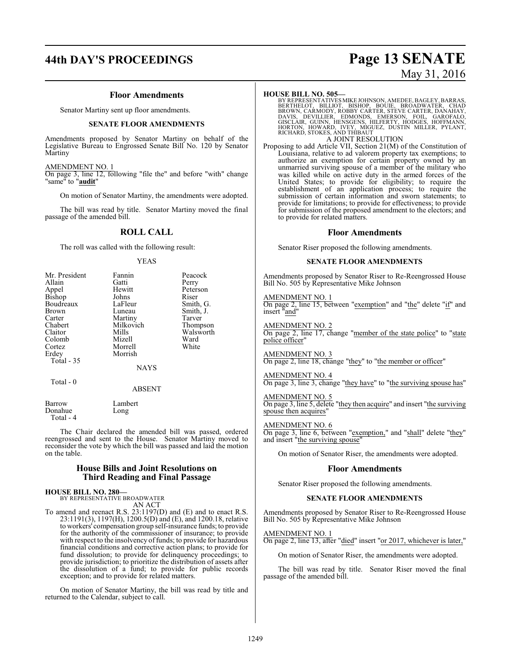#### **Floor Amendments**

Senator Martiny sent up floor amendments.

#### **SENATE FLOOR AMENDMENTS**

Amendments proposed by Senator Martiny on behalf of the Legislative Bureau to Engrossed Senate Bill No. 120 by Senator Martiny

#### AMENDMENT NO. 1

On page 3, line 12, following "file the" and before "with" change "same" to "**audit**"

On motion of Senator Martiny, the amendments were adopted.

The bill was read by title. Senator Martiny moved the final passage of the amended bill.

#### **ROLL CALL**

The roll was called with the following result:

YEAS

| Mr. President     | Fannin          | Peacock   |
|-------------------|-----------------|-----------|
| Allain            | Gatti           | Perry     |
| Appel             | Hewitt          | Peterson  |
| Bishop            | Johns           | Riser     |
| Boudreaux         | LaFleur         | Smith, G. |
| Brown             | Luneau          | Smith, J. |
| Carter            | Martiny         | Tarver    |
| Chabert           | Milkovich       | Thompson  |
| Claitor           | Mills           | Walsworth |
| Colomb            | Mizell          | Ward      |
| Cortez            | Morrell         | White     |
| Erdey             | Morrish         |           |
| Total - 35        |                 |           |
|                   | <b>NAYS</b>     |           |
| Total - 0         |                 |           |
|                   | <b>ABSENT</b>   |           |
| Barrow<br>Donahue | Lambert<br>Long |           |

 Total - 4 The Chair declared the amended bill was passed, ordered reengrossed and sent to the House. Senator Martiny moved to reconsider the vote by which the bill was passed and laid the motion on the table.

#### **House Bills and Joint Resolutions on Third Reading and Final Passage**

#### **HOUSE BILL NO. 280—**

BY REPRESENTATIVE BROADWATER AN ACT

To amend and reenact R.S. 23:1197(D) and (E) and to enact R.S. 23:1191(3), 1197(H), 1200.5(D) and (E), and 1200.18, relative to workers' compensation group self-insurance funds; to provide for the authority of the commissioner of insurance; to provide with respect to the insolvency of funds; to provide for hazardous financial conditions and corrective action plans; to provide for fund dissolution; to provide for delinquency proceedings; to provide jurisdiction; to prioritize the distribution of assets after the dissolution of a fund; to provide for public records exception; and to provide for related matters.

On motion of Senator Martiny, the bill was read by title and returned to the Calendar, subject to call.

# **44th DAY'S PROCEEDINGS Page 13 SENATE** May 31, 2016

#### **HOUSE BILL NO. 505—**

BY REPRESENTATIVES MIKE JOHNSON, AMEDEE, BAGLEY, BARRAS,<br>BERTHELOT, BILLIOT, BISHOP, BOUIE, BROADWATER, CHAD<br>BROWN, CARMODY, ROBBY CARTER, STEVE CARTER, DANAHAY,<br>DAVIS, DEVILLIER, EDMONDS, EMERSON, FOIL, GAROFALO,<br>GISCLAIR A JOINT RESOLUTION

Proposing to add Article VII, Section 21(M) of the Constitution of Louisiana, relative to ad valorem property tax exemptions; to authorize an exemption for certain property owned by an unmarried surviving spouse of a member of the military who was killed while on active duty in the armed forces of the United States; to provide for eligibility; to require the establishment of an application process; to require the submission of certain information and sworn statements; to provide for limitations; to provide for effectiveness; to provide for submission of the proposed amendment to the electors; and to provide for related matters.

#### **Floor Amendments**

Senator Riser proposed the following amendments.

#### **SENATE FLOOR AMENDMENTS**

Amendments proposed by Senator Riser to Re-Reengrossed House Bill No. 505 by Representative Mike Johnson

#### AMENDMENT NO. 1

On page 2, line 15, between "exemption" and "the" delete "if" and insert "and"

AMENDMENT NO. 2

On page 2, line 17, change "member of the state police" to "state police officer"

AMENDMENT NO. 3 On page 2, line 18, change "they" to "the member or officer"

AMENDMENT NO. 4 On page 3, line 3, change "they have" to "the surviving spouse has"

AMENDMENT NO. 5 On page 3, line 5, delete "they then acquire" and insert "the surviving spouse then acquires"

AMENDMENT NO. 6 On page 3, line 6, between "exemption," and "shall" delete "they" and insert "the surviving spouse"

On motion of Senator Riser, the amendments were adopted.

#### **Floor Amendments**

Senator Riser proposed the following amendments.

#### **SENATE FLOOR AMENDMENTS**

Amendments proposed by Senator Riser to Re-Reengrossed House Bill No. 505 by Representative Mike Johnson

AMENDMENT NO. 1 On page 2, line 13, after "died" insert "or 2017, whichever is later,"

On motion of Senator Riser, the amendments were adopted.

The bill was read by title. Senator Riser moved the final passage of the amended bill.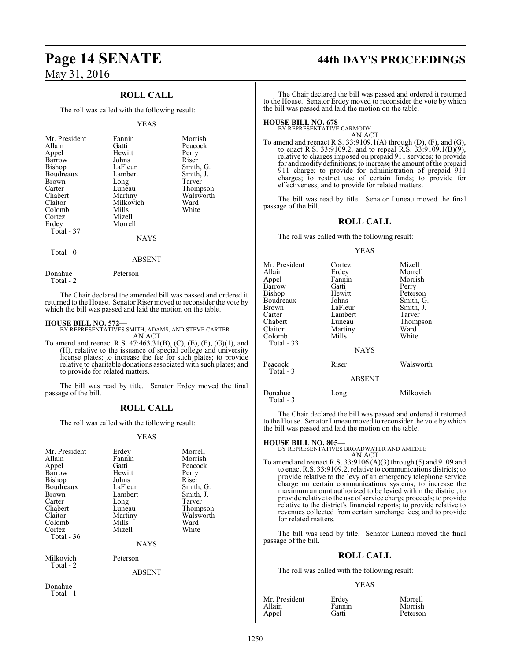### **ROLL CALL**

The roll was called with the following result:

#### YEAS

| Mr. President<br>Allain<br>Appel<br>Barrow<br>Bishop<br>Boudreaux<br><b>Brown</b><br>Carter<br>Chabert<br>Claitor | Fannin<br>Gatti<br>Hewitt<br>Johns<br>LaFleur<br>Lambert<br>Long<br>Luneau<br>Martiny<br>Milkovich | Morrish<br>Peacock<br>Perry<br>Riser<br>Smith, G.<br>Smith, J.<br>Tarver<br>Thompson<br>Walsworth<br>Ward |
|-------------------------------------------------------------------------------------------------------------------|----------------------------------------------------------------------------------------------------|-----------------------------------------------------------------------------------------------------------|
|                                                                                                                   |                                                                                                    |                                                                                                           |
|                                                                                                                   |                                                                                                    |                                                                                                           |
|                                                                                                                   |                                                                                                    |                                                                                                           |
|                                                                                                                   |                                                                                                    |                                                                                                           |
|                                                                                                                   |                                                                                                    |                                                                                                           |
| Colomb                                                                                                            | Mills                                                                                              | White                                                                                                     |
| Cortez                                                                                                            | Mizell                                                                                             |                                                                                                           |
| Erdey                                                                                                             | Morrell                                                                                            |                                                                                                           |
| Total - 37                                                                                                        |                                                                                                    |                                                                                                           |
|                                                                                                                   | <b>NAYS</b>                                                                                        |                                                                                                           |

## Total - 0

Total - 2

ABSENT

The Chair declared the amended bill was passed and ordered it returned to the House. Senator Riser moved to reconsider the vote by which the bill was passed and laid the motion on the table.

Donahue Peterson

**HOUSE BILL NO. 572—** BY REPRESENTATIVES SMITH, ADAMS, AND STEVE CARTER AN ACT

To amend and reenact R.S. 47:463.31(B), (C), (E), (F), (G)(1), and (H), relative to the issuance of special college and university license plates; to increase the fee for such plates; to provide relative to charitable donations associated with such plates; and to provide for related matters.

The bill was read by title. Senator Erdey moved the final passage of the bill.

#### **ROLL CALL**

The roll was called with the following result:

#### YEAS

| Mr. President<br>Allain<br>Appel<br>Barrow<br>Bishop<br>Boudreaux<br>Brown<br>Carter<br>Chabert<br>Claitor | Erdey<br>Fannin<br>Gatti<br>Hewitt<br>Johns<br>LaFleur<br>Lambert<br>Long<br>Luneau<br>Martiny | Morrell<br>Morrish<br>Peacock<br>Perry<br>Riser<br>Smith, G.<br>Smith, J.<br>Tarver<br>Thompson<br>Walsworth |
|------------------------------------------------------------------------------------------------------------|------------------------------------------------------------------------------------------------|--------------------------------------------------------------------------------------------------------------|
| Colomb                                                                                                     | Mills                                                                                          | Ward                                                                                                         |
| Cortez<br>Total - 36                                                                                       | Mizell                                                                                         | White                                                                                                        |
|                                                                                                            | <b>NAYS</b>                                                                                    |                                                                                                              |
| Milkovich<br>Total - 2                                                                                     | Peterson                                                                                       |                                                                                                              |

ABSENT

Donahue Total - 1

# **Page 14 SENATE 44th DAY'S PROCEEDINGS**

The Chair declared the bill was passed and ordered it returned to the House. Senator Erdey moved to reconsider the vote by which the bill was passed and laid the motion on the table.

# **HOUSE BILL NO. 678—** BY REPRESENTATIVE CARMODY

AN ACT

To amend and reenact R.S. 33:9109.1(A) through (D), (F), and (G), to enact R.S. 33:9109.2, and to repeal R.S. 33:9109.1(B)(9), relative to charges imposed on prepaid 911 services; to provide for and modify definitions; to increase the amount ofthe prepaid 911 charge; to provide for administration of prepaid 911 charges; to restrict use of certain funds; to provide for effectiveness; and to provide for related matters.

The bill was read by title. Senator Luneau moved the final passage of the bill.

#### **ROLL CALL**

The roll was called with the following result:

YEAS

| Mr. President<br>Allain<br>Appel<br>Barrow<br>Bishop<br>Boudreaux<br>Brown<br>Carter<br>Chabert<br>Claitor<br>Colomb<br>Total - 33 | Cortez<br>Erdey<br>Fannin<br>Gatti<br>Hewitt<br>Johns<br>LaFleur<br>Lambert<br>Luneau<br>Martiny<br>Mills | Mizell<br>Morrell<br>Morrish<br>Perry<br>Peterson<br>Smith, G.<br>Smith, J.<br>Tarver<br>Thompson<br>Ward<br>White |
|------------------------------------------------------------------------------------------------------------------------------------|-----------------------------------------------------------------------------------------------------------|--------------------------------------------------------------------------------------------------------------------|
| Peacock<br>Total - 3                                                                                                               | <b>NAYS</b><br>Riser                                                                                      | Walsworth                                                                                                          |
|                                                                                                                                    | <b>ABSENT</b>                                                                                             |                                                                                                                    |
| Donahue<br>Total - 3                                                                                                               | Long                                                                                                      | Milkovich                                                                                                          |

The Chair declared the bill was passed and ordered it returned to the House. Senator Luneau moved to reconsider the vote bywhich the bill was passed and laid the motion on the table.

#### **HOUSE BILL NO. 805—**

BY REPRESENTATIVES BROADWATER AND AMEDEE AN ACT

To amend and reenact R.S. 33:9106 (A)(3) through (5) and 9109 and to enact R.S. 33:9109.2, relative to communications districts; to provide relative to the levy of an emergency telephone service charge on certain communications systems; to increase the maximum amount authorized to be levied within the district; to provide relative to the use ofservice charge proceeds; to provide relative to the district's financial reports; to provide relative to revenues collected from certain surcharge fees; and to provide for related matters.

The bill was read by title. Senator Luneau moved the final passage of the bill.

#### **ROLL CALL**

The roll was called with the following result:

#### YEAS

| Mr. President | Erdey  | Morrell  |
|---------------|--------|----------|
| Allain        | Fannin | Morrish  |
| Appel         | Gatti  | Peterson |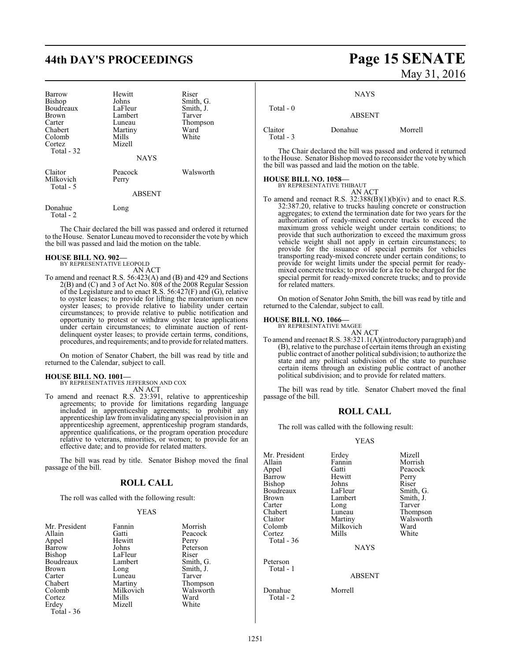# **44th DAY'S PROCEEDINGS Page 15 SENATE**

| Barrow<br>Bishop<br>Boudreaux<br><b>Brown</b><br>Carter<br>Chabert<br>Colomb<br>Cortez<br>Total - 32 | Hewitt<br>Johns<br>LaFleur<br>Lambert<br>Luneau<br>Martiny<br>Mills<br>Mizell | Riser<br>Smith, G.<br>Smith, J.<br>Tarver<br>Thompson<br>Ward<br>White |
|------------------------------------------------------------------------------------------------------|-------------------------------------------------------------------------------|------------------------------------------------------------------------|
|                                                                                                      | <b>NAYS</b>                                                                   |                                                                        |
| Claitor<br>Milkovich<br>Total - 5                                                                    | Peacock<br>Perry<br><b>ABSENT</b>                                             | Walsworth                                                              |
| Donahue<br>Total - 2                                                                                 | Long                                                                          |                                                                        |

The Chair declared the bill was passed and ordered it returned to the House. Senator Luneau moved to reconsider the vote by which the bill was passed and laid the motion on the table.

#### **HOUSE BILL NO. 902—**

BY REPRESENTATIVE LEOPOLD AN ACT

To amend and reenact R.S. 56:423(A) and (B) and 429 and Sections 2(B) and (C) and 3 of Act No. 808 of the 2008 Regular Session of the Legislature and to enact R.S.  $56:427(F)$  and  $(G)$ , relative to oyster leases; to provide for lifting the moratorium on new oyster leases; to provide relative to liability under certain circumstances; to provide relative to public notification and opportunity to protest or withdraw oyster lease applications under certain circumstances; to eliminate auction of rentdelinquent oyster leases; to provide certain terms, conditions, procedures, and requirements; and to provide for relatedmatters.

On motion of Senator Chabert, the bill was read by title and returned to the Calendar, subject to call.

#### **HOUSE BILL NO. 1001—**

BY REPRESENTATIVES JEFFERSON AND COX

AN ACT To amend and reenact R.S. 23:391, relative to apprenticeship agreements; to provide for limitations regarding language included in apprenticeship agreements; to prohibit any apprenticeship law frominvalidating any special provision in an apprenticeship agreement, apprenticeship program standards, apprentice qualifications, or the program operation procedure relative to veterans, minorities, or women; to provide for an effective date; and to provide for related matters.

The bill was read by title. Senator Bishop moved the final passage of the bill.

#### **ROLL CALL**

The roll was called with the following result:

#### YEAS

| Mr. President<br>Allain<br>Appel<br>Barrow<br><b>Bishop</b><br>Boudreaux<br><b>Brown</b><br>Carter<br>Chabert<br>Colomb<br>Cortez | Fannin<br>Gatti<br>Hewitt<br>Johns<br>LaFleur<br>Lambert<br>Long<br>Luneau<br>Martiny<br>Milkovich<br>Mills | Morrish<br>Peacock<br>Perry<br>Peterson<br>Riser<br>Smith, G.<br>Smith, J.<br>Tarver<br>Thompson<br>Walsworth<br>Ward |
|-----------------------------------------------------------------------------------------------------------------------------------|-------------------------------------------------------------------------------------------------------------|-----------------------------------------------------------------------------------------------------------------------|
|                                                                                                                                   |                                                                                                             |                                                                                                                       |
| Erdey<br>Total - 36                                                                                                               | Mizell                                                                                                      | White                                                                                                                 |

# May 31, 2016

**NAYS** 

| Total - 0            | <b>ABSENT</b> |         |
|----------------------|---------------|---------|
| Claitor<br>Total - 3 | Donahue       | Morrell |

The Chair declared the bill was passed and ordered it returned to the House. Senator Bishop moved to reconsider the vote by which the bill was passed and laid the motion on the table.

#### **HOUSE BILL NO. 1058—**

BY REPRESENTATIVE THIBAUT

AN ACT To amend and reenact R.S.  $32:388(B)(1)(b)(iv)$  and to enact R.S. 32:387.20, relative to trucks hauling concrete or construction aggregates; to extend the termination date for two years for the authorization of ready-mixed concrete trucks to exceed the maximum gross vehicle weight under certain conditions; to provide that such authorization to exceed the maximum gross vehicle weight shall not apply in certain circumstances; to provide for the issuance of special permits for vehicles transporting ready-mixed concrete under certain conditions; to provide for weight limits under the special permit for readymixed concrete trucks; to provide for a fee to be charged for the special permit for ready-mixed concrete trucks; and to provide for related matters.

On motion of Senator John Smith, the bill was read by title and returned to the Calendar, subject to call.

#### **HOUSE BILL NO. 1066—**

BY REPRESENTATIVE MAGEE

AN ACT To amend and reenact R.S. 38:321.1(A)(introductory paragraph) and (B), relative to the purchase of certain items through an existing public contract of another political subdivision; to authorize the state and any political subdivision of the state to purchase certain items through an existing public contract of another political subdivision; and to provide for related matters.

The bill was read by title. Senator Chabert moved the final passage of the bill.

#### **ROLL CALL**

The roll was called with the following result:

#### YEAS

| Mr. President | Erdey       | Mizell    |
|---------------|-------------|-----------|
| Allain        | Fannin      | Morrish   |
| Appel         | Gatti       | Peacock   |
| Barrow        | Hewitt      | Perry     |
| <b>Bishop</b> | Johns       | Riser     |
| Boudreaux     | LaFleur     | Smith, G. |
| <b>Brown</b>  | Lambert     | Smith, J. |
| Carter        | Long        | Tarver    |
| Chabert       | Luneau      | Thompson  |
| Claitor       | Martiny     | Walsworth |
| Colomb        | Milkovich   | Ward      |
| Cortez        | Mills       | White     |
| Total - 36    |             |           |
|               | <b>NAYS</b> |           |
|               |             |           |

Peterson Total - 1

Donahue Morrell Total - 2

ABSENT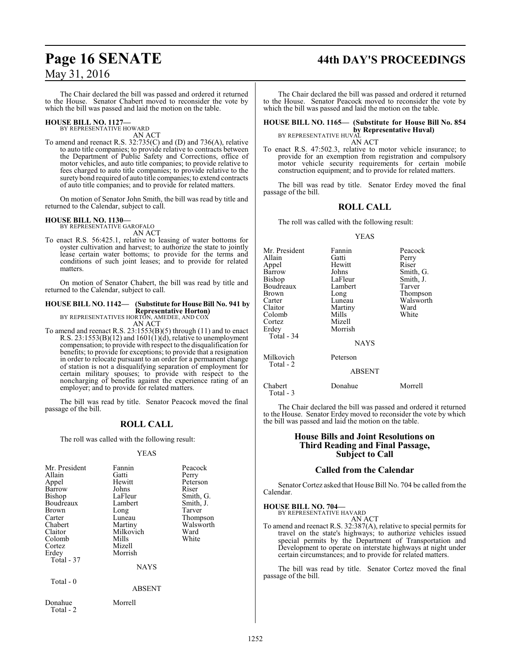# **Page 16 SENATE 44th DAY'S PROCEEDINGS**

The Chair declared the bill was passed and ordered it returned to the House. Senator Chabert moved to reconsider the vote by which the bill was passed and laid the motion on the table.

#### **HOUSE BILL NO. 1127—** BY REPRESENTATIVE HOWARD

AN ACT

To amend and reenact R.S. 32:735(C) and (D) and 736(A), relative to auto title companies; to provide relative to contracts between the Department of Public Safety and Corrections, office of motor vehicles, and auto title companies; to provide relative to fees charged to auto title companies; to provide relative to the surety bond required of auto title companies; to extend contracts of auto title companies; and to provide for related matters.

On motion of Senator John Smith, the bill was read by title and returned to the Calendar, subject to call.

#### **HOUSE BILL NO. 1130—**

BY REPRESENTATIVE GAROFALO AN ACT

To enact R.S. 56:425.1, relative to leasing of water bottoms for oyster cultivation and harvest; to authorize the state to jointly lease certain water bottoms; to provide for the terms and conditions of such joint leases; and to provide for related matters.

On motion of Senator Chabert, the bill was read by title and returned to the Calendar, subject to call.

## **HOUSE BILL NO. 1142— (Substitute for House Bill No. 941 by Representative Horton)** BY REPRESENTATIVES HORTON, AMEDEE, AND COX

AN ACT

To amend and reenact R.S. 23:1553(B)(5) through (11) and to enact R.S.  $23:1553(B)(12)$  and  $1601(1)(d)$ , relative to unemployment compensation; to provide with respect to the disqualification for benefits; to provide for exceptions; to provide that a resignation in order to relocate pursuant to an order for a permanent change of station is not a disqualifying separation of employment for certain military spouses; to provide with respect to the noncharging of benefits against the experience rating of an employer; and to provide for related matters.

The bill was read by title. Senator Peacock moved the final passage of the bill.

### **ROLL CALL**

The roll was called with the following result:

#### YEAS

| Mr. President<br>Allain<br>Appel<br>Barrow<br><b>Bishop</b><br>Boudreaux<br><b>Brown</b><br>Carter<br>Chabert<br>Claitor<br>Colomb<br>Cortez<br>Erdey<br>Total - 37<br>Total - 0 | Fannin<br>Gatti<br>Hewitt<br>Johns<br>LaFleur<br>Lambert<br>Long<br>Luneau<br>Martiny<br>Milkovich<br>Mills<br>Mizell<br>Morrish<br><b>NAYS</b><br><b>ABSENT</b> | Peacock<br>Perry<br>Peterson<br>Riser<br>Smith, G.<br>Smith, J.<br>Tarver<br>Thompson<br>Walsworth<br>Ward<br>White |
|----------------------------------------------------------------------------------------------------------------------------------------------------------------------------------|------------------------------------------------------------------------------------------------------------------------------------------------------------------|---------------------------------------------------------------------------------------------------------------------|
| Donahue<br>Total - 2                                                                                                                                                             | Morrell                                                                                                                                                          |                                                                                                                     |

The Chair declared the bill was passed and ordered it returned to the House. Senator Peacock moved to reconsider the vote by which the bill was passed and laid the motion on the table.

## **HOUSE BILL NO. 1165— (Substitute for House Bill No. 854 by Representative Huval)**<br>BY REPRESENTATIVE HUVAL

AN ACT

To enact R.S. 47:502.3, relative to motor vehicle insurance; to provide for an exemption from registration and compulsory motor vehicle security requirements for certain mobile construction equipment; and to provide for related matters.

The bill was read by title. Senator Erdey moved the final passage of the bill.

#### **ROLL CALL**

The roll was called with the following result:

#### YEAS

| Mr. President<br>Allain<br>Appel<br>Barrow<br>Bishop<br>Boudreaux<br>Brown<br>Carter<br>Claitor<br>Colomb<br>Cortez<br>Erdey<br>Total - 34 | Fannin<br>Gatti<br>Hewitt<br>Johns<br>LaFleur<br>Lambert<br>Long<br>Luneau<br>Martiny<br>Mills<br>Mizell<br>Morrish | Peacock<br>Perry<br>Riser<br>Smith, G.<br>Smith, J.<br>Tarver<br>Thompson<br>Walsworth<br>Ward<br>White |
|--------------------------------------------------------------------------------------------------------------------------------------------|---------------------------------------------------------------------------------------------------------------------|---------------------------------------------------------------------------------------------------------|
|                                                                                                                                            | <b>NAYS</b>                                                                                                         |                                                                                                         |
| Milkovich<br>Total - 2                                                                                                                     | Peterson                                                                                                            |                                                                                                         |
|                                                                                                                                            | <b>ABSENT</b>                                                                                                       |                                                                                                         |
| Chabert                                                                                                                                    | Donahue                                                                                                             | Morrell                                                                                                 |

The Chair declared the bill was passed and ordered it returned to the House. Senator Erdey moved to reconsider the vote by which the bill was passed and laid the motion on the table.

#### **House Bills and Joint Resolutions on Third Reading and Final Passage, Subject to Call**

#### **Called from the Calendar**

Senator Cortez asked that House Bill No. 704 be called fromthe Calendar.

# **HOUSE BILL NO. 704—** BY REPRESENTATIVE HAVARD

Total - 3

AN ACT

To amend and reenact R.S. 32:387(A), relative to special permits for travel on the state's highways; to authorize vehicles issued special permits by the Department of Transportation and Development to operate on interstate highways at night under certain circumstances; and to provide for related matters.

The bill was read by title. Senator Cortez moved the final passage of the bill.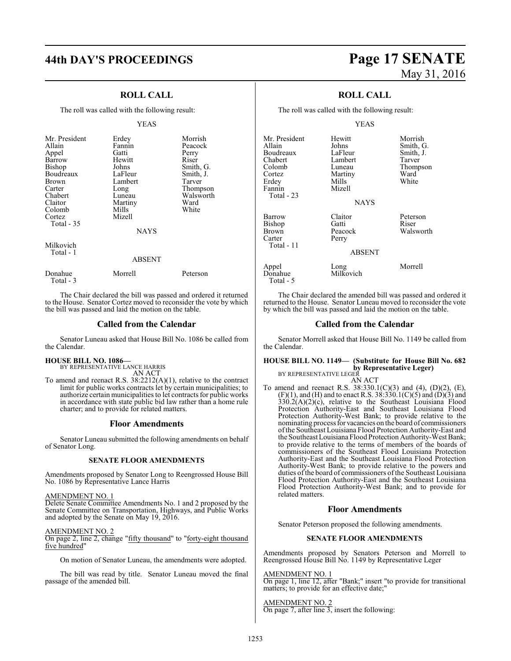# **44th DAY'S PROCEEDINGS Page 17 SENATE**

### **ROLL CALL**

The roll was called with the following result:

#### YEAS

| Mr. President<br>Allain<br>Appel<br>Barrow<br><b>Bishop</b><br>Boudreaux<br>Brown<br>Carter<br>Chabert<br>Claitor | Erdey<br>Fannin<br>Gatti<br>Hewitt<br>Johns<br>LaFleur<br>Lambert<br>Long<br>Luneau<br>Martiny | Morrish<br>Peacock<br>Perry<br>Riser<br>Smith, G.<br>Smith, J.<br>Tarver<br>Thompson<br>Walsworth<br>Ward |
|-------------------------------------------------------------------------------------------------------------------|------------------------------------------------------------------------------------------------|-----------------------------------------------------------------------------------------------------------|
| Colomb<br>Cortez<br><b>Total - 35</b>                                                                             | Mills<br>Mizell<br><b>NAYS</b>                                                                 | White                                                                                                     |
| Milkovich<br>Total - 1                                                                                            | <b>ABSENT</b>                                                                                  |                                                                                                           |
| Donahue                                                                                                           | Morrell                                                                                        | Peterson                                                                                                  |

The Chair declared the bill was passed and ordered it returned to the House. Senator Cortez moved to reconsider the vote by which the bill was passed and laid the motion on the table.

#### **Called from the Calendar**

Senator Luneau asked that House Bill No. 1086 be called from the Calendar.

#### **HOUSE BILL NO. 1086—**

Total - 3

BY REPRESENTATIVE LANCE HARRIS AN ACT

To amend and reenact R.S. 38:2212(A)(1), relative to the contract limit for public works contracts let by certain municipalities; to authorize certain municipalities to let contracts for public works in accordance with state public bid law rather than a home rule charter; and to provide for related matters.

#### **Floor Amendments**

Senator Luneau submitted the following amendments on behalf of Senator Long.

#### **SENATE FLOOR AMENDMENTS**

Amendments proposed by Senator Long to Reengrossed House Bill No. 1086 by Representative Lance Harris

#### AMENDMENT NO. 1

Delete Senate Committee Amendments No. 1 and 2 proposed by the Senate Committee on Transportation, Highways, and Public Works and adopted by the Senate on May  $19, 2016$ .

#### AMENDMENT NO. 2

On page 2, line 2, change "fifty thousand" to "forty-eight thousand five hundred"

On motion of Senator Luneau, the amendments were adopted.

The bill was read by title. Senator Luneau moved the final passage of the amended bill.

# May 31, 2016

### **ROLL CALL**

The roll was called with the following result:

#### YEAS

| Mr. President<br>Allain<br>Boudreaux<br>Chabert<br>Colomb<br>Cortez<br>Erdev<br>Fannin<br>Total - 23 | Hewitt<br>Johns<br>LaFleur<br>Lambert<br>Luneau<br>Martiny<br>Mills<br>Mizell<br><b>NAYS</b> | Morrish<br>Smith, G.<br>Smith, J.<br>Tarver<br>Thompson<br>Ward<br>White |
|------------------------------------------------------------------------------------------------------|----------------------------------------------------------------------------------------------|--------------------------------------------------------------------------|
| Barrow<br>Bishop<br>Brown<br>Carter<br>Total - 11                                                    | Claitor<br>Gatti<br>Peacock<br>Perry<br><b>ABSENT</b>                                        | Peterson<br>Riser<br>Walsworth                                           |
| Appel<br>Donahue<br>Total - 5                                                                        | Long<br>Milkovich                                                                            | Morrell                                                                  |

The Chair declared the amended bill was passed and ordered it returned to the House. Senator Luneau moved to reconsider the vote by which the bill was passed and laid the motion on the table.

#### **Called from the Calendar**

Senator Morrell asked that House Bill No. 1149 be called from the Calendar.

#### **HOUSE BILL NO. 1149— (Substitute for House Bill No. 682 by Representative Leger)** BY REPRESENTATIVE LEGER

AN ACT

To amend and reenact R.S. 38:330.1(C)(3) and (4), (D)(2), (E),  $(F)(1)$ , and  $(H)$  and to enact R.S. 38:330.1(C)(5) and  $(D)(3)$  and  $330.2(A)(2)(c)$ , relative to the Southeast Louisiana Flood Protection Authority-East and Southeast Louisiana Flood Protection Authority-West Bank; to provide relative to the nominating process for vacancies on the board of commissioners ofthe Southeast Louisiana Flood Protection Authority-East and the Southeast Louisiana Flood Protection Authority-West Bank; to provide relative to the terms of members of the boards of commissioners of the Southeast Flood Louisiana Protection Authority-East and the Southeast Louisiana Flood Protection Authority-West Bank; to provide relative to the powers and duties of the board of commissioners of the Southeast Louisiana Flood Protection Authority-East and the Southeast Louisiana Flood Protection Authority-West Bank; and to provide for related matters.

#### **Floor Amendments**

Senator Peterson proposed the following amendments.

#### **SENATE FLOOR AMENDMENTS**

Amendments proposed by Senators Peterson and Morrell to Reengrossed House Bill No. 1149 by Representative Leger

AMENDMENT NO. 1 On page 1, line 12, after "Bank;" insert "to provide for transitional matters; to provide for an effective date;"

AMENDMENT NO. 2 On page 7, after line 3, insert the following: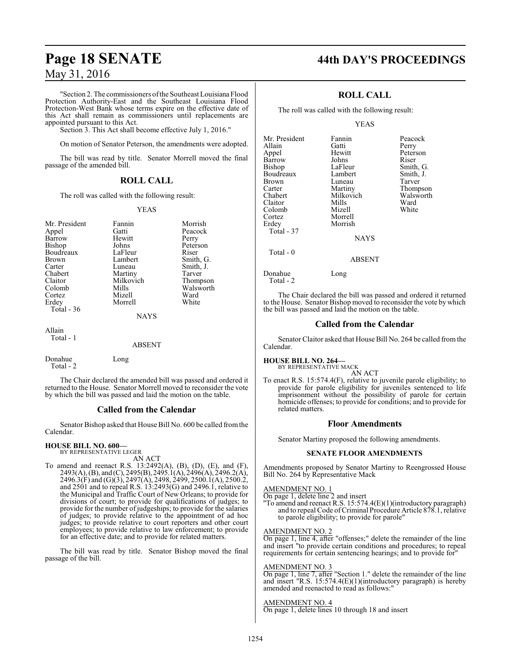"Section 2. The commissioners oftheSoutheast Louisiana Flood Protection Authority-East and the Southeast Louisiana Flood Protection-West Bank whose terms expire on the effective date of this Act shall remain as commissioners until replacements are appointed pursuant to this Act.

Section 3. This Act shall become effective July 1, 2016."

On motion of Senator Peterson, the amendments were adopted.

The bill was read by title. Senator Morrell moved the final passage of the amended bill.

### **ROLL CALL**

The roll was called with the following result:

#### YEAS

| Mr. President<br>Appel<br>Barrow<br>Bishop | Fannin<br>Gatti<br>Hewitt<br>Johns | Morrish<br>Peacock<br>Perry<br>Peterson |
|--------------------------------------------|------------------------------------|-----------------------------------------|
| Boudreaux                                  | LaFleur                            | Riser                                   |
| <b>Brown</b>                               | Lambert                            | Smith, G.                               |
| Carter                                     | Luneau                             | Smith, J.                               |
| Chabert                                    | Martiny                            | Tarver                                  |
| Claitor                                    | Milkovich                          | Thompson                                |
| Colomb                                     | Mills                              | Walsworth                               |
| Cortez                                     | Mizell                             | Ward                                    |
| Erdey                                      | Morrell                            | White                                   |
| Total - 36                                 |                                    |                                         |
|                                            | <b>NAYS</b>                        |                                         |
| Allain                                     |                                    |                                         |

Total - 1

#### ABSENT

| Donahue   | Long |
|-----------|------|
| Total - 2 |      |

The Chair declared the amended bill was passed and ordered it returned to the House. Senator Morrell moved to reconsider the vote by which the bill was passed and laid the motion on the table.

#### **Called from the Calendar**

Senator Bishop asked that House Bill No. 600 be called fromthe Calendar.

#### **HOUSE BILL NO. 600—** BY REPRESENTATIVE LEGER

AN ACT

To amend and reenact R.S. 13:2492(A), (B), (D), (E), and (F), 2493(A), (B), and (C), 2495(B), 2495.1(A), 2496(A), 2496.2(A), 2496.3(F) and (G)(3), 2497(A), 2498, 2499, 2500.1(A), 2500.2, and 2501 and to repeal R.S. 13:2493(G) and 2496.1, relative to the Municipal and Traffic Court of New Orleans; to provide for divisions of court; to provide for qualifications of judges; to provide for the number of judgeships; to provide for the salaries of judges; to provide relative to the appointment of ad hoc judges; to provide relative to court reporters and other court employees; to provide relative to law enforcement; to provide for an effective date; and to provide for related matters.

The bill was read by title. Senator Bishop moved the final passage of the bill.

# **Page 18 SENATE 44th DAY'S PROCEEDINGS**

### **ROLL CALL**

The roll was called with the following result:

#### YEAS

| Mr. President<br>Allain<br>Appel | Fannin<br>Gatti<br>Hewitt | Peacock<br>Perry<br>Peterson |
|----------------------------------|---------------------------|------------------------------|
| Barrow                           | Johns                     | Riser                        |
| Bishop                           | LaFleur                   | Smith, G.                    |
| Boudreaux                        | Lambert                   | Smith, J.                    |
| Brown                            | Luneau                    | Tarver                       |
| Carter                           | Martiny                   | Thompson                     |
| Chabert                          | Milkovich                 | Walsworth                    |
| Claitor                          | Mills                     | Ward                         |
| Colomb                           | Mizell                    | White                        |
| Cortez                           | Morrell                   |                              |
| Erdey                            | Morrish                   |                              |
| <b>Total - 37</b>                |                           |                              |
|                                  | <b>NAYS</b>               |                              |
| Total - 0                        |                           |                              |
|                                  | <b>ABSENT</b>             |                              |
| Donahue<br>Total - 2             | Long                      |                              |

The Chair declared the bill was passed and ordered it returned to the House. Senator Bishop moved to reconsider the vote by which the bill was passed and laid the motion on the table.

#### **Called from the Calendar**

Senator Claitor asked that House Bill No. 264 be called fromthe Calendar.

#### **HOUSE BILL NO. 264—**

BY REPRESENTATIVE MACK AN ACT

To enact R.S. 15:574.4(F), relative to juvenile parole eligibility; to provide for parole eligibility for juveniles sentenced to life imprisonment without the possibility of parole for certain homicide offenses; to provide for conditions; and to provide for related matters.

#### **Floor Amendments**

Senator Martiny proposed the following amendments.

#### **SENATE FLOOR AMENDMENTS**

Amendments proposed by Senator Martiny to Reengrossed House Bill No. 264 by Representative Mack

#### AMENDMENT NO. 1

On page 1, delete line 2 and insert

"To amend and reenact R.S. 15:574.4(E)(1)(introductory paragraph) and to repeal Code ofCriminal Procedure Article 878.1, relative to parole eligibility; to provide for parole"

#### AMENDMENT NO. 2

On page 1, line 4, after "offenses;" delete the remainder of the line and insert "to provide certain conditions and procedures; to repeal requirements for certain sentencing hearings; and to provide for"

#### AMENDMENT NO. 3

On page 1, line 7, after "Section 1." delete the remainder of the line and insert "R.S. 15:574.4(E)(1)(introductory paragraph) is hereby amended and reenacted to read as follows:"

AMENDMENT NO. 4 On page 1, delete lines 10 through 18 and insert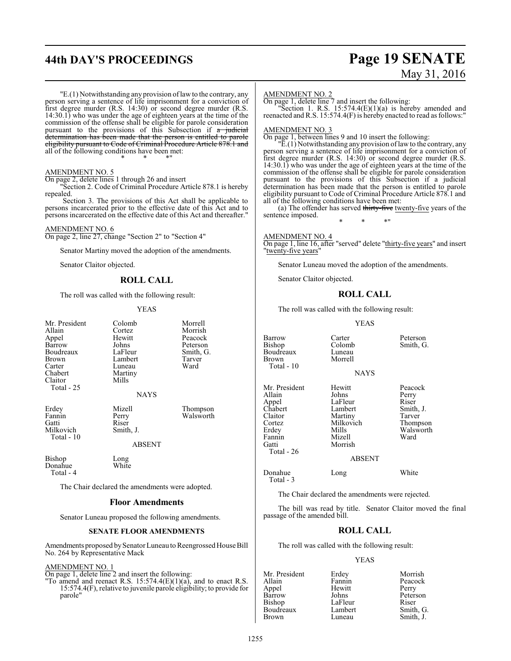# **44th DAY'S PROCEEDINGS Page 19 SENATE**

# May 31, 2016

"E.(1) Notwithstanding any provision oflawto the contrary, any person serving a sentence of life imprisonment for a conviction of first degree murder (R.S. 14:30) or second degree murder (R.S. 14:30.1) who was under the age of eighteen years at the time of the commission of the offense shall be eligible for parole consideration pursuant to the provisions of this Subsection if  $a$  judicial determination has been made that the person is entitled to parole eligibility pursuant to Code of Criminal Procedure Article 878.1 and all of the following conditions have been met: \* \* \*"

#### AMENDMENT NO. 5

On page 2, delete lines 1 through 26 and insert

"Section 2. Code of Criminal Procedure Article 878.1 is hereby repealed.

Section 3. The provisions of this Act shall be applicable to persons incarcerated prior to the effective date of this Act and to persons incarcerated on the effective date of this Act and thereafter."

#### AMENDMENT NO. 6

On page 2, line 27, change "Section 2" to "Section 4"

Senator Martiny moved the adoption of the amendments.

Senator Claitor objected.

#### **ROLL CALL**

The roll was called with the following result:

#### YEAS

| Mr. President<br>Allain<br>Appel<br>Barrow<br>Boudreaux<br>Brown<br>Carter<br>Chabert<br>Claitor<br>Total - 25 | Colomb<br>Cortez<br>Hewitt<br>Johns<br>LaFleur<br>Lambert<br>Luneau<br>Martiny<br>Mills<br><b>NAYS</b> | Morrell<br>Morrish<br>Peacock<br>Peterson<br>Smith, G.<br>Tarver<br>Ward |
|----------------------------------------------------------------------------------------------------------------|--------------------------------------------------------------------------------------------------------|--------------------------------------------------------------------------|
| Erdey<br>Fannin<br>Gatti<br>Milkovich<br>Total - 10                                                            | Mizell<br>Perry<br>Riser<br>Smith, J.<br><b>ABSENT</b>                                                 | Thompson<br>Walsworth                                                    |
| Bishop<br>Donahue<br>Total - 4                                                                                 | Long<br>White                                                                                          |                                                                          |
|                                                                                                                | The Chair declared the amendments were adopted.                                                        |                                                                          |

#### **Floor Amendments**

Senator Luneau proposed the following amendments.

#### **SENATE FLOOR AMENDMENTS**

Amendments proposed by Senator Luneau to Reengrossed House Bill No. 264 by Representative Mack

#### AMENDMENT NO. 1

On page 1, delete line 2 and insert the following:

"To amend and reenact R.S.  $15:574.4(E)(1)(a)$ , and to enact R.S. 15:574.4(F), relative to juvenile parole eligibility; to provide for parole"

#### AMENDMENT NO. 2

On page 1, delete line 7 and insert the following:

"Section 1. R.S.  $15:574.4(E)(1)(a)$  is hereby amended and reenacted and R.S. 15:574.4(F) is hereby enacted to read as follows:"

#### AMENDMENT NO. 3

On page 1, between lines 9 and 10 insert the following:

 $\mathbb{P}E(1)$  Notwithstanding any provision of law to the contrary, any person serving a sentence of life imprisonment for a conviction of first degree murder (R.S. 14:30) or second degree murder (R.S. 14:30.1) who was under the age of eighteen years at the time of the commission of the offense shall be eligible for parole consideration pursuant to the provisions of this Subsection if a judicial determination has been made that the person is entitled to parole eligibility pursuant to Code of Criminal Procedure Article 878.1 and all of the following conditions have been met:

(a) The offender has served thirty-five twenty-five years of the sentence imposed. \* \* \*"

#### AMENDMENT NO. 4

On page 1, line 16, after "served" delete "thirty-five years" and insert "twenty-five years"

Senator Luneau moved the adoption of the amendments.

Senator Claitor objected.

#### **ROLL CALL**

The roll was called with the following result:

Morrell

#### YEAS

**NAYS** 

Barrow Carter Peterson<br>Bishop Colomb Smith, G Boudreaux<br>Brown Total - 10 Mr. President Hewitt Peacock<br>Allain Johns Perry

Total - 26

Total - 3

Appel LaFleur<br>Chabert Lambert Chabert Lambert Smith, J.<br>Claitor Martiny Tarver Claitor Martiny Tarver<br>
Cortez Milkovich Thompson Cortez Milkovich<br>
Frdev Mills Erdey Mills Walsworth<br>
Fannin Mizell Ward Fannin Mizell<br>Gatti Morris Morrish

Allain Johns Perry<br>Appel LaFleur Riser

Colomb Smith, G.<br>Luneau

#### ABSENT

#### Donahue Long White

The Chair declared the amendments were rejected.

The bill was read by title. Senator Claitor moved the final passage of the amended bill.

#### **ROLL CALL**

The roll was called with the following result:

#### YEAS

Mr. President Erdey Morrish<br>Allain Fannin Peacock Allain Fannin Peacock<br>Appel Hewitt Perry Appel Hewitt<br>Barrow Johns Barrow Johns Peterson<br>Bishop LaFleur Riser LaFleur Riser<br>Lambert Smith, G. Boudreaux Lamber<br>Brown Luneau Smith, J.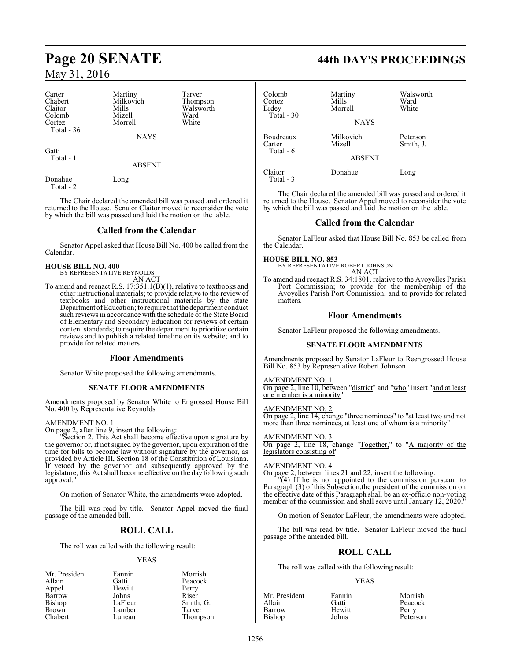| Carter      | Martiny     | Tarver |
|-------------|-------------|--------|
| Chabert     | Milkovich   | Thomp  |
| Claitor     | Mills       | Walsw  |
| Colomb      | Mizell      | Ward   |
| Cortez      | Morrell     | White  |
| Total $-36$ |             |        |
|             | <b>NAYS</b> |        |
|             |             |        |

Thompson Walsworth<br>Ward

**Gatti** Total - 1

ABSENT

Donahue Long Total - 2

The Chair declared the amended bill was passed and ordered it returned to the House. Senator Claitor moved to reconsider the vote by which the bill was passed and laid the motion on the table.

#### **Called from the Calendar**

Senator Appel asked that House Bill No. 400 be called from the Calendar.

**HOUSE BILL NO. 400—** BY REPRESENTATIVE REYNOLDS

AN ACT

To amend and reenact R.S. 17:351.1(B)(1), relative to textbooks and other instructional materials; to provide relative to the review of textbooks and other instructional materials by the state Department of Education; to require that the department conduct such reviews in accordance with the schedule of the State Board of Elementary and Secondary Education for reviews of certain content standards; to require the department to prioritize certain reviews and to publish a related timeline on its website; and to provide for related matters.

#### **Floor Amendments**

Senator White proposed the following amendments.

#### **SENATE FLOOR AMENDMENTS**

Amendments proposed by Senator White to Engrossed House Bill No. 400 by Representative Reynolds

#### AMENDMENT NO. 1

On page 2, after line 9, insert the following:

"Section 2. This Act shall become effective upon signature by the governor or, if not signed by the governor, upon expiration of the time for bills to become law without signature by the governor, as provided by Article III, Section 18 of the Constitution of Louisiana. If vetoed by the governor and subsequently approved by the legislature, this Act shall become effective on the day following such approval."

On motion of Senator White, the amendments were adopted.

The bill was read by title. Senator Appel moved the final passage of the amended bill.

## **ROLL CALL**

The roll was called with the following result:

#### YEAS

| Mr. President | Fannin  | Morrish   |
|---------------|---------|-----------|
| Allain        | Gatti   | Peacock   |
| Appel         | Hewitt  | Perry     |
| Barrow        | Johns   | Riser     |
| Bishop        | LaFleur | Smith, G. |
| Brown         | Lambert | Tarver    |
| Chabert       | Luneau  | Thompson  |

# **Page 20 SENATE 44th DAY'S PROCEEDINGS**

| Colomb<br>Cortez<br>Erdey<br>Total $-30$ | Martiny<br>Mills<br>Morrell<br><b>NAYS</b> | Walsworth<br>Ward<br>White |
|------------------------------------------|--------------------------------------------|----------------------------|
| Boudreaux<br>Carter<br>Total - 6         | Milkovich<br>Mizell<br><b>ABSENT</b>       | Peterson<br>Smith, J.      |
| Claitor<br>Total - 3                     | Donahue                                    | Long                       |

The Chair declared the amended bill was passed and ordered it returned to the House. Senator Appel moved to reconsider the vote by which the bill was passed and laid the motion on the table.

### **Called from the Calendar**

Senator LaFleur asked that House Bill No. 853 be called from the Calendar.

#### **HOUSE BILL NO. 853—**

BY REPRESENTATIVE ROBERT JOHNSON AN ACT

To amend and reenact R.S. 34:1801, relative to the Avoyelles Parish Port Commission; to provide for the membership of the Avoyelles Parish Port Commission; and to provide for related matters.

#### **Floor Amendments**

Senator LaFleur proposed the following amendments.

#### **SENATE FLOOR AMENDMENTS**

Amendments proposed by Senator LaFleur to Reengrossed House Bill No. 853 by Representative Robert Johnson

#### AMENDMENT NO. 1

On page 2, line 10, between "district" and "who" insert "and at least one member is a minority"

#### AMENDMENT NO. 2

On page 2, line 14, change "three nominees" to "at least two and not more than three nominees, at least one of whom is a minority"

#### AMENDMENT NO. 3 On page 2, line 18, change "Together," to "A majority of the legislators consisting of"

#### AMENDMENT NO. 4

On page 2, between lines 21 and 22, insert the following:

"(4) If he is not appointed to the commission pursuant to Paragraph (3) of this Subsection, the president of the commission on the effective date of this Paragraph shall be an ex-officio non-voting member of the commission and shall serve until January 12, 2020.

On motion of Senator LaFleur, the amendments were adopted.

The bill was read by title. Senator LaFleur moved the final passage of the amended bill.

### **ROLL CALL**

The roll was called with the following result:

#### YEAS

| Mr. President | Fannin | Morrish  |
|---------------|--------|----------|
| Allain        | Gatti  | Peacock  |
| Barrow        | Hewitt | Perry    |
| Bishop        | Johns  | Peterson |

Peterson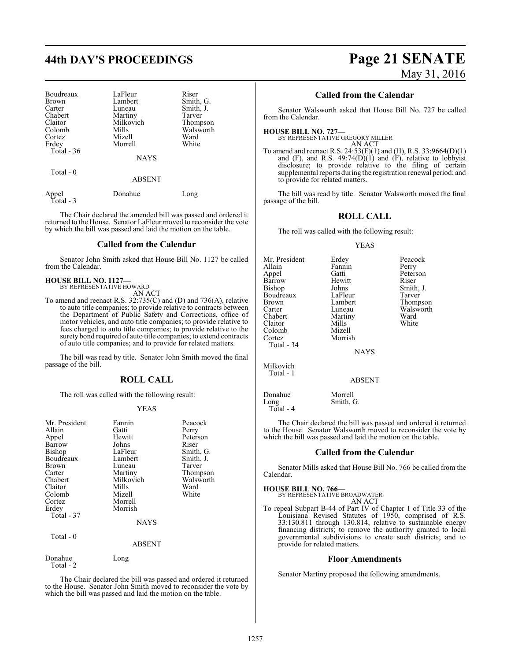# **44th DAY'S PROCEEDINGS Page 21 SENATE**

| Boudreaux                 | LaFleur                      | Riser     |
|---------------------------|------------------------------|-----------|
| <b>Brown</b>              | Lambert                      | Smith, G. |
| Carter                    | Luneau                       | Smith, J. |
| Chabert                   | Martiny                      | Tarver    |
| Claitor                   | Milkovich                    | Thompson  |
| Colomb                    | Mills                        | Walsworth |
| Cortez                    | Mizell                       | Ward      |
| Erdey                     | Morrell                      | White     |
| Total $-36$<br>Total $-0$ | <b>NAYS</b><br><b>ABSENT</b> |           |

| Appel<br>Total - 3 | Donahue | Long |
|--------------------|---------|------|
|                    |         |      |

The Chair declared the amended bill was passed and ordered it returned to the House. Senator LaFleur moved to reconsider the vote by which the bill was passed and laid the motion on the table.

#### **Called from the Calendar**

Senator John Smith asked that House Bill No. 1127 be called from the Calendar.

## **HOUSE BILL NO. 1127—** BY REPRESENTATIVE HOWARD

AN ACT

To amend and reenact R.S. 32:735(C) and (D) and 736(A), relative to auto title companies; to provide relative to contracts between the Department of Public Safety and Corrections, office of motor vehicles, and auto title companies; to provide relative to fees charged to auto title companies; to provide relative to the surety bond required of auto title companies; to extend contracts of auto title companies; and to provide for related matters.

The bill was read by title. Senator John Smith moved the final passage of the bill.

#### **ROLL CALL**

The roll was called with the following result:

#### YEAS

| Mr. President<br>Allain<br>Appel<br>Barrow<br><b>Bishop</b><br>Boudreaux<br>Brown<br>Carter<br>Chabert<br>Claitor<br>Colomb<br>Cortez<br>Erdey<br>Total - 37 | Fannin<br>Gatti<br>Hewitt<br>Johns<br>LaFleur<br>Lambert<br>Luneau<br>Martiny<br>Milkovich<br>Mills<br>Mizell<br>Morrell<br>Morrish<br><b>NAYS</b> | Peacock<br>Perry<br>Peterson<br>Riser<br>Smith, G.<br>Smith, J.<br>Tarver<br>Thompson<br>Walsworth<br>Ward<br>White |
|--------------------------------------------------------------------------------------------------------------------------------------------------------------|----------------------------------------------------------------------------------------------------------------------------------------------------|---------------------------------------------------------------------------------------------------------------------|
| Total - 0                                                                                                                                                    | <b>ABSENT</b>                                                                                                                                      |                                                                                                                     |
| Donahue                                                                                                                                                      | Long                                                                                                                                               |                                                                                                                     |

Total - 2

The Chair declared the bill was passed and ordered it returned to the House. Senator John Smith moved to reconsider the vote by which the bill was passed and laid the motion on the table.

# May 31, 2016

#### **Called from the Calendar**

Senator Walsworth asked that House Bill No. 727 be called from the Calendar.

## **HOUSE BILL NO. 727—** BY REPRESENTATIVE GREGORY MILLER

AN ACT To amend and reenact R.S. 24:53(F)(1) and (H), R.S. 33:9664(D)(1) and  $(F)$ , and R.S. 49:74 $(D)(1)$  and  $(F)$ , relative to lobbyist disclosure; to provide relative to the filing of certain supplemental reports during the registration renewal period; and to provide for related matters.

The bill was read by title. Senator Walsworth moved the final passage of the bill.

#### **ROLL CALL**

The roll was called with the following result:

#### YEAS

| Mr. President | Erdey       | Peacock   |
|---------------|-------------|-----------|
| Allain        | Fannin      | Perry     |
| Appel         | Gatti       | Peterson  |
| Barrow        | Hewitt      | Riser     |
| Bishop        | Johns       | Smith, J. |
| Boudreaux     | LaFleur     | Tarver    |
| <b>Brown</b>  | Lambert     | Thompson  |
| Carter        | Luneau      | Walsworth |
| Chabert       | Martiny     | Ward      |
| Claitor       | Mills       | White     |
| Colomb        | Mizell      |           |
| Cortez        | Morrish     |           |
| Total - 34    |             |           |
|               | <b>NAYS</b> |           |
| Milkovich     |             |           |
| Total - 1     |             |           |

ABSENT

Smith, G.

The Chair declared the bill was passed and ordered it returned to the House. Senator Walsworth moved to reconsider the vote by which the bill was passed and laid the motion on the table.

#### **Called from the Calendar**

Senator Mills asked that House Bill No. 766 be called from the Calendar.

#### **HOUSE BILL NO. 766—**

Donahue Morrell<br>Long Smith, 0

Total - 4

| - - - - - - - - - - - - - - - - - - -<br>BY REPRESENTATIVE BROADWATER |        |
|-----------------------------------------------------------------------|--------|
|                                                                       | AN ACT |

To repeal Subpart B-44 of Part IV of Chapter 1 of Title 33 of the Louisiana Revised Statutes of 1950, comprised of R.S. 33:130.811 through 130.814, relative to sustainable energy financing districts; to remove the authority granted to local governmental subdivisions to create such districts; and to provide for related matters.

#### **Floor Amendments**

Senator Martiny proposed the following amendments.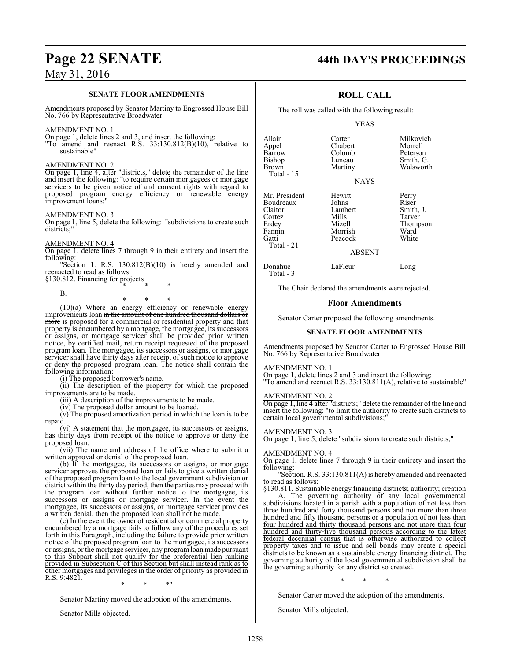#### **SENATE FLOOR AMENDMENTS**

Amendments proposed by Senator Martiny to Engrossed House Bill No. 766 by Representative Broadwater

#### AMENDMENT NO. 1

On page 1, delete lines 2 and 3, and insert the following:

"To amend and reenact R.S. 33:130.812(B)(10), relative to sustainable"

#### AMENDMENT NO. 2

On page 1, line 4, after "districts," delete the remainder of the line and insert the following: "to require certain mortgagees or mortgage servicers to be given notice of and consent rights with regard to proposed program energy efficiency or renewable energy improvement loans;"

#### AMENDMENT NO. 3

On page 1, line 5, delete the following: "subdivisions to create such districts;'

#### AMENDMENT NO. 4

On page 1, delete lines 7 through 9 in their entirety and insert the following:

"Section 1. R.S. 130.812(B)(10) is hereby amended and reenacted to read as follows:

§130.812. Financing for projects \* \* \*

B.

\* \* \*

(10)(a) Where an energy efficiency or renewable energy improvements loan in the amount of one hundred thousand dollars or more is proposed for a commercial or residential property and that property is encumbered by a mortgage, the mortgagee, its successors or assigns, or mortgage servicer shall be provided prior written notice, by certified mail, return receipt requested of the proposed program loan. The mortgagee, its successors or assigns, or mortgage servicer shall have thirty days after receipt of such notice to approve or deny the proposed program loan. The notice shall contain the following information:

(i) The proposed borrower's name.

(ii) The description of the property for which the proposed improvements are to be made.

(iii) A description of the improvements to be made.

(iv) The proposed dollar amount to be loaned.

(v) The proposed amortization period in which the loan is to be repaid.

(vi) A statement that the mortgagee, its successors or assigns, has thirty days from receipt of the notice to approve or deny the proposed loan.

(vii) The name and address of the office where to submit a written approval or denial of the proposed loan.

(b) If the mortgagee, its successors or assigns, or mortgage servicer approves the proposed loan or fails to give a written denial of the proposed program loan to the local government subdivision or district within the thirty day period, then the parties may proceed with the program loan without further notice to the mortgagee, its successors or assigns or mortgage servicer. In the event the mortgagee, its successors or assigns, or mortgage servicer provides a written denial, then the proposed loan shall not be made.

(c) In the event the owner of residential or commercial property encumbered by a mortgage fails to follow any of the procedures set forth in this Paragraph, including the failure to provide prior written notice of the proposed program loan to the mortgagee, its successors or assigns, or the mortgage servicer, any programloan made pursuant to this Subpart shall not qualify for the preferential lien ranking provided in Subsection C of this Section but shall instead rank as to other mortgages and privileges in the order of priority as provided in R.S. 9:4821.

\* \* \*"

Senator Martiny moved the adoption of the amendments.

Senator Mills objected.

# **Page 22 SENATE 44th DAY'S PROCEEDINGS**

### **ROLL CALL**

The roll was called with the following result:

#### YEAS

NAYS

Allain Carter Milkovich<br>
Appel Chabert Morrell Appel Chabert Morrell<br>Barrow Colomb Peterson Barrow Colomb<br>Bishop Luneau Bishop Luneau Smith, G.<br>Brown Martiny Walswort Total - 15 Mr. President Hewitt Perry<br>Boudreaux Johns Riser Boudreaux Johns<br>Claitor Lambert Claitor Lambert Smith, J. Cortez Mills Tarver

Erdey Mizell Thompson Fannin Morrish Ward<br>Gatti Peacock White Peacock ABSENT

Donahue LaFleur Long

Walsworth

Total - 3

Total - 21

The Chair declared the amendments were rejected.

#### **Floor Amendments**

Senator Carter proposed the following amendments.

#### **SENATE FLOOR AMENDMENTS**

Amendments proposed by Senator Carter to Engrossed House Bill No. 766 by Representative Broadwater

#### AMENDMENT NO. 1

On page 1, delete lines 2 and 3 and insert the following:

"To amend and reenact R.S. 33:130.811(A), relative to sustainable"

AMENDMENT NO. 2 On page 1, line 4 after "districts;" delete the remainder of the line and insert the following: "to limit the authority to create such districts to certain local governmental subdivisions;

#### AMENDMENT NO. 3

On page 1, line 5, delete "subdivisions to create such districts;"

#### AMENDMENT NO. 4

On page 1, delete lines 7 through 9 in their entirety and insert the following:

"Section. R.S. 33:130.811(A) is hereby amended and reenacted to read as follows:

§130.811. Sustainable energy financing districts; authority; creation A. The governing authority of any local governmental

subdivisions located in a parish with a population of not less than three hundred and forty thousand persons and not more than three hundred and fifty thousand persons or a population of not less than four hundred and thirty thousand persons and not more than four hundred and thirty-five thousand persons according to the latest federal decennial census that is otherwise authorized to collect property taxes and to issue and sell bonds may create a special districts to be known as a sustainable energy financing district. The governing authority of the local governmental subdivision shall be the governing authority for any district so created.

\* \* \*

Senator Carter moved the adoption of the amendments.

Senator Mills objected.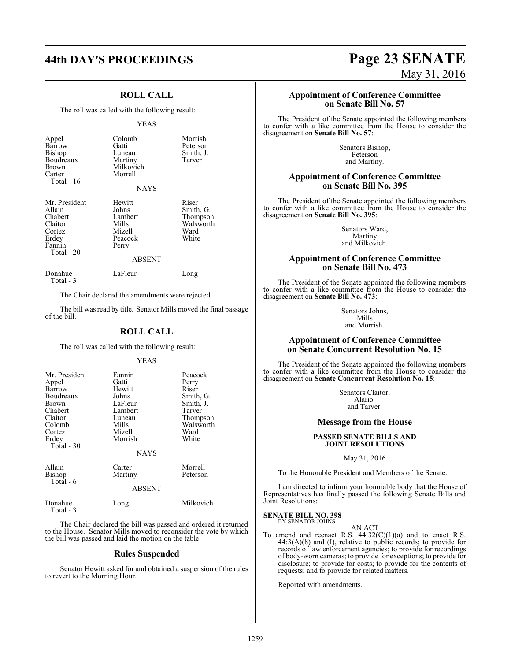#### **ROLL CALL**

The roll was called with the following result:

#### YEAS

| Appel<br>Barrow<br>Bishop<br>Boudreaux<br>Brown<br>Carter<br>Total - $16$                | Colomb<br>Gatti<br>Luneau<br>Martiny<br>Milkovich<br>Morrell<br><b>NAYS</b>        | Morrish<br>Peterson<br>Smith, J.<br>Tarver                   |
|------------------------------------------------------------------------------------------|------------------------------------------------------------------------------------|--------------------------------------------------------------|
| Mr. President<br>Allain<br>Chabert<br>Claitor<br>Cortez<br>Erdey<br>Fannin<br>Total - 20 | Hewitt<br>Johns<br>Lambert<br>Mills<br>Mizell<br>Peacock<br>Perry<br><b>ABSENT</b> | Riser<br>Smith, G.<br>Thompson<br>Walsworth<br>Ward<br>White |
| Donahue                                                                                  | LaFleur                                                                            | Long                                                         |

Total - 3

Total - 3

The Chair declared the amendments were rejected.

The bill was read by title. Senator Mills moved the final passage of the bill.

#### **ROLL CALL**

The roll was called with the following result:

#### YEAS

| Mr. President<br>Appel<br>Barrow<br>Boudreaux<br>Brown<br>Chabert<br>Claitor<br>Colomb<br>Cortez<br>Erdey<br>Total $-30$ | Fannin<br>Gatti<br>Hewitt<br>Johns<br>LaFleur<br>Lambert<br>Luneau<br>Mills<br>Mizell<br>Morrish<br><b>NAYS</b> | Peacock<br>Perry<br>Riser<br>Smith, G.<br>Smith, J.<br>Tarver<br>Thompson<br>Walsworth<br>Ward<br>White |
|--------------------------------------------------------------------------------------------------------------------------|-----------------------------------------------------------------------------------------------------------------|---------------------------------------------------------------------------------------------------------|
| Allain<br>Bishop<br>Total - 6                                                                                            | Carter<br>Martiny<br><b>ABSENT</b>                                                                              | Morrell<br>Peterson                                                                                     |
| Donahue                                                                                                                  | Long                                                                                                            | Milkovich                                                                                               |

The Chair declared the bill was passed and ordered it returned to the House. Senator Mills moved to reconsider the vote by which the bill was passed and laid the motion on the table.

#### **Rules Suspended**

Senator Hewitt asked for and obtained a suspension of the rules to revert to the Morning Hour.

# **44th DAY'S PROCEEDINGS Page 23 SENATE** May 31, 2016

#### **Appointment of Conference Committee on Senate Bill No. 57**

The President of the Senate appointed the following members to confer with a like committee from the House to consider the disagreement on **Senate Bill No. 57**:

> Senators Bishop, Peterson and Martiny.

#### **Appointment of Conference Committee on Senate Bill No. 395**

The President of the Senate appointed the following members to confer with a like committee from the House to consider the disagreement on **Senate Bill No. 395**:

> Senators Ward, Martiny and Milkovich.

#### **Appointment of Conference Committee on Senate Bill No. 473**

The President of the Senate appointed the following members to confer with a like committee from the House to consider the disagreement on **Senate Bill No. 473**:

> Senators Johns, Mills and Morrish.

#### **Appointment of Conference Committee on Senate Concurrent Resolution No. 15**

The President of the Senate appointed the following members to confer with a like committee from the House to consider the disagreement on **Senate Concurrent Resolution No. 15**:

> Senators Claitor, Alario and Tarver.

#### **Message from the House**

#### **PASSED SENATE BILLS AND JOINT RESOLUTIONS**

May 31, 2016

To the Honorable President and Members of the Senate:

I am directed to inform your honorable body that the House of Representatives has finally passed the following Senate Bills and Joint Resolutions:

#### **SENATE BILL NO. 398—** BY SENATOR JOHNS

#### AN ACT

To amend and reenact R.S.  $44:32(C)(1)(a)$  and to enact R.S.  $44:3(A)(8)$  and (I), relative to public records; to provide for records of law enforcement agencies; to provide for recordings of body-worn cameras; to provide for exceptions; to provide for disclosure; to provide for costs; to provide for the contents of requests; and to provide for related matters.

Reported with amendments.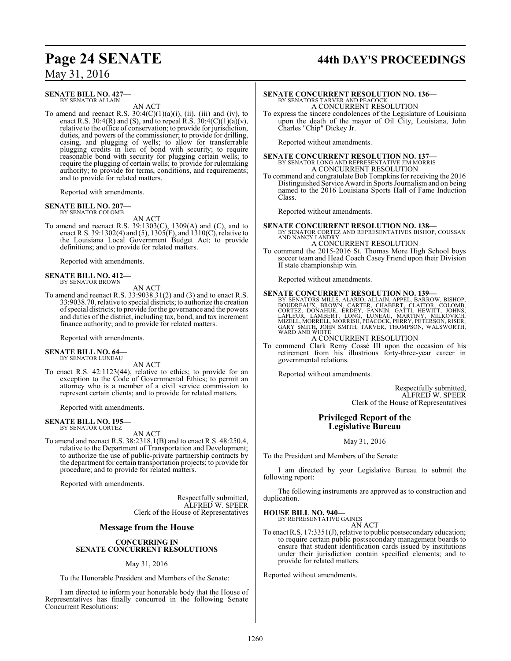# **Page 24 SENATE 44th DAY'S PROCEEDINGS**

## May 31, 2016

#### **SENATE BILL NO. 427—** BY SENATOR ALLAIN

AN ACT

To amend and reenact R.S.  $30:4(C)(1)(a)(i)$ , (ii), (iii) and (iv), to enact R.S. 30:4(R) and (S), and to repeal R.S.  $30:4(C)(1)(a)(v)$ , relative to the office of conservation; to provide for jurisdiction, duties, and powers of the commissioner; to provide for drilling, casing, and plugging of wells; to allow for transferrable plugging credits in lieu of bond with security; to require reasonable bond with security for plugging certain wells; to require the plugging of certain wells; to provide for rulemaking authority; to provide for terms, conditions, and requirements; and to provide for related matters.

Reported with amendments.

#### **SENATE BILL NO. 207—** BY SENATOR COLOMB

AN ACT

To amend and reenact R.S. 39:1303(C), 1309(A) and (C), and to enact R.S. 39:1302(4) and (5), 1305(F), and 1310(C), relative to the Louisiana Local Government Budget Act; to provide definitions; and to provide for related matters.

Reported with amendments.

#### **SENATE BILL NO. 412—** BY SENATOR BROWN

AN ACT

To amend and reenact R.S. 33:9038.31(2) and (3) and to enact R.S. 33:9038.70, relative to special districts; to authorize the creation ofspecial districts; to provide for the governance and the powers and duties of the district, including tax, bond, and tax increment finance authority; and to provide for related matters.

Reported with amendments.

#### **SENATE BILL NO. 64—** BY SENATOR LUNEAU

AN ACT

To enact R.S. 42:1123(44), relative to ethics; to provide for an exception to the Code of Governmental Ethics; to permit an attorney who is a member of a civil service commission to represent certain clients; and to provide for related matters.

Reported with amendments.

#### **SENATE BILL NO. 195—** BY SENATOR CORTEZ

AN ACT

To amend and reenact R.S. 38:2318.1(B) and to enact R.S. 48:250.4, relative to the Department of Transportation and Development; to authorize the use of public-private partnership contracts by the department for certain transportation projects; to provide for procedure; and to provide for related matters.

Reported with amendments.

Respectfully submitted, ALFRED W. SPEER Clerk of the House of Representatives

#### **Message from the House**

#### **CONCURRING IN SENATE CONCURRENT RESOLUTIONS**

#### May 31, 2016

To the Honorable President and Members of the Senate:

I am directed to inform your honorable body that the House of Representatives has finally concurred in the following Senate Concurrent Resolutions:

## **SENATE CONCURRENT RESOLUTION NO. 136—** BY SENATORS TARVER AND PEACOCK A CONCURRENT RESOLUTION

To express the sincere condolences of the Legislature of Louisiana upon the death of the mayor of Oil City, Louisiana, John Charles "Chip" Dickey Jr.

Reported without amendments.

**SENATE CONCURRENT RESOLUTION NO. 137—** BY SENATOR LONG AND REPRESENTATIVE JIM MORRIS A CONCURRENT RESOLUTION

To commend and congratulate Bob Tompkins for receiving the 2016 Distinguished Service Award in Sports Journalismand on being named to the 2016 Louisiana Sports Hall of Fame Induction Class.

Reported without amendments.

**SENATE CONCURRENT RESOLUTION NO. 138—** BY SENATOR CORTEZ AND REPRESENTATIVES BISHOP, COUSSAN AND NANCY LANDRY A CONCURRENT RESOLUTION

To commend the 2015-2016 St. Thomas More High School boys soccer team and Head Coach Casey Friend upon their Division II state championship win.

Reported without amendments.

SENATE CONCURRENT RESOLUTION NO. 139-<br>BY SENATORS MILLS, ALARIO, ALLAIN, APPEL, BARROW, BISHOP, BOUDREAUX, BROWN, CARTER, CHABERT, CLAITOR, COLOMB,<br>CORTEZ, DONAHUE, ERDEY, FANNIN, GATTI, HEWITT, JOHNS,<br>LAFLEUR, LAMBERT, LO WARD AND WHITE

A CONCURRENT RESOLUTION

To commend Clark Remy Cossé III upon the occasion of his retirement from his illustrious forty-three-year career in governmental relations.

Reported without amendments.

Respectfully submitted, ALFRED W. SPEER Clerk of the House of Representatives

#### **Privileged Report of the Legislative Bureau**

May 31, 2016

To the President and Members of the Senate:

I am directed by your Legislative Bureau to submit the following report:

The following instruments are approved as to construction and duplication.

#### **HOUSE BILL NO. 940—**

BY REPRESENTATIVE GAINES AN ACT

To enact R.S. 17:3351(J), relative to public postsecondary education; to require certain public postsecondary management boards to ensure that student identification cards issued by institutions under their jurisdiction contain specified elements; and to provide for related matters.

Reported without amendments.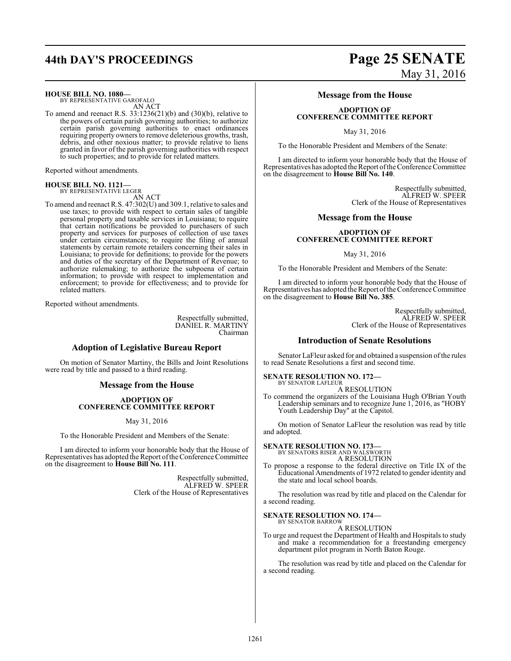**HOUSE BILL NO. 1080—**

BY REPRESENTATIVE GAROFALO AN ACT

To amend and reenact R.S. 33:1236(21)(b) and (30)(b), relative to the powers of certain parish governing authorities; to authorize certain parish governing authorities to enact ordinances requiring property owners to remove deleterious growths, trash, debris, and other noxious matter; to provide relative to liens granted in favor of the parish governing authorities with respect to such properties; and to provide for related matters.

Reported without amendments.

#### **HOUSE BILL NO. 1121** BY REPRESENTATIVE LEGER

AN ACT

To amend and reenact R.S. 47:302(U) and 309.1, relative to sales and use taxes; to provide with respect to certain sales of tangible personal property and taxable services in Louisiana; to require that certain notifications be provided to purchasers of such property and services for purposes of collection of use taxes under certain circumstances; to require the filing of annual statements by certain remote retailers concerning their sales in Louisiana; to provide for definitions; to provide for the powers and duties of the secretary of the Department of Revenue; to authorize rulemaking; to authorize the subpoena of certain information; to provide with respect to implementation and enforcement; to provide for effectiveness; and to provide for related matters.

Reported without amendments.

Respectfully submitted, DANIEL R. MARTINY Chairman

#### **Adoption of Legislative Bureau Report**

On motion of Senator Martiny, the Bills and Joint Resolutions were read by title and passed to a third reading.

#### **Message from the House**

#### **ADOPTION OF CONFERENCE COMMITTEE REPORT**

May 31, 2016

To the Honorable President and Members of the Senate:

I am directed to inform your honorable body that the House of Representatives has adopted the Report ofthe Conference Committee on the disagreement to **House Bill No. 111**.

> Respectfully submitted, ALFRED W. SPEER Clerk of the House of Representatives

# **44th DAY'S PROCEEDINGS Page 25 SENATE** May 31, 2016

### **Message from the House**

#### **ADOPTION OF CONFERENCE COMMITTEE REPORT**

May 31, 2016

To the Honorable President and Members of the Senate:

I am directed to inform your honorable body that the House of Representatives has adopted the Report ofthe Conference Committee on the disagreement to **House Bill No. 140**.

> Respectfully submitted, ALFRED W. SPEER Clerk of the House of Representatives

#### **Message from the House**

#### **ADOPTION OF CONFERENCE COMMITTEE REPORT**

#### May 31, 2016

To the Honorable President and Members of the Senate:

I am directed to inform your honorable body that the House of Representatives has adopted the Report ofthe Conference Committee on the disagreement to **House Bill No. 385**.

> Respectfully submitted, ALFRED W. SPEER Clerk of the House of Representatives

#### **Introduction of Senate Resolutions**

Senator LaFleur asked for and obtained a suspension ofthe rules to read Senate Resolutions a first and second time.

#### **SENATE RESOLUTION NO. 172—** BY SENATOR LAFLEUR

A RESOLUTION

To commend the organizers of the Louisiana Hugh O'Brian Youth Leadership seminars and to recognize June 1, 2016, as "HOBY Youth Leadership Day" at the Capitol.

On motion of Senator LaFleur the resolution was read by title and adopted.

#### **SENATE RESOLUTION NO. 173—**

BY SENATORS RISER AND WALSWORTH A RESOLUTION

To propose a response to the federal directive on Title IX of the Educational Amendments of 1972 related to gender identity and the state and local school boards.

The resolution was read by title and placed on the Calendar for a second reading.

#### **SENATE RESOLUTION NO. 174—** BY SENATOR BARROW

A RESOLUTION

To urge and request the Department of Health and Hospitals to study and make a recommendation for a freestanding emergency department pilot program in North Baton Rouge.

The resolution was read by title and placed on the Calendar for a second reading.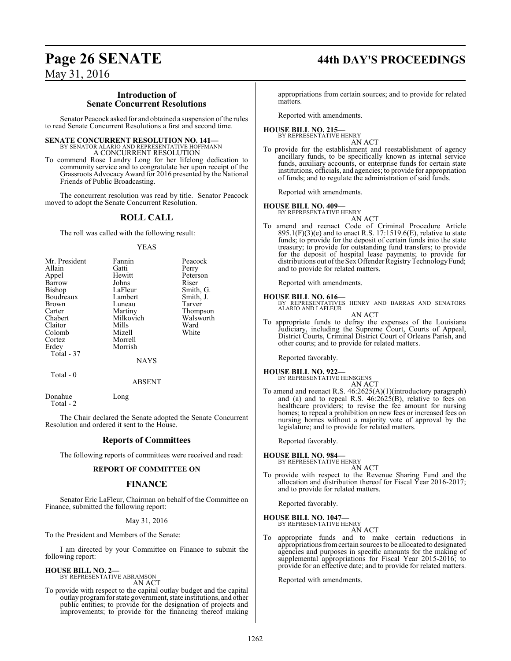# **Page 26 SENATE 44th DAY'S PROCEEDINGS**

## May 31, 2016

#### **Introduction of Senate Concurrent Resolutions**

Senator Peacock asked for and obtained a suspension ofthe rules to read Senate Concurrent Resolutions a first and second time.

### **SENATE CONCURRENT RESOLUTION NO. 141**

BY SENATOR ALARIO AND REPRESENTATIVE HOFFMANN A CONCURRENT RESOLUTION

To commend Rose Landry Long for her lifelong dedication to community service and to congratulate her upon receipt of the Grassroots AdvocacyAward for 2016 presented by the National Friends of Public Broadcasting.

The concurrent resolution was read by title. Senator Peacock moved to adopt the Senate Concurrent Resolution.

### **ROLL CALL**

The roll was called with the following result:

#### YEAS

| Mr. President<br>Allain<br>Appel<br>Barrow<br>Bishop<br>Boudreaux<br>Brown<br>Carter<br>Chabert<br>Claitor<br>Colomb<br>Cortez | Fannin<br>Gatti<br>Hewitt<br>Johns<br>LaFleur<br>Lambert<br>Luneau<br>Martiny<br>Milkovich<br>Mills<br>Mizell<br>Morrell | Peacock<br>Perry<br>Peterson<br>Riser<br>Smith, G.<br>Smith, J.<br>Tarver<br>Thompson<br>Walsworth<br>Ward<br>White |
|--------------------------------------------------------------------------------------------------------------------------------|--------------------------------------------------------------------------------------------------------------------------|---------------------------------------------------------------------------------------------------------------------|
| Erdey<br>Total - 37                                                                                                            | Morrish<br><b>NAYS</b>                                                                                                   |                                                                                                                     |
| Total - 0                                                                                                                      |                                                                                                                          |                                                                                                                     |

Donahue Long Total - 2

The Chair declared the Senate adopted the Senate Concurrent Resolution and ordered it sent to the House.

ABSENT

#### **Reports of Committees**

The following reports of committees were received and read:

#### **REPORT OF COMMITTEE ON**

#### **FINANCE**

Senator Eric LaFleur, Chairman on behalf of the Committee on Finance, submitted the following report:

May 31, 2016

To the President and Members of the Senate:

I am directed by your Committee on Finance to submit the following report:

**HOUSE BILL NO. 2—** BY REPRESENTATIVE ABRAMSON

AN ACT

To provide with respect to the capital outlay budget and the capital outlay programfor state government, state institutions, and other public entities; to provide for the designation of projects and improvements; to provide for the financing thereof making

appropriations from certain sources; and to provide for related matters.

Reported with amendments.

#### **HOUSE BILL NO. 215—** BY REPRESENTATIVE HENRY

AN ACT

To provide for the establishment and reestablishment of agency ancillary funds, to be specifically known as internal service funds, auxiliary accounts, or enterprise funds for certain state institutions, officials, and agencies; to provide for appropriation of funds; and to regulate the administration of said funds.

Reported with amendments.

#### **HOUSE BILL NO. 409—**

BY REPRESENTATIVE HENRY AN ACT

To amend and reenact Code of Criminal Procedure Article  $895.1(F)(3)$ (e) and to enact R.S. 17:1519.6(E), relative to state funds; to provide for the deposit of certain funds into the state treasury; to provide for outstanding fund transfers; to provide for the deposit of hospital lease payments; to provide for distributions out of the Sex Offender Registry Technology Fund; and to provide for related matters.

Reported with amendments.

#### **HOUSE BILL NO. 616—**

BY REPRESENTATIVES HENRY AND BARRAS AND SENATORS ALARIO AND LAFLEUR AN ACT

To appropriate funds to defray the expenses of the Louisiana Judiciary, including the Supreme Court, Courts of Appeal, District Courts, Criminal District Court of Orleans Parish, and other courts; and to provide for related matters.

Reported favorably.

**HOUSE BILL NO. 922—** BY REPRESENTATIVE HENSGENS

- AN ACT
- To amend and reenact R.S. 46:2625(A)(1)(introductory paragraph) and (a) and to repeal R.S.  $46:2625(B)$ , relative to fees on healthcare providers; to revise the fee amount for nursing homes; to repeal a prohibition on new fees or increased fees on nursing homes without a majority vote of approval by the legislature; and to provide for related matters.

Reported favorably.

**HOUSE BILL NO. 984—**

BY REPRESENTATIVE HENRY AN ACT

To provide with respect to the Revenue Sharing Fund and the allocation and distribution thereof for Fiscal Year 2016-2017; and to provide for related matters.

Reported favorably.

#### **HOUSE BILL NO. 1047—** BY REPRESENTATIVE HENRY

AN ACT

To appropriate funds and to make certain reductions in appropriations fromcertain sources to be allocated to designated agencies and purposes in specific amounts for the making of supplemental appropriations for Fiscal Year 2015-2016; to provide for an effective date; and to provide for related matters.

Reported with amendments.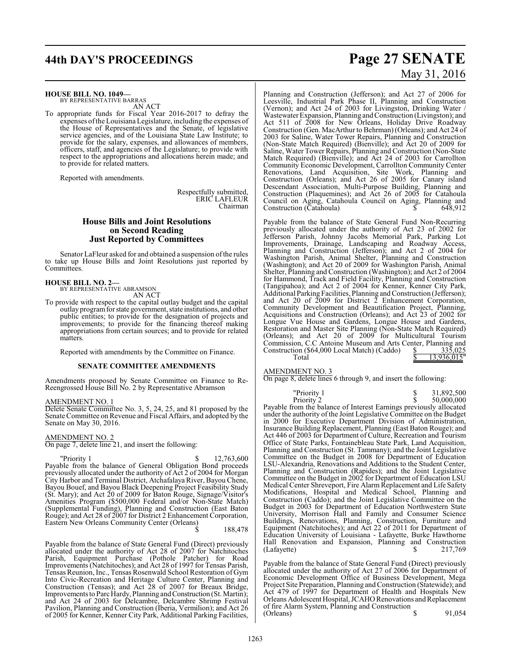# **44th DAY'S PROCEEDINGS Page 27 SENATE**

**HOUSE BILL NO. 1049—**

BY REPRESENTATIVE BARRAS AN ACT

To appropriate funds for Fiscal Year 2016-2017 to defray the expenses ofthe Louisiana Legislature, including the expenses of the House of Representatives and the Senate, of legislative service agencies, and of the Louisiana State Law Institute; to provide for the salary, expenses, and allowances of members, officers, staff, and agencies of the Legislature; to provide with respect to the appropriations and allocations herein made; and to provide for related matters.

Reported with amendments.

Respectfully submitted, ERIC LAFLEUR Chairman

### **House Bills and Joint Resolutions on Second Reading Just Reported by Committees**

Senator LaFleur asked for and obtained a suspension of the rules to take up House Bills and Joint Resolutions just reported by Committees.

# **HOUSE BILL NO. 2—** BY REPRESENTATIVE ABRAMSON

AN ACT

To provide with respect to the capital outlay budget and the capital outlay programfor state government, state institutions, and other public entities; to provide for the designation of projects and improvements; to provide for the financing thereof making appropriations from certain sources; and to provide for related matters.

Reported with amendments by the Committee on Finance.

#### **SENATE COMMITTEE AMENDMENTS**

Amendments proposed by Senate Committee on Finance to Re-Reengrossed House Bill No. 2 by Representative Abramson

#### AMENDMENT NO. 1

Delete Senate Committee No. 3, 5, 24, 25, and 81 proposed by the Senate Committee on Revenue and Fiscal Affairs, and adopted by the Senate on May 30, 2016.

#### AMENDMENT NO. 2

On page 7, delete line 21, and insert the following:

 $\gamma$  Priority 1  $\gamma$  12,763,600 Payable from the balance of General Obligation Bond proceeds previously allocated under the authority of Act 2 of 2004 for Morgan City Harbor and Terminal District, Atchafalaya River, Bayou Chene, Bayou Bouef, and Bayou Black Deepening Project Feasibility Study (St. Mary); and Act 20 of 2009 for Baton Rouge, Signage/Visitor's Amenities Program (\$500,000 Federal and/or Non-State Match) (Supplemental Funding), Planning and Construction (East Baton Rouge); and Act 28 of 2007 for District 2 Enhancement Corporation, Eastern New Orleans Community Center (Orleans)

\$ 188,478

Payable from the balance of State General Fund (Direct) previously allocated under the authority of Act 28 of 2007 for Natchitoches Parish, Equipment Purchase (Pothole Patcher) for Road Improvements (Natchitoches); and Act 28 of 1997 for Tensas Parish, Tensas Reunion, Inc., Tensas Rosenwald School Restoration of Gym Into Civic-Recreation and Heritage Culture Center, Planning and Construction (Tensas); and Act 28 of 2007 for Breaux Bridge, Improvements to Parc Hardy, Planning and Construction (St. Martin); and Act 24 of 2003 for Delcambre, Delcambre Shrimp Festival Pavilion, Planning and Construction (Iberia, Vermilion); and Act 26 of 2005 for Kenner, Kenner City Park, Additional Parking Facilities,

# May 31, 2016

Planning and Construction (Jefferson); and Act 27 of 2006 for Leesville, Industrial Park Phase II, Planning and Construction (Vernon); and Act 24 of 2003 for Livingston, Drinking Water / Wastewater Expansion, Planning and Construction (Livingston); and Act 511 of 2008 for New Orleans, Holiday Drive Roadway Construction (Gen. MacArthur to Behrman) (Orleans); and Act 24 of 2003 for Saline, Water Tower Repairs, Planning and Construction (Non-State Match Required) (Bienville); and Act 20 of 2009 for Saline, Water Tower Repairs, Planning and Construction (Non-State Match Required) (Bienville); and Act 24 of 2003 for Carrollton Community Economic Development, Carrollton Community Center Renovations, Land Acquisition, Site Work, Planning and Construction (Orleans); and Act 26 of 2005 for Canary island Descendant Association, Multi-Purpose Building, Planning and Construction (Plaquemines); and Act 26 of 2005 for Catahoula Council on Aging, Catahoula Council on Aging, Planning and Construction (Catahoula)  $\qquad \qquad$  \$ 648,912

Payable from the balance of State General Fund Non-Recurring previously allocated under the authority of Act 23 of 2002 for Jefferson Parish, Johnny Jacobs Memorial Park, Parking Lot Improvements, Drainage, Landscaping and Roadway Access, Planning and Construction (Jefferson); and Act 2 of 2004 for Washington Parish, Animal Shelter, Planning and Construction (Washington); and Act 20 of 2009 for Washington Parish, Animal Shelter, Planning and Construction (Washington); and Act 2 of 2004 for Hammond, Track and Field Facility, Planning and Construction (Tangipahoa); and Act 2 of 2004 for Kenner, Kenner City Park, Additional Parking Facilities, Planning and Construction (Jefferson); and Act 20 of  $\overline{2009}$  for District  $\overline{2}$  Enhancement Corporation, Community Development and Beautification Project, Planning, Acquisitions and Construction (Orleans); and Act 23 of 2002 for Longue Vue House and Gardens, Longue House and Gardens, Restoration and Master Site Planning (Non-State Match Required) (Orleans); and Act 20 of 2009 for Multicultural Tourism Commission, C.C Antoine Museum and Arts Center, Planning and Construction (\$64,000 Local Match) (Caddo)  $\qquad \qquad \frac{$}{\sqrt{5}}$  335,025 Total  $\frac{}{\sqrt{9}}$  13,936,015"

#### AMENDMENT NO. 3

On page 8, delete lines 6 through 9, and insert the following:

| Payable from the balance of Interest Earnings previously allocated<br>under the authority of the Joint Legislative Committee on the Budget<br>in 2000 for Executive Department Division of Administration,<br>Insurance Building Replacement, Planning (East Baton Rouge); and<br>Act 446 of 2003 for Department of Culture, Recreation and Tourism<br>Office of State Parks, Fontainebleau State Park, Land Acquisition,<br>Planning and Construction (St. Tammany); and the Joint Legislative<br>Committee on the Budget in 2008 for Department of Education<br>LSU-Alexandria, Renovations and Additions to the Student Center,<br>Planning and Construction (Rapides); and the Joint Legislative<br>Committee on the Budget in 2002 for Department of Education LSU<br>Medical Center Shreveport, Fire Alarm Replacement and Life Safety<br>Modifications, Hospital and Medical School, Planning and<br>Construction (Caddo); and the Joint Legislative Committee on the<br>Budget in 2003 for Department of Education Northwestern State<br>University, Morrison Hall and Family and Consumer Science<br>Buildings, Renovations, Planning, Construction, Furniture and<br>Equipment (Natchitoches); and Act 22 of 2011 for Department of<br>Education University of Louisiana - Lafayette, Burke Hawthorne<br>Hall Renovation and Expansion, Planning and Construction<br>(Lafayette)<br>S<br>217.769 | "Priority 1<br>Priority 2 | 31,892,500<br>50,000,000 |
|------------------------------------------------------------------------------------------------------------------------------------------------------------------------------------------------------------------------------------------------------------------------------------------------------------------------------------------------------------------------------------------------------------------------------------------------------------------------------------------------------------------------------------------------------------------------------------------------------------------------------------------------------------------------------------------------------------------------------------------------------------------------------------------------------------------------------------------------------------------------------------------------------------------------------------------------------------------------------------------------------------------------------------------------------------------------------------------------------------------------------------------------------------------------------------------------------------------------------------------------------------------------------------------------------------------------------------------------------------------------------------------------------------|---------------------------|--------------------------|
|                                                                                                                                                                                                                                                                                                                                                                                                                                                                                                                                                                                                                                                                                                                                                                                                                                                                                                                                                                                                                                                                                                                                                                                                                                                                                                                                                                                                            |                           |                          |
|                                                                                                                                                                                                                                                                                                                                                                                                                                                                                                                                                                                                                                                                                                                                                                                                                                                                                                                                                                                                                                                                                                                                                                                                                                                                                                                                                                                                            |                           |                          |
|                                                                                                                                                                                                                                                                                                                                                                                                                                                                                                                                                                                                                                                                                                                                                                                                                                                                                                                                                                                                                                                                                                                                                                                                                                                                                                                                                                                                            |                           |                          |
|                                                                                                                                                                                                                                                                                                                                                                                                                                                                                                                                                                                                                                                                                                                                                                                                                                                                                                                                                                                                                                                                                                                                                                                                                                                                                                                                                                                                            |                           |                          |
|                                                                                                                                                                                                                                                                                                                                                                                                                                                                                                                                                                                                                                                                                                                                                                                                                                                                                                                                                                                                                                                                                                                                                                                                                                                                                                                                                                                                            |                           |                          |
|                                                                                                                                                                                                                                                                                                                                                                                                                                                                                                                                                                                                                                                                                                                                                                                                                                                                                                                                                                                                                                                                                                                                                                                                                                                                                                                                                                                                            |                           |                          |
|                                                                                                                                                                                                                                                                                                                                                                                                                                                                                                                                                                                                                                                                                                                                                                                                                                                                                                                                                                                                                                                                                                                                                                                                                                                                                                                                                                                                            |                           |                          |

Payable from the balance of State General Fund (Direct) previously allocated under the authority of Act 27 of 2006 for Department of Economic Development Office of Business Development, Mega Project Site Preparation, Planning and Construction (Statewide); and Act 479 of 1997 for Department of Health and Hospitals New Orleans Adolescent Hospital, JCAHO Renovations and Replacement of fire Alarm System, Planning and Construction (Orleans)  $\frac{1}{2}$   $\frac{91,054}{2}$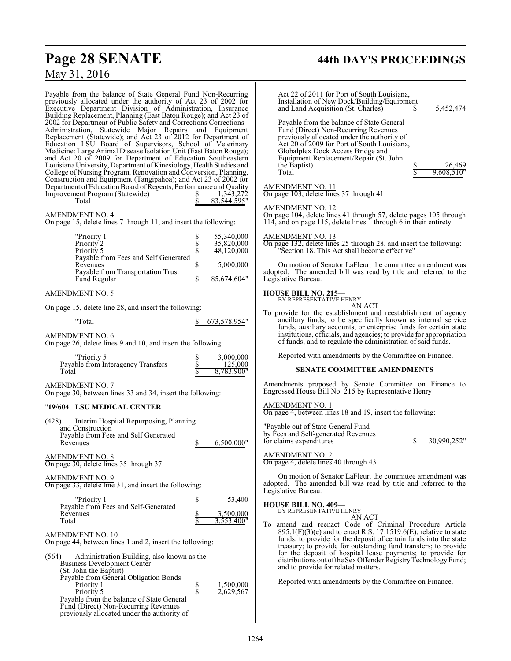# **Page 28 SENATE 44th DAY'S PROCEEDINGS** May 31, 2016

| Payable from the balance of State General Fund Non-Recurring<br>previously allocated under the authority of Act 23 of 2002 for<br>Executive Department Division of Administration, Insurance<br>Building Replacement, Planning (East Baton Rouge); and Act 23 of<br>2002 for Department of Public Safety and Corrections Corrections -<br>Administration, Statewide Major Repairs and Equipment<br>Replacement (Statewide); and Act 23 of 2012 for Department of<br>Education LSU Board of Supervisors, School of Veterinary<br>Medicine: Large Animal Disease Isolation Unit (East Baton Rouge); | Act 22 of 2011 for Port of South Louisiana,<br>Installation of New Dock/Building/Equipment<br>and Land Acquisition (St. Charles)<br>5,452,474<br>S.<br>Payable from the balance of State General<br>Fund (Direct) Non-Recurring Revenues<br>previously allocated under the authority of<br>Act 20 of 2009 for Port of South Louisiana,<br>Globalplex Dock Access Bridge and        |
|---------------------------------------------------------------------------------------------------------------------------------------------------------------------------------------------------------------------------------------------------------------------------------------------------------------------------------------------------------------------------------------------------------------------------------------------------------------------------------------------------------------------------------------------------------------------------------------------------|------------------------------------------------------------------------------------------------------------------------------------------------------------------------------------------------------------------------------------------------------------------------------------------------------------------------------------------------------------------------------------|
| and Act 20 of 2009 for Department of Education Southeastern<br>Louisiana University, Department of Kinesiology, Health Studies and<br>College of Nursing Program, Renovation and Conversion, Planning,<br>Construction and Equipment (Tangipahoa); and Act 23 of 2002 for<br>Department of Education Board of Regents, Performance and Quality<br>Improvement Program (Statewide)<br>1,343,272<br>Total<br>83,544,595"                                                                                                                                                                            | Equipment Replacement/Repair (St. John<br>the Baptist)<br>26,469<br>9.608.510"<br>Total<br>AMENDMENT NO. 11<br>On page 103, delete lines 37 through 41<br><b>AMENDMENT NO. 12</b>                                                                                                                                                                                                  |
| <b>AMENDMENT NO. 4</b><br>On page 15, delete lines 7 through 11, and insert the following:                                                                                                                                                                                                                                                                                                                                                                                                                                                                                                        | On page 104, delete lines 41 through 57, delete pages 105 through<br>114, and on page 115, delete lines 1 through 6 in their entirety                                                                                                                                                                                                                                              |
| 55,340,000<br>"Priority 1<br>\$<br>\$<br>Priority 2<br>35,820,000<br>\$<br>Priority 5<br>48,120,000<br>Payable from Fees and Self Generated                                                                                                                                                                                                                                                                                                                                                                                                                                                       | <b>AMENDMENT NO. 13</b><br>On page 132, delete lines 25 through 28, and insert the following:<br>"Section 18. This Act shall become effective"                                                                                                                                                                                                                                     |
| \$<br>5,000,000<br>Revenues<br>Payable from Transportation Trust<br>\$<br>Fund Regular<br>85,674,604"                                                                                                                                                                                                                                                                                                                                                                                                                                                                                             | On motion of Senator LaFleur, the committee amendment was<br>adopted. The amended bill was read by title and referred to the<br>Legislative Bureau.                                                                                                                                                                                                                                |
| <b>AMENDMENT NO. 5</b>                                                                                                                                                                                                                                                                                                                                                                                                                                                                                                                                                                            | <b>HOUSE BILL NO. 215-</b><br>BY REPRESENTATIVE HENRY                                                                                                                                                                                                                                                                                                                              |
| On page 15, delete line 28, and insert the following:<br>"Total<br>673,578,954"<br>S.                                                                                                                                                                                                                                                                                                                                                                                                                                                                                                             | AN ACT<br>To provide for the establishment and reestablishment of agency<br>ancillary funds, to be specifically known as internal service<br>funds, auxiliary accounts, or enterprise funds for certain state                                                                                                                                                                      |
| <b>AMENDMENT NO. 6</b><br>On page 26, delete lines 9 and 10, and insert the following:                                                                                                                                                                                                                                                                                                                                                                                                                                                                                                            | institutions, officials, and agencies; to provide for appropriation<br>of funds; and to regulate the administration of said funds.                                                                                                                                                                                                                                                 |
| "Priority 5<br>3,000,000<br>\$<br>Payable from Interagency Transfers<br>\$<br>125,000<br>Total<br>8,783,900"                                                                                                                                                                                                                                                                                                                                                                                                                                                                                      | Reported with amendments by the Committee on Finance.<br><b>SENATE COMMITTEE AMENDMENTS</b>                                                                                                                                                                                                                                                                                        |
| <b>AMENDMENT NO. 7</b><br>On page 30, between lines 33 and 34, insert the following:                                                                                                                                                                                                                                                                                                                                                                                                                                                                                                              | Amendments proposed by Senate Committee on Finance to<br>Engrossed House Bill No. 215 by Representative Henry                                                                                                                                                                                                                                                                      |
| "19/604 LSU MEDICAL CENTER                                                                                                                                                                                                                                                                                                                                                                                                                                                                                                                                                                        | <b>AMENDMENT NO. 1</b><br>On page 4, between lines 18 and 19, insert the following:                                                                                                                                                                                                                                                                                                |
| Interim Hospital Repurposing, Planning<br>(428)<br>and Construction<br>Payable from Fees and Self Generated<br>Revenues<br>6.500.000"                                                                                                                                                                                                                                                                                                                                                                                                                                                             | "Payable out of State General Fund<br>by Fees and Self-generated Revenues<br>for claims expenditures<br>\$<br>30,990,252"                                                                                                                                                                                                                                                          |
| <b>AMENDMENT NO. 8</b><br>On page 30, delete lines 35 through 37                                                                                                                                                                                                                                                                                                                                                                                                                                                                                                                                  | <b>AMENDMENT NO. 2</b><br>On page 4, delete lines 40 through 43                                                                                                                                                                                                                                                                                                                    |
| <b>AMENDMENT NO. 9</b><br>On page 33, delete line 31, and insert the following:                                                                                                                                                                                                                                                                                                                                                                                                                                                                                                                   | On motion of Senator LaFleur, the committee amendment was<br>adopted. The amended bill was read by title and referred to the<br>Legislative Bureau.                                                                                                                                                                                                                                |
| "Priority 1<br>\$<br>53,400<br>Payable from Fees and Self-Generated<br>Revenues<br>3,500,000<br>3,553,400"<br>Total                                                                                                                                                                                                                                                                                                                                                                                                                                                                               | <b>HOUSE BILL NO. 409-</b><br>BY REPRESENTATIVE HENRY<br>AN ACT<br>To amend and reenact Code of Criminal Procedure Article                                                                                                                                                                                                                                                         |
| <b>AMENDMENT NO. 10</b><br>On page 44, between lines 1 and 2, insert the following:<br>Administration Building, also known as the<br>(564)<br><b>Business Development Center</b>                                                                                                                                                                                                                                                                                                                                                                                                                  | $895.1(F)(3)(e)$ and to enact R.S. 17:1519.6(E), relative to state<br>funds; to provide for the deposit of certain funds into the state<br>treasury; to provide for outstanding fund transfers; to provide<br>for the deposit of hospital lease payments; to provide for<br>distributions out of the Sex Offender Registry Technology Fund;<br>and to provide for related matters. |
| (St. John the Baptist)<br>Payable from General Obligation Bonds<br>\$<br>1,500,000<br>Priority 1<br>\$<br>Priority 5<br>2,629,567<br>Payable from the balance of State General<br>Fund (Direct) Non-Recurring Revenues<br>previously allocated under the authority of                                                                                                                                                                                                                                                                                                                             | Reported with amendments by the Committee on Finance.                                                                                                                                                                                                                                                                                                                              |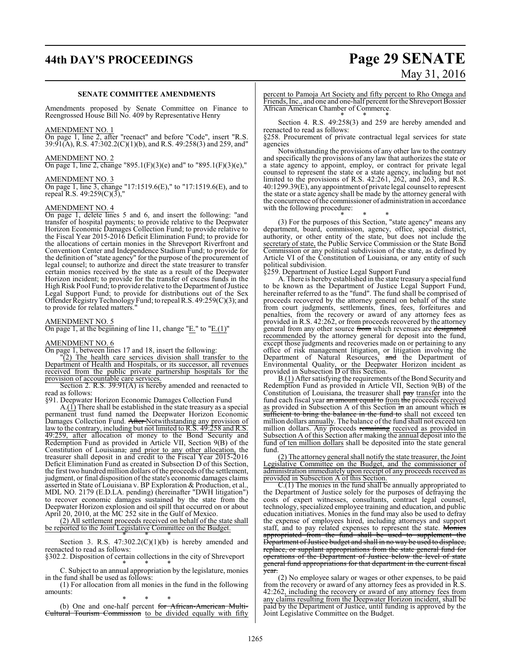# **44th DAY'S PROCEEDINGS Page 29 SENATE**

# May 31, 2016

#### **SENATE COMMITTEE AMENDMENTS**

Amendments proposed by Senate Committee on Finance to Reengrossed House Bill No. 409 by Representative Henry

#### AMENDMENT NO. 1

On page 1, line 2, after "reenact" and before "Code", insert "R.S. 39:91(A), R.S. 47:302.2(C)(1)(b), and R.S. 49:258(3) and 259, and"

#### AMENDMENT NO. 2

On page 1, line 2, change "895.1(F)(3)(e) and" to "895.1(F)(3)(e),"

#### AMENDMENT NO. 3

On page 1, line 3, change "17:1519.6(E)," to "17:1519.6(E), and to repeal R.S. 49:259(C)(3),"

### AMENDMENT NO. 4

On page 1, delete lines 5 and 6, and insert the following: "and transfer of hospital payments; to provide relative to the Deepwater Horizon Economic Damages Collection Fund; to provide relative to the Fiscal Year 2015-2016 Deficit Elimination Fund; to provide for the allocations of certain monies in the Shreveport Riverfront and Convention Center and Independence Stadium Fund; to provide for the definition of "state agency" for the purpose of the procurement of legal counsel; to authorize and direct the state treasurer to transfer certain monies received by the state as a result of the Deepwater Horizon incident; to provide for the transfer of excess funds in the High Risk Pool Fund; to provide relative to the Department of Justice Legal Support Fund; to provide for distributions out of the Sex Offender Registry Technology Fund; to repeal R.S. 49:259(C)(3); and to provide for related matters.

#### AMENDMENT NO. 5

On page 1, at the beginning of line 11, change "E." to "E.(1)"

#### AMENDMENT NO. 6

On page 1, between lines 17 and 18, insert the following:

"(2) The health care services division shall transfer to the Department of Health and Hospitals, or its successor, all revenues received from the public private partnership hospitals for the provision of accountable care services.

Section 2. R.S. 39:91(A) is hereby amended and reenacted to read as follows:

§91. Deepwater Horizon Economic Damages Collection Fund

A.(1) There shall be established in the state treasury as a special permanent trust fund named the Deepwater Horizon Economic Damages Collection Fund. After Notwithstanding any provision of law to the contrary, including but not limited to R.S. 49:258 and R.S. 49:259, after allocation of money to the Bond Security and Redemption Fund as provided in Article VII, Section 9(B) of the Constitution of Louisiana, and prior to any other allocation, the treasurer shall deposit in and credit to the Fiscal Year 2015-2016 Deficit Elimination Fund as created in Subsection D of this Section, the first two hundred million dollars of the proceeds of the settlement, judgment, or final disposition of the state's economic damages claims asserted in State of Louisiana v. BP Exploration & Production, et al., MDL NO. 2179 (E.D.LA. pending) (hereinafter "DWH litigation") to recover economic damages sustained by the state from the Deepwater Horizon explosion and oil spill that occurred on or about April 20, 2010, at the MC 252 site in the Gulf of Mexico.

(2) All settlement proceeds received on behalf of the state shall be reported to the Joint Legislative Committee on the Budget.

\* \* \* Section 3. R.S.  $47:302.2(C)(1)(b)$  is hereby amended and reenacted to read as follows:

§302.2. Disposition of certain collections in the city of Shreveport \* \* \*

C. Subject to an annual appropriation by the legislature, monies in the fund shall be used as follows:

(1) For allocation from all monies in the fund in the following amounts:

\* \* \* (b) One and one-half percent for African-American Multi-Cultural Tourism Commission to be divided equally with fifty percent to Pamoja Art Society and fifty percent to Rho Omega and Friends, Inc., and one and one-half percent for the Shreveport Bossier African American Chamber of Commerce.

\* \* \* Section 4. R.S. 49:258(3) and 259 are hereby amended and reenacted to read as follows:

§258. Procurement of private contractual legal services for state agencies

Notwithstanding the provisions of any other law to the contrary and specifically the provisions of any law that authorizes the state or a state agency to appoint, employ, or contract for private legal counsel to represent the state or a state agency, including but not limited to the provisions of R.S. 42:261, 262, and 263, and R.S. 40:1299.39(E), any appointment of private legal counsel to represent the state or a state agency shall be made by the attorney general with the concurrence ofthe commissioner of administration in accordance with the following procedure:

\* \* \*

(3) For the purposes of this Section, "state agency" means any department, board, commission, agency, office, special district, authority, or other entity of the state, but does not include the secretary of state, the Public Service Commission or the State Bond Commission or any political subdivision of the state, as defined by Article VI of the Constitution of Louisiana, or any entity of such political subdivision.

§259. Department of Justice Legal Support Fund

A. There is hereby established in the state treasury a special fund to be known as the Department of Justice Legal Support Fund, hereinafter referred to as the "fund". The fund shall be comprised of proceeds recovered by the attorney general on behalf of the state from court judgments, settlements, fines, fees, forfeitures and penalties, from the recovery or award of any attorney fees as provided in R.S. 42:262, or from proceeds recovered by the attorney general from any other source from which revenues are designated recommended by the attorney general for deposit into the fund, except those judgments and recoveries made on or pertaining to any office of risk management litigation, or litigation involving the Department of Natural Resources, and the Department of Environmental Quality, or the Deepwater Horizon incident as provided in Subsection D of this Section.

B.(1) After satisfying the requirements of the Bond Security and Redemption Fund as provided in Article VII, Section 9(B) of the Constitution of Louisiana, the treasurer shall pay transfer into the fund each fiscal year an amount equal to from the proceeds received as provided in Subsection A of this Section in an amount which is sufficient to bring the balance in the fund to shall not exceed ten million dollars annually. The balance of the fund shall not exceed ten million dollars. Any proceeds remaining received as provided in Subsection A of this Section after making the annual deposit into the fund of ten million dollars shall be deposited into the state general fund.

(2) The attorney general shall notify the state treasurer, the Joint Legislative Committee on the Budget, and the commissioner of administration immediately upon receipt of any proceeds received as provided in Subsection A of this Section.

C.(1) The monies in the fund shall be annually appropriated to the Department of Justice solely for the purposes of defraying the costs of expert witnesses, consultants, contract legal counsel, technology, specialized employee training and education, and public education initiatives. Monies in the fund may also be used to defray the expense of employees hired, including attorneys and support staff, and to pay related expenses to represent the state. Monies appropriated from the fund shall be used to supplement the Department ofJustice budget and shall in no way be used to displace, replace, or supplant appropriations from the state general fund for operations of the Department of Justice below the level of state general fund appropriations for that department in the current fiscal year.

(2) No employee salary or wages or other expenses, to be paid from the recovery or award of any attorney fees as provided in R.S. 42:262, including the recovery or award of any attorney fees from any claims resulting from the Deepwater Horizon incident, shall be paid by the Department of Justice, until funding is approved by the Joint Legislative Committee on the Budget.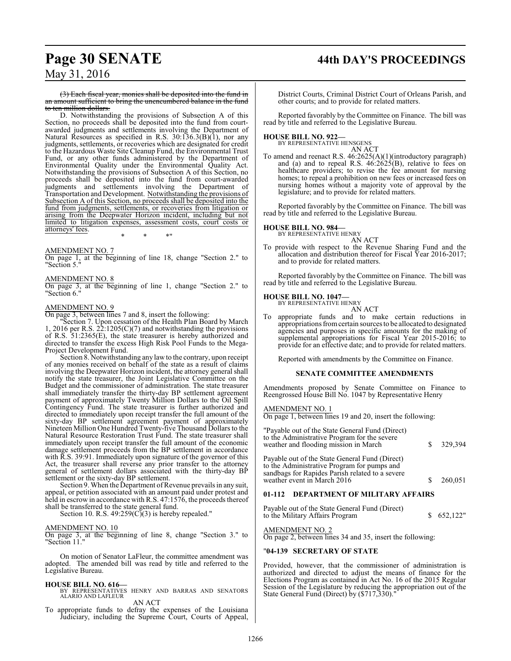# **Page 30 SENATE 44th DAY'S PROCEEDINGS**

## May 31, 2016

(3) Each fiscal year, monies shall be deposited into the fund in an amount sufficient to bring the unencumbered balance in the fund to ten million dollars.

D. Notwithstanding the provisions of Subsection A of this Section, no proceeds shall be deposited into the fund from courtawarded judgments and settlements involving the Department of Natural Resources as specified in R.S. 30:136.3(B)(1), nor any judgments, settlements, or recoveries which are designated for credit to the Hazardous Waste Site Cleanup Fund, the Environmental Trust Fund, or any other funds administered by the Department of Environmental Quality under the Environmental Quality Act. Notwithstanding the provisions of Subsection A of this Section, no proceeds shall be deposited into the fund from court-awarded judgments and settlements involving the Department of Transportation and Development. Notwithstanding the provisions of Subsection A of this Section, no proceeds shall be deposited into the fund from judgments, settlements, or recoveries from litigation or arising from the Deepwater Horizon incident, including but not limited to litigation expenses, assessment costs, court costs or attorneys' fees. \* \* \*"

AMENDMENT NO. 7

On page 1, at the beginning of line 18, change "Section 2." to Section 5."

AMENDMENT NO. 8

On page 3, at the beginning of line 1, change "Section 2." to "Section 6."

#### AMENDMENT NO. 9

On page 3, between lines 7 and 8, insert the following:

"Section 7. Upon cessation of the Health Plan Board by March 1, 2016 per R.S. 22:1205(C)(7) and notwithstanding the provisions of R.S. 51:2365(E), the state treasurer is hereby authorized and directed to transfer the excess High Risk Pool Funds to the Mega-Project Development Fund.

Section 8. Notwithstanding any lawto the contrary, upon receipt of any monies received on behalf of the state as a result of claims involving the Deepwater Horizon incident, the attorney general shall notify the state treasurer, the Joint Legislative Committee on the Budget and the commissioner of administration. The state treasurer shall immediately transfer the thirty-day BP settlement agreement payment of approximately Twenty Million Dollars to the Oil Spill Contingency Fund. The state treasurer is further authorized and directed to immediately upon receipt transfer the full amount of the sixty-day BP settlement agreement payment of approximately Nineteen Million One Hundred Twenty-five Thousand Dollars to the Natural Resource Restoration Trust Fund. The state treasurer shall immediately upon receipt transfer the full amount of the economic damage settlement proceeds from the BP settlement in accordance with R.S. 39:91. Immediately upon signature of the governor of this Act, the treasurer shall reverse any prior transfer to the attorney general of settlement dollars associated with the thirty-day BP settlement or the sixty-day BP settlement.

Section 9. When the Department of Revenue prevails in any suit, appeal, or petition associated with an amount paid under protest and held in escrow in accordance with R.S. 47:1576, the proceeds thereof shall be transferred to the state general fund.

Section 10. R.S.  $49:259(C)(3)$  is hereby repealed."

#### AMENDMENT NO. 10

On page 3, at the beginning of line 8, change "Section 3." to "Section 11.

On motion of Senator LaFleur, the committee amendment was adopted. The amended bill was read by title and referred to the Legislative Bureau.

**HOUSE BILL NO. 616—** BY REPRESENTATIVES HENRY AND BARRAS AND SENATORS ALARIO AND LAFLEUR

AN ACT

To appropriate funds to defray the expenses of the Louisiana Judiciary, including the Supreme Court, Courts of Appeal, District Courts, Criminal District Court of Orleans Parish, and other courts; and to provide for related matters.

Reported favorably by the Committee on Finance. The bill was read by title and referred to the Legislative Bureau.

**HOUSE BILL NO. 922—** BY REPRESENTATIVE HENSGENS

AN ACT

To amend and reenact R.S. 46:2625(A)(1)(introductory paragraph) and (a) and to repeal R.S. 46:2625(B), relative to fees on healthcare providers; to revise the fee amount for nursing homes; to repeal a prohibition on new fees or increased fees on nursing homes without a majority vote of approval by the legislature; and to provide for related matters.

Reported favorably by the Committee on Finance. The bill was read by title and referred to the Legislative Bureau.

#### **HOUSE BILL NO. 984—** BY REPRESENTATIVE HENRY

AN ACT

To provide with respect to the Revenue Sharing Fund and the allocation and distribution thereof for Fiscal Year 2016-2017; and to provide for related matters.

Reported favorably by the Committee on Finance. The bill was read by title and referred to the Legislative Bureau.

#### **HOUSE BILL NO. 1047—**

BY REPRESENTATIVE HENRY AN ACT

To appropriate funds and to make certain reductions in appropriations fromcertain sources to be allocated to designated agencies and purposes in specific amounts for the making of supplemental appropriations for Fiscal Year 2015-2016; to provide for an effective date; and to provide for related matters.

Reported with amendments by the Committee on Finance.

#### **SENATE COMMITTEE AMENDMENTS**

Amendments proposed by Senate Committee on Finance to Reengrossed House Bill No. 1047 by Representative Henry

#### AMENDMENT NO. 1

On page 1, between lines 19 and 20, insert the following:

| "Payable out of the State General Fund (Direct)<br>to the Administrative Program for the severe<br>weather and flooding mission in March         | 329.394 |
|--------------------------------------------------------------------------------------------------------------------------------------------------|---------|
| Payable out of the State General Fund (Direct)<br>to the Administrative Program for pumps and<br>sandbags for Rapides Parish related to a severe |         |

weather event in March 2016 \$ 260,051

#### **01-112 DEPARTMENT OF MILITARY AFFAIRS**

Payable out of the State General Fund (Direct) to the Military Affairs Program  $\qquad$  \$ 652,122"

#### AMENDMENT NO. 2

On page 2, between lines 34 and 35, insert the following:

#### "**04-139 SECRETARY OF STATE**

Provided, however, that the commissioner of administration is authorized and directed to adjust the means of finance for the Elections Program as contained in Act No. 16 of the 2015 Regular Session of the Legislature by reducing the appropriation out of the State General Fund (Direct) by (\$717,330).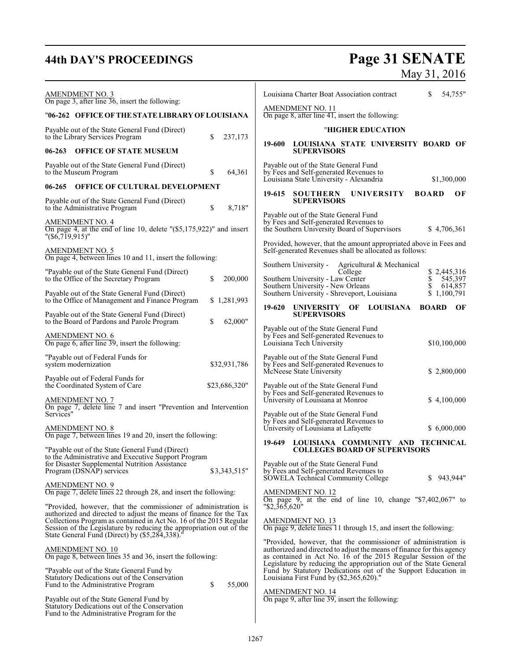# **44th DAY'S PROCEEDINGS Page 31 SENATE**

## May 31, 2016

| <b>AMENDMENT NO. 3</b><br>On page 3, after line $36$ , insert the following:                                                                                                                                                                                                      | 54,755"<br>Louisiana Charter Boat Association contract<br>\$                                                                                                                                                  |
|-----------------------------------------------------------------------------------------------------------------------------------------------------------------------------------------------------------------------------------------------------------------------------------|---------------------------------------------------------------------------------------------------------------------------------------------------------------------------------------------------------------|
| "06-262 OFFICE OF THE STATE LIBRARY OF LOUISIANA                                                                                                                                                                                                                                  | <b>AMENDMENT NO. 11</b><br>On page 8, after line 41, insert the following:                                                                                                                                    |
| Payable out of the State General Fund (Direct)<br>\$                                                                                                                                                                                                                              | "HIGHER EDUCATION                                                                                                                                                                                             |
| to the Library Services Program<br>237,173<br>$06 - 263$<br><b>OFFICE OF STATE MUSEUM</b>                                                                                                                                                                                         | 19-600<br>LOUISIANA STATE UNIVERSITY BOARD OF<br><b>SUPERVISORS</b>                                                                                                                                           |
| Payable out of the State General Fund (Direct)<br>\$<br>64,361<br>to the Museum Program                                                                                                                                                                                           | Payable out of the State General Fund<br>by Fees and Self-generated Revenues to<br>Louisiana State University - Alexandria<br>\$1,300,000                                                                     |
| <b>OFFICE OF CULTURAL DEVELOPMENT</b><br>06-265                                                                                                                                                                                                                                   | 19-615 SOUTHERN<br><b>BOARD</b>                                                                                                                                                                               |
| Payable out of the State General Fund (Direct)<br>8,718"<br>\$<br>to the Administrative Program                                                                                                                                                                                   | <b>UNIVERSITY</b><br>OF<br><b>SUPERVISORS</b>                                                                                                                                                                 |
| <b>AMENDMENT NO. 4</b><br>On page 4, at the end of line 10, delete "(\$5,175,922)" and insert<br>$"(\$6,719,915)"$                                                                                                                                                                | Payable out of the State General Fund<br>by Fees and Self-generated Revenues to<br>the Southern University Board of Supervisors<br>\$4,706,361                                                                |
| AMENDMENT NO. 5<br>On page 4, between lines 10 and 11, insert the following:                                                                                                                                                                                                      | Provided, however, that the amount appropriated above in Fees and<br>Self-generated Revenues shall be allocated as follows:                                                                                   |
| "Payable out of the State General Fund (Direct)<br>to the Office of the Secretary Program<br>\$<br>200,000                                                                                                                                                                        | Southern University -<br>Agricultural & Mechanical<br>College<br>\$2,445,316<br>Southern University - Law Center<br>\$<br>545,397                                                                             |
| Payable out of the State General Fund (Direct)<br>to the Office of Management and Finance Program<br>\$1,281,993                                                                                                                                                                  | Southern University - New Orleans<br>\$<br>614,857<br>Southern University - Shreveport, Louisiana<br>\$1,100,791                                                                                              |
| Payable out of the State General Fund (Direct)<br>62,000"<br>to the Board of Pardons and Parole Program<br>\$                                                                                                                                                                     | <b>LOUISIANA</b><br>19-620<br>UNIVERSITY OF<br><b>BOARD</b><br>OF<br><b>SUPERVISORS</b>                                                                                                                       |
| AMENDMENT NO. 6<br>On page 6, after line 39, insert the following:                                                                                                                                                                                                                | Payable out of the State General Fund<br>by Fees and Self-generated Revenues to<br>Louisiana Tech University<br>\$10,100,000                                                                                  |
| "Payable out of Federal Funds for<br>system modernization<br>\$32,931,786                                                                                                                                                                                                         | Payable out of the State General Fund<br>by Fees and Self-generated Revenues to<br>McNeese State University<br>\$2,800,000                                                                                    |
| Payable out of Federal Funds for<br>the Coordinated System of Care<br>\$23,686,320"                                                                                                                                                                                               | Payable out of the State General Fund                                                                                                                                                                         |
| <b>AMENDMENT NO. 7</b><br>On page 7, delete line 7 and insert "Prevention and Intervention<br>Services"                                                                                                                                                                           | by Fees and Self-generated Revenues to<br>University of Louisiana at Monroe<br>\$4,100,000<br>Payable out of the State General Fund                                                                           |
| <b>AMENDMENT NO. 8</b><br>On page 7, between lines 19 and 20, insert the following:                                                                                                                                                                                               | by Fees and Self-generated Revenues to<br>University of Louisiana at Lafayette<br>\$6,000,000                                                                                                                 |
| "Payable out of the State General Fund (Direct)<br>to the Administrative and Executive Support Program                                                                                                                                                                            | 19-649<br>LOUISIANA COMMUNITY AND TECHNICAL<br><b>COLLEGES BOARD OF SUPERVISORS</b>                                                                                                                           |
| for Disaster Supplemental Nutrition Assistance<br>\$3,343,515"<br>Program (DSNAP) services                                                                                                                                                                                        | Payable out of the State General Fund<br>by Fees and Self-generated Revenues to<br>SOWELA Technical Community College<br>S.<br>943,944"                                                                       |
| <b>AMENDMENT NO. 9</b><br>On page 7, delete lines 22 through 28, and insert the following:                                                                                                                                                                                        | <b>AMENDMENT NO. 12</b><br>On page 9, at the end of line 10, change " $$7,402,067"$ to                                                                                                                        |
| "Provided, however, that the commissioner of administration is<br>authorized and directed to adjust the means of finance for the Tax<br>Collections Program as contained in Act No. 16 of the 2015 Regular<br>Session of the Legislature by reducing the appropriation out of the | "\$2,365,620"<br><b>AMENDMENT NO. 13</b><br>On page 9, delete lines 11 through 15, and insert the following:                                                                                                  |
| State General Fund (Direct) by (\$5,284,338).                                                                                                                                                                                                                                     | "Provided, however, that the commissioner of administration is                                                                                                                                                |
| <b>AMENDMENT NO. 10</b><br>On page 8, between lines 35 and 36, insert the following:                                                                                                                                                                                              | authorized and directed to adjust the means of finance for this agency<br>as contained in Act No. 16 of the 2015 Regular Session of the<br>Legislature by reducing the appropriation out of the State General |
| "Payable out of the State General Fund by<br>Statutory Dedications out of the Conservation<br>\$<br>55,000<br>Fund to the Administrative Program                                                                                                                                  | Fund by Statutory Dedications out of the Support Education in<br>Louisiana First Fund by (\$2,365,620)."                                                                                                      |
| Payable out of the State General Fund by<br>Statutory Dedications out of the Conservation<br>Fund to the Administrative Program for the                                                                                                                                           | <b>AMENDMENT NO. 14</b><br>On page 9, after line 39, insert the following:                                                                                                                                    |
|                                                                                                                                                                                                                                                                                   |                                                                                                                                                                                                               |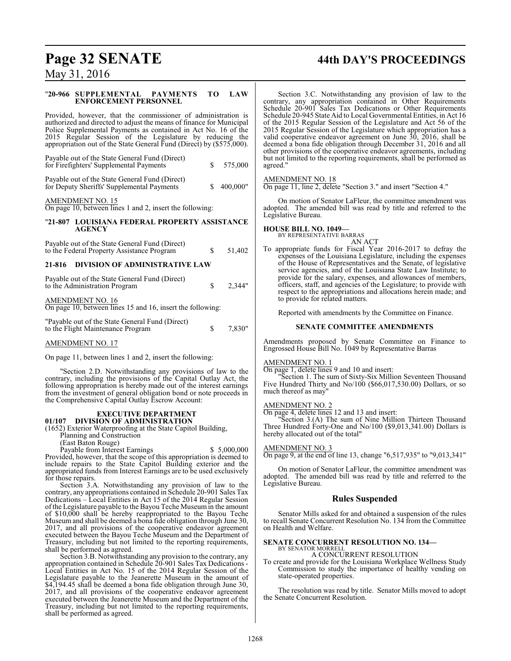# **Page 32 SENATE 44th DAY'S PROCEEDINGS**

May 31, 2016

#### "**20-966 SUPPLEMENTAL PAYMENTS TO LAW ENFORCEMENT PERSONNEL**

Provided, however, that the commissioner of administration is authorized and directed to adjust the means of finance for Municipal Police Supplemental Payments as contained in Act No. 16 of the 2015 Regular Session of the Legislature by reducing the appropriation out of the State General Fund (Direct) by (\$575,000).

| Payable out of the State General Fund (Direct)<br>for Firefighters' Supplemental Payments    | S. | 575,000  |
|----------------------------------------------------------------------------------------------|----|----------|
| Payable out of the State General Fund (Direct)<br>for Deputy Sheriffs' Supplemental Payments | S. | 400,000" |
| AMENDMENT NO. 15                                                                             |    |          |

On page 10, between lines 1 and 2, insert the following:

#### "**21-807 LOUISIANA FEDERAL PROPERTY ASSISTANCE AGENCY**

### Payable out of the State General Fund (Direct) to the Federal Property Assistance Program  $\qquad \qquad$  \$ 51,402 **21-816 DIVISION OF ADMINISTRATIVE LAW**

| Payable out of the State General Fund (Direct)<br>to the Administration Program       | S. | 2.344" |
|---------------------------------------------------------------------------------------|----|--------|
| <b>AMENDMENT NO. 16</b><br>On page 10, between lines 15 and 16, insert the following: |    |        |
| "Payable out of the State General Fund (Direct)<br>to the Flight Maintenance Program  | S. | 7.830" |

AMENDMENT NO. 17

On page 11, between lines 1 and 2, insert the following:

"Section 2.D. Notwithstanding any provisions of law to the contrary, including the provisions of the Capital Outlay Act, the following appropriation is hereby made out of the interest earnings from the investment of general obligation bond or note proceeds in the Comprehensive Capital Outlay Escrow Account:

#### **EXECUTIVE DEPARTMENT 01/107 DIVISION OF ADMINISTRATION**

(1652) Exterior Waterproofing at the State Capitol Building,

Planning and Construction

(East Baton Rouge)

Payable from Interest Earnings  $$5,000,000$ Provided, however, that the scope of this appropriation is deemed to include repairs to the State Capitol Building exterior and the appropriated funds from Interest Earnings are to be used exclusively for those repairs.

Section 3.A. Notwithstanding any provision of law to the contrary, any appropriations contained in Schedule 20-901 Sales Tax Dedications – Local Entities in Act 15 of the 2014 Regular Session ofthe Legislature payable to the Bayou Teche Museumin the amount of \$10,000 shall be hereby reappropriated to the Bayou Teche Museumand shall be deemed a bona fide obligation through June 30, 2017, and all provisions of the cooperative endeavor agreement executed between the Bayou Teche Museum and the Department of Treasury, including but not limited to the reporting requirements, shall be performed as agreed.

Section 3.B. Notwithstanding any provision to the contrary, any appropriation contained in Schedule 20-901 Sales Tax Dedications - Local Entities in Act No. 15 of the 2014 Regular Session of the Legislature payable to the Jeanerette Museum in the amount of \$4,194.45 shall be deemed a bona fide obligation through June 30, 2017, and all provisions of the cooperative endeavor agreement executed between the Jeanerette Museum and the Department of the Treasury, including but not limited to the reporting requirements, shall be performed as agreed.

Section 3.C. Notwithstanding any provision of law to the contrary, any appropriation contained in Other Requirements Schedule 20-901 Sales Tax Dedications or Other Requirements Schedule 20-945 State Aid to Local Governmental Entities, in Act 16 of the 2015 Regular Session of the Legislature and Act 56 of the 2015 Regular Session of the Legislature which appropriation has a valid cooperative endeavor agreement on June 30, 2016, shall be deemed a bona fide obligation through December 31, 2016 and all other provisions of the cooperative endeavor agreements, including but not limited to the reporting requirements, shall be performed as agreed."

#### AMENDMENT NO. 18

On page 11, line 2, delete "Section 3." and insert "Section 4."

On motion of Senator LaFleur, the committee amendment was adopted. The amended bill was read by title and referred to the Legislative Bureau.

#### **HOUSE BILL NO. 1049—**

BY REPRESENTATIVE BARRAS AN ACT

To appropriate funds for Fiscal Year 2016-2017 to defray the expenses of the Louisiana Legislature, including the expenses of the House of Representatives and the Senate, of legislative service agencies, and of the Louisiana State Law Institute; to provide for the salary, expenses, and allowances of members, officers, staff, and agencies of the Legislature; to provide with respect to the appropriations and allocations herein made; and to provide for related matters.

Reported with amendments by the Committee on Finance.

#### **SENATE COMMITTEE AMENDMENTS**

Amendments proposed by Senate Committee on Finance to Engrossed House Bill No. 1049 by Representative Barras

#### AMENDMENT NO. 1

On page 1, delete lines 9 and 10 and insert:

"Section 1. The sum of Sixty-Six Million Seventeen Thousand Five Hundred Thirty and No/100 (\$66,017,530.00) Dollars, or so much thereof as may"

#### AMENDMENT NO. 2

On page 4, delete lines 12 and 13 and insert:

"Section 3.(A) The sum of Nine Million Thirteen Thousand Three Hundred Forty-One and No/100 (\$9,013,341.00) Dollars is hereby allocated out of the total"

#### AMENDMENT NO. 3

On page 9, at the end of line 13, change "6,517,935" to "9,013,341"

On motion of Senator LaFleur, the committee amendment was adopted. The amended bill was read by title and referred to the Legislative Bureau.

#### **Rules Suspended**

Senator Mills asked for and obtained a suspension of the rules to recall Senate Concurrent Resolution No. 134 from the Committee on Health and Welfare.

#### **SENATE CONCURRENT RESOLUTION NO. 134—** BY SENATOR MORRELL

A CONCURRENT RESOLUTION

To create and provide for the Louisiana Workplace Wellness Study Commission to study the importance of healthy vending on state-operated properties.

The resolution was read by title. Senator Mills moved to adopt the Senate Concurrent Resolution.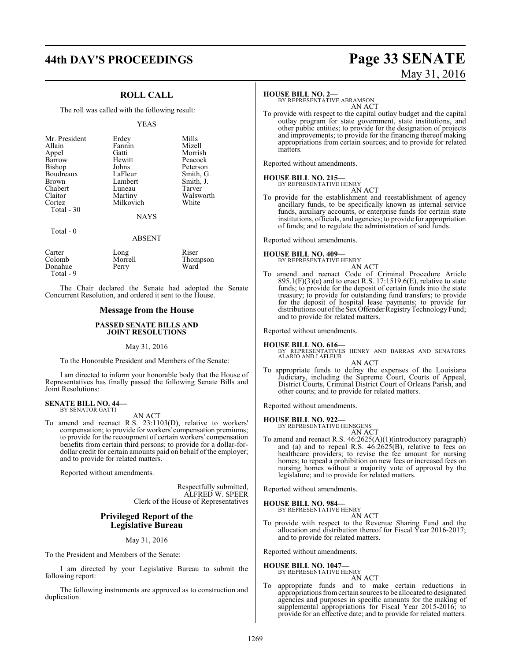# **44th DAY'S PROCEEDINGS Page 33 SENATE**

### **ROLL CALL**

The roll was called with the following result:

#### YEAS

| Mr. President | Erdey       | Mills     |
|---------------|-------------|-----------|
| Allain        | Fannin      | Mizell    |
| Appel         | Gatti       | Morrish   |
| Barrow        | Hewitt      | Peacock   |
| <b>Bishop</b> | Johns       | Peterson  |
| Boudreaux     | LaFleur     | Smith, G. |
| <b>Brown</b>  | Lambert     | Smith, J. |
| Chabert       | Luneau      | Tarver    |
| Claitor       | Martiny     | Walsworth |
| Cortez        | Milkovich   | White     |
| Total $-30$   |             |           |
|               | <b>NAYS</b> |           |

Total - 0

| Carter    | Long    | Riser    |
|-----------|---------|----------|
| Colomb    | Morrell | Thompson |
| Donahue   | Perry   | Ward     |
| Total - 9 |         |          |

The Chair declared the Senate had adopted the Senate Concurrent Resolution, and ordered it sent to the House.

#### **Message from the House**

#### **PASSED SENATE BILLS AND JOINT RESOLUTIONS**

#### May 31, 2016

To the Honorable President and Members of the Senate:

I am directed to inform your honorable body that the House of Representatives has finally passed the following Senate Bills and Joint Resolutions:

#### **SENATE BILL NO. 44—** BY SENATOR GATTI

AN ACT

To amend and reenact R.S. 23:1103(D), relative to workers' compensation; to provide for workers' compensation premiums; to provide for the recoupment of certain workers' compensation benefits from certain third persons; to provide for a dollar-fordollar credit for certain amounts paid on behalf of the employer; and to provide for related matters.

Reported without amendments.

Respectfully submitted, ALFRED W. SPEER Clerk of the House of Representatives

#### **Privileged Report of the Legislative Bureau**

May 31, 2016

To the President and Members of the Senate:

I am directed by your Legislative Bureau to submit the following report:

The following instruments are approved as to construction and duplication.

# May 31, 2016

#### **HOUSE BILL NO. 2—**

BY REPRESENTATIVE ABRAMSON AN ACT

To provide with respect to the capital outlay budget and the capital outlay program for state government, state institutions, and other public entities; to provide for the designation of projects and improvements; to provide for the financing thereof making appropriations from certain sources; and to provide for related matters.

Reported without amendments.

#### **HOUSE BILL NO. 215—** BY REPRESENTATIVE HENRY

AN ACT

To provide for the establishment and reestablishment of agency ancillary funds, to be specifically known as internal service funds, auxiliary accounts, or enterprise funds for certain state institutions, officials, and agencies; to provide for appropriation of funds; and to regulate the administration of said funds.

Reported without amendments.

# **HOUSE BILL NO. 409—** BY REPRESENTATIVE HENRY

AN ACT

To amend and reenact Code of Criminal Procedure Article  $895.1(F)(3)$ (e) and to enact R.S. 17:1519.6(E), relative to state funds; to provide for the deposit of certain funds into the state treasury; to provide for outstanding fund transfers; to provide for the deposit of hospital lease payments; to provide for distributions out of the Sex Offender Registry Technology Fund; and to provide for related matters.

Reported without amendments.

- **HOUSE BILL NO. 616—** BY REPRESENTATIVES HENRY AND BARRAS AND SENATORS ALARIO AND LAFLEUR AN ACT
- To appropriate funds to defray the expenses of the Louisiana Judiciary, including the Supreme Court, Courts of Appeal, District Courts, Criminal District Court of Orleans Parish, and other courts; and to provide for related matters.

Reported without amendments.

#### **HOUSE BILL NO. 922—**

BY REPRESENTATIVE HENSGENS AN ACT

To amend and reenact R.S. 46:2625(A)(1)(introductory paragraph) and (a) and to repeal R.S. 46:2625(B), relative to fees on healthcare providers; to revise the fee amount for nursing homes; to repeal a prohibition on new fees or increased fees on nursing homes without a majority vote of approval by the legislature; and to provide for related matters.

Reported without amendments.

## **HOUSE BILL NO. 984—** BY REPRESENTATIVE HENRY

AN ACT

To provide with respect to the Revenue Sharing Fund and the allocation and distribution thereof for Fiscal Year 2016-2017; and to provide for related matters.

Reported without amendments.

**HOUSE BILL NO. 1047—** BY REPRESENTATIVE HENRY

AN ACT

To appropriate funds and to make certain reductions in appropriations fromcertain sources to be allocated to designated agencies and purposes in specific amounts for the making of supplemental appropriations for Fiscal Year 2015-2016; to provide for an effective date; and to provide for related matters.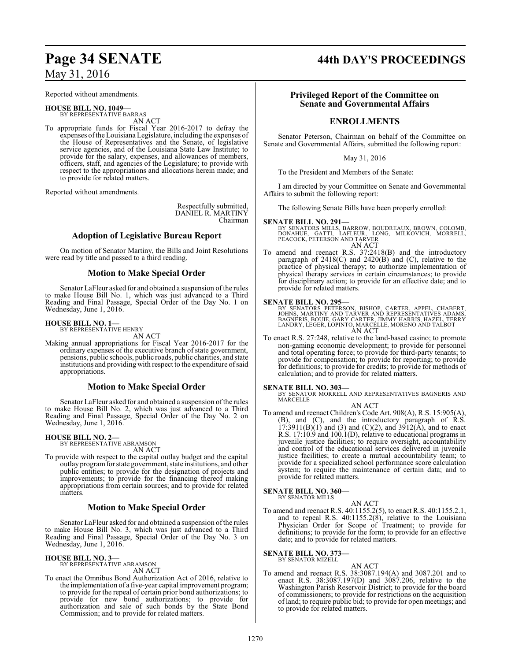Reported without amendments.

- **HOUSE BILL NO. 1049—** BY REPRESENTATIVE BARRAS AN ACT
- To appropriate funds for Fiscal Year 2016-2017 to defray the expenses ofthe Louisiana Legislature, including the expenses of the House of Representatives and the Senate, of legislative service agencies, and of the Louisiana State Law Institute; to provide for the salary, expenses, and allowances of members, officers, staff, and agencies of the Legislature; to provide with respect to the appropriations and allocations herein made; and to provide for related matters.

Reported without amendments.

Respectfully submitted, DANIEL R. MARTINY Chairman

#### **Adoption of Legislative Bureau Report**

On motion of Senator Martiny, the Bills and Joint Resolutions were read by title and passed to a third reading.

### **Motion to Make Special Order**

Senator LaFleur asked for and obtained a suspension of the rules to make House Bill No. 1, which was just advanced to a Third Reading and Final Passage, Special Order of the Day No. 1 on Wednesday, June 1, 2016.

#### **HOUSE BILL NO. 1—**

BY REPRESENTATIVE HENRY AN ACT

Making annual appropriations for Fiscal Year 2016-2017 for the ordinary expenses of the executive branch of state government, pensions, public schools, public roads, public charities, and state institutions and providing with respect to the expenditure ofsaid appropriations.

#### **Motion to Make Special Order**

Senator LaFleur asked for and obtained a suspension of the rules to make House Bill No. 2, which was just advanced to a Third Reading and Final Passage, Special Order of the Day No. 2 on Wednesday, June 1, 2016.

# **HOUSE BILL NO. 2—** BY REPRESENTATIVE ABRAMSON

AN ACT

To provide with respect to the capital outlay budget and the capital outlay programfor state government, state institutions, and other public entities; to provide for the designation of projects and improvements; to provide for the financing thereof making appropriations from certain sources; and to provide for related matters.

#### **Motion to Make Special Order**

Senator LaFleur asked for and obtained a suspension of the rules to make House Bill No. 3, which was just advanced to a Third Reading and Final Passage, Special Order of the Day No. 3 on Wednesday, June 1, 2016.

**HOUSE BILL NO. 3—** BY REPRESENTATIVE ABRAMSON

AN ACT

To enact the Omnibus Bond Authorization Act of 2016, relative to the implementation of a five-year capital improvement program; to provide for the repeal of certain prior bond authorizations; to provide for new bond authorizations; to provide for authorization and sale of such bonds by the State Bond Commission; and to provide for related matters.

# **Page 34 SENATE 44th DAY'S PROCEEDINGS**

#### **Privileged Report of the Committee on Senate and Governmental Affairs**

### **ENROLLMENTS**

Senator Peterson, Chairman on behalf of the Committee on Senate and Governmental Affairs, submitted the following report:

May 31, 2016

To the President and Members of the Senate:

I am directed by your Committee on Senate and Governmental Affairs to submit the following report:

The following Senate Bills have been properly enrolled:

#### **SENATE BILL NO. 291—**

BY SENATORS MILLS, BARROW, BOUDREAUX, BROWN, COLOMB,<br>DONAHUE, - GATTI, - LAFLEUR, - LONG, - MILKOVICH, - MORRELL,<br>PEACOCK, PETERSON AND TARVER AN ACT

To amend and reenact R.S. 37:2418(B) and the introductory paragraph of  $2418(C)$  and  $2420(B)$  and  $(C)$ , relative to the practice of physical therapy; to authorize implementation of physical therapy services in certain circumstances; to provide for disciplinary action; to provide for an effective date; and to provide for related matters.

**SENATE BILL NO. 295—**<br>BY SENATORS PETERSON, BISHOP, CARTER, APPEL, CHABERT, JOHNS, MARTINY AND TARVER AND REPRESENTATIVES ADAMS,<br>BAGNERIS, BOUIE, GARY CARTER, JIMMY HARRIS, HAZEL, TERRY<br>LANDRY, LEGER, LOPINTO, MARCELLE, M AN ACT

To enact R.S. 27:248, relative to the land-based casino; to promote non-gaming economic development; to provide for personnel and total operating force; to provide for third-party tenants; to provide for compensation; to provide for reporting; to provide for definitions; to provide for credits; to provide for methods of calculation; and to provide for related matters.

**SENATE BILL NO. 303—**<br>BY SENATOR MORRELL AND REPRESENTATIVES BAGNERIS AND MARCELLE AN ACT

To amend and reenact Children's Code Art. 908(A), R.S. 15:905(A), (B), and (C), and the introductory paragraph of R.S.  $17:3911(B)(1)$  and (3) and (C)(2), and  $3912(A)$ , and to enact R.S. 17:10.9 and 100.1(D), relative to educational programs in juvenile justice facilities; to require oversight, accountability and control of the educational services delivered in juvenile justice facilities; to create a mutual accountability team; to provide for a specialized school performance score calculation system; to require the maintenance of certain data; and to provide for related matters.

#### **SENATE BILL NO. 360—**

BY SENATOR MILLS

AN ACT To amend and reenact R.S. 40:1155.2(5), to enact R.S. 40:1155.2.1, and to repeal R.S.  $40:1155.2(8)$ , relative to the Louisiana Physician Order for Scope of Treatment; to provide for definitions; to provide for the form; to provide for an effective date; and to provide for related matters.

**SENATE BILL NO. 373—** BY SENATOR MIZELL

AN ACT

To amend and reenact R.S. 38:3087.194(A) and 3087.201 and to enact R.S. 38:3087.197(D) and 3087.206, relative to the Washington Parish Reservoir District; to provide for the board of commissioners; to provide for restrictions on the acquisition of land; to require public bid; to provide for open meetings; and to provide for related matters.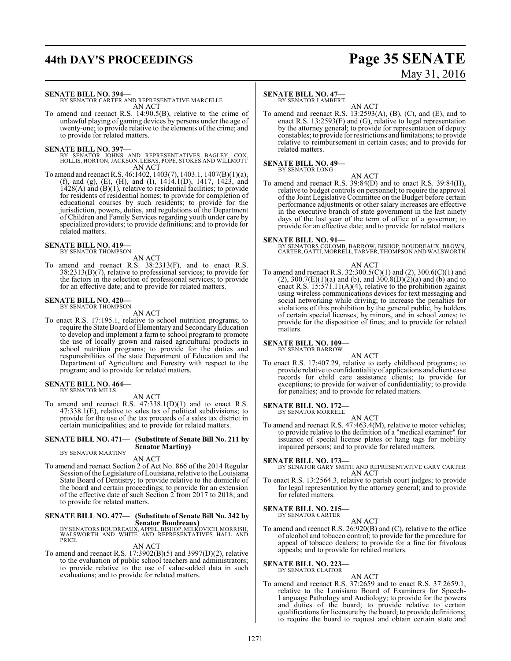# **44th DAY'S PROCEEDINGS Page 35 SENATE**

# May 31, 2016

**SENATE BILL NO. 394—**

BY SENATOR CARTER AND REPRESENTATIVE MARCELLE AN ACT

To amend and reenact R.S. 14:90.5(B), relative to the crime of unlawful playing of gaming devices by persons under the age of twenty-one; to provide relative to the elements of the crime; and to provide for related matters.

**SENATE BILL NO. 397—** BY SENATOR JOHNS AND REPRESENTATIVES BAGLEY, COX, HOLLIS, HORTON, JACKSON, LEBAS, POPE, STOKES AND WILLMOTT AN ACT

To amend and reenact R.S. 46:1402, 1403(7), 1403.1, 1407(B)(1)(a), (f), and (g), (E), (H), and (I), 1414.1(D), 1417, 1423, and  $1428(A)$  and  $(B)(1)$ , relative to residential facilities; to provide for residents of residential homes; to provide for completion of educational courses by such residents; to provide for the jurisdiction, powers, duties, and regulations of the Department of Children and Family Services regarding youth under care by specialized providers; to provide definitions; and to provide for related matters.

## **SENATE BILL NO. 419—** BY SENATOR THOMPSON

AN ACT

To amend and reenact R.S. 38:2313(F), and to enact R.S. 38:2313(B)(7), relative to professional services; to provide for the factors in the selection of professional services; to provide for an effective date; and to provide for related matters.

# **SENATE BILL NO. 420—** BY SENATOR THOMPSON

AN ACT

To enact R.S. 17:195.1, relative to school nutrition programs; to require the State Board of Elementary and SecondaryEducation to develop and implement a farm to school program to promote the use of locally grown and raised agricultural products in school nutrition programs; to provide for the duties and responsibilities of the state Department of Education and the Department of Agriculture and Forestry with respect to the program; and to provide for related matters.

## **SENATE BILL NO. 464—** BY SENATOR MILLS

AN ACT

To amend and reenact R.S.  $47:338.1(D)(1)$  and to enact R.S. 47:338.1(E), relative to sales tax of political subdivisions; to provide for the use of the tax proceeds of a sales tax district in certain municipalities; and to provide for related matters.

#### **SENATE BILL NO. 471— (Substitute of Senate Bill No. 211 by Senator Martiny)**

#### BY SENATOR MARTINY AN ACT

To amend and reenact Section 2 of Act No. 866 of the 2014 Regular Session of the Legislature of Louisiana, relative to the Louisiana State Board of Dentistry; to provide relative to the domicile of the board and certain proceedings; to provide for an extension of the effective date of such Section 2 from 2017 to 2018; and to provide for related matters.

# **SENATE BILL NO. 477— (Substitute of Senate Bill No. 342 by**

**Senator Boudreaux)**<br>BY SENATORS BOUDREAUX, APPEL, BISHOP, MILKOVICH, MORRISH,<br>WALSWORTH AND WHITE AND REPRESENTATIVES HALL AND<br>PRICE

#### AN ACT

To amend and reenact R.S. 17:3902(B)(5) and 3997(D)(2), relative to the evaluation of public school teachers and administrators; to provide relative to the use of value-added data in such evaluations; and to provide for related matters.

#### **SENATE BILL NO. 47—**

BY SENATOR LAMBERT

AN ACT To amend and reenact R.S. 13:2593(A), (B), (C), and (E), and to enact R.S. 13:2593(F) and (G), relative to legal representation by the attorney general; to provide for representation of deputy constables; to provide for restrictions and limitations; to provide relative to reimbursement in certain cases; and to provide for related matters.

#### **SENATE BILL NO. 49—** BY SENATOR LONG

AN ACT

To amend and reenact R.S. 39:84(D) and to enact R.S. 39:84(H), relative to budget controls on personnel; to require the approval of the Joint Legislative Committee on the Budget before certain performance adjustments or other salary increases are effective in the executive branch of state government in the last ninety days of the last year of the term of office of a governor; to provide for an effective date; and to provide for related matters.

**SENATE BILL NO. 91—** BY SENATORS COLOMB, BARROW, BISHOP, BOUDREAUX, BROWN, CARTER, GATTI, MORRELL,TARVER, THOMPSON AND WALSWORTH

#### AN ACT

To amend and reenact R.S. 32:300.5(C)(1) and (2), 300.6(C)(1) and (2), 300.7(E)(1)(a) and (b), and  $300.8(D)(2)(a)$  and (b) and to enact R.S. 15:571.11(A)(4), relative to the prohibition against using wireless communications devices for text messaging and social networking while driving; to increase the penalties for violations of this prohibition by the general public, by holders of certain special licenses, by minors, and in school zones; to provide for the disposition of fines; and to provide for related matters.

#### **SENATE BILL NO. 109—**

BY SENATOR BARROW AN ACT

To enact R.S. 17:407.29, relative to early childhood programs; to provide relative to confidentiality of applications and client case records for child care assistance clients; to provide for exceptions; to provide for waiver of confidentiality; to provide for penalties; and to provide for related matters.

#### **SENATE BILL NO. 172—** BY SENATOR MORRELL

AN ACT

To amend and reenact R.S. 47:463.4(M), relative to motor vehicles; to provide relative to the definition of a "medical examiner" for issuance of special license plates or hang tags for mobility impaired persons; and to provide for related matters.

#### **SENATE BILL NO. 173—**

BY SENATOR GARY SMITH AND REPRESENTATIVE GARY CARTER AN ACT

To enact R.S. 13:2564.3, relative to parish court judges; to provide for legal representation by the attorney general; and to provide for related matters.

#### **SENATE BILL NO. 215—**

BY SENATOR CARTER AN ACT

To amend and reenact R.S. 26:920(B) and (C), relative to the office of alcohol and tobacco control; to provide for the procedure for appeal of tobacco dealers; to provide for a fine for frivolous appeals; and to provide for related matters.

#### **SENATE BILL NO. 223**

BY SENATOR CLAITOR

#### AN ACT

To amend and reenact R.S. 37:2659 and to enact R.S. 37:2659.1, relative to the Louisiana Board of Examiners for Speech-Language Pathology and Audiology; to provide for the powers and duties of the board; to provide relative to certain qualifications for licensure by the board; to provide definitions; to require the board to request and obtain certain state and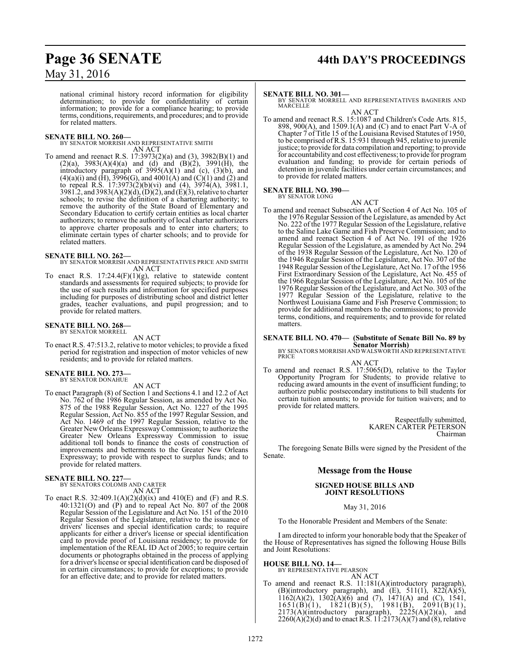# **Page 36 SENATE 44th DAY'S PROCEEDINGS**

## May 31, 2016

national criminal history record information for eligibility determination; to provide for confidentiality of certain information; to provide for a compliance hearing; to provide terms, conditions, requirements, and procedures; and to provide for related matters.

**SENATE BILL NO. 260—** BY SENATOR MORRISH AND REPRESENTATIVE SMITH AN ACT

To amend and reenact R.S. 17:3973(2)(a) and (3), 3982(B)(1) and  $(2)(a)$ , 3983 $(A)(4)(a)$  and  $(d)$  and  $(B)(2)$ , 3991 $(H)$ , the introductory paragraph of  $3995(A)(1)$  and (c),  $(3)(b)$ , and  $(4)(a)(i)$  and  $(H)$ , 3996 $(G)$ , and 4001 $(A)$  and  $(C)(1)$  and  $(2)$  and to repeal R.S. 17:3973(2)(b)(vi) and (4), 3974(A), 3981.1, 3981.2, and 3983(A)(2)(d), (D)(2), and (E)(3), relative to charter schools; to revise the definition of a chartering authority; to remove the authority of the State Board of Elementary and Secondary Education to certify certain entities as local charter authorizers; to remove the authority of local charter authorizers to approve charter proposals and to enter into charters; to eliminate certain types of charter schools; and to provide for related matters.

#### **SENATE BILL NO. 262—**

BY SENATOR MORRISH AND REPRESENTATIVES PRICE AND SMITH AN ACT

To enact R.S. 17:24.4(F)(1)(g), relative to statewide content standards and assessments for required subjects; to provide for the use of such results and information for specified purposes including for purposes of distributing school and district letter grades, teacher evaluations, and pupil progression; and to provide for related matters.

#### **SENATE BILL NO. 268**

BY SENATOR MORRELL AN ACT

To enact R.S. 47:513.2, relative to motor vehicles; to provide a fixed period for registration and inspection of motor vehicles of new residents; and to provide for related matters.

## **SENATE BILL NO. 273—** BY SENATOR DONAHUE

AN ACT

To enact Paragraph (8) of Section 1 and Sections 4.1 and 12.2 of Act No. 762 of the 1986 Regular Session, as amended by Act No. 875 of the 1988 Regular Session, Act No. 1227 of the 1995 Regular Session, Act No. 855 of the 1997 Regular Session, and Act No. 1469 of the 1997 Regular Session, relative to the Greater New Orleans ExpresswayCommission; to authorize the Greater New Orleans Expressway Commission to issue additional toll bonds to finance the costs of construction of improvements and betterments to the Greater New Orleans Expressway; to provide with respect to surplus funds; and to provide for related matters.

### **SENATE BILL NO. 227—**

BY SENATORS COLOMB AND CARTER AN ACT

To enact R.S. 32:409.1(A)(2)(d)(ix) and 410(E) and (F) and R.S. 40:1321(O) and (P) and to repeal Act No. 807 of the 2008 Regular Session of the Legislature and Act No. 151 of the 2010 Regular Session of the Legislature, relative to the issuance of drivers' licenses and special identification cards; to require applicants for either a driver's license or special identification card to provide proof of Louisiana residency; to provide for implementation of the REAL ID Act of 2005; to require certain documents or photographs obtained in the process of applying for a driver's license or special identification card be disposed of in certain circumstances; to provide for exceptions; to provide for an effective date; and to provide for related matters.

#### **SENATE BILL NO. 301—**

BY SENATOR MORRELL AND REPRESENTATIVES BAGNERIS AND MARCELLE

AN ACT To amend and reenact R.S. 15:1087 and Children's Code Arts. 815, 898, 900(A), and 1509.1(A) and (C) and to enact Part V-A of Chapter 7 of Title 15 of the Louisiana Revised Statutes of 1950, to be comprised of R.S. 15:931 through 945, relative to juvenile justice; to provide for data compilation and reporting; to provide for accountability and cost effectiveness; to provide for program evaluation and funding; to provide for certain periods of detention in juvenile facilities under certain circumstances; and to provide for related matters.

# **SENATE BILL NO. 390—** BY SENATOR LONG

AN ACT To amend and reenact Subsection A of Section 4 of Act No. 105 of the 1976 Regular Session of the Legislature, as amended by Act No. 222 of the 1977 Regular Session of the Legislature, relative to the Saline Lake Game and Fish Preserve Commission; and to amend and reenact Section 4 of Act No. 191 of the 1926 Regular Session of the Legislature, as amended by Act No. 294 of the 1938 Regular Session of the Legislature, Act No. 120 of the 1946 Regular Session of the Legislature, Act No. 307 of the 1948 Regular Session ofthe Legislature, Act No. 17 ofthe 1956 First Extraordinary Session of the Legislature, Act No. 455 of the 1966 Regular Session of the Legislature, Act No. 105 of the 1976 Regular Session of the Legislature, and Act No. 303 of the 1977 Regular Session of the Legislature, relative to the Northwest Louisiana Game and Fish Preserve Commission; to provide for additional members to the commissions; to provide terms, conditions, and requirements; and to provide for related matters.

## **SENATE BILL NO. 470— (Substitute of Senate Bill No. 89 by**

**Senator Morrish)** BY SENATORS MORRISH AND WALSWORTH AND REPRESENTATIVE **PRICE** 

AN ACT

To amend and reenact R.S. 17:5065(D), relative to the Taylor Opportunity Program for Students; to provide relative to reducing award amounts in the event of insufficient funding; to authorize public postsecondary institutions to bill students for certain tuition amounts; to provide for tuition waivers; and to provide for related matters.

> Respectfully submitted, KAREN CARTER PETERSON Chairman

The foregoing Senate Bills were signed by the President of the Senate.

#### **Message from the House**

#### **SIGNED HOUSE BILLS AND JOINT RESOLUTIONS**

#### May 31, 2016

To the Honorable President and Members of the Senate:

I am directed to inform your honorable body that the Speaker of the House of Representatives has signed the following House Bills and Joint Resolutions:

#### **HOUSE BILL NO. 14—**

BY REPRESENTATIVE PEARSON AN ACT

To amend and reenact R.S. 11:181(A)(introductory paragraph), (B)(introductory paragraph), and  $(E)$ , 511(1), 822 $\overline{(A)}(5)$ ,  $1162(A)(2)$ ,  $1302(A)(6)$  and (7),  $1471(A)$  and (C),  $1541$ ,  $1651(B)(1)$ ,  $1821(B)(5)$ ,  $1981(B)$ ,  $2091(B)(1)$ ,  $2173(A)$ (introductory paragraph),  $2225(A)(2)(a)$ , and  $2260(A)(2)(d)$  and to enact R.S. 11:2173(A)(7) and (8), relative